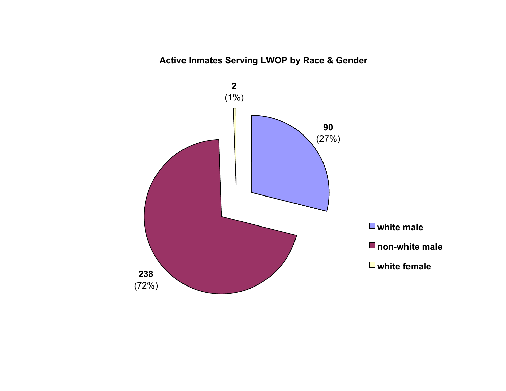# **Active Inmates Serving LWOP by Race & Gender**

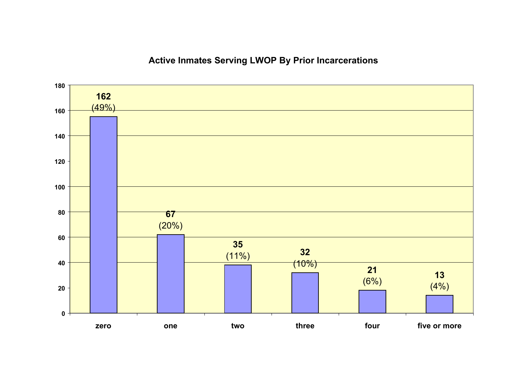# **Active Inmates Serving LWOP By Prior Incarcerations**

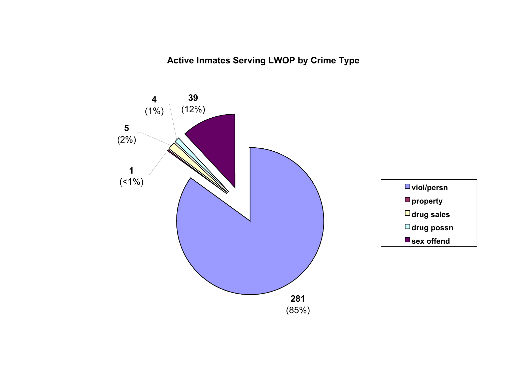**Active Inmates Serving LWOP by Crime Type**

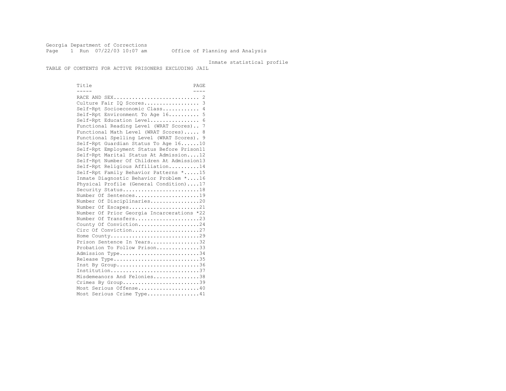Georgia Department of Corrections Page 1 Run 07/22/03 10:07 am Office of Planning and Analysis

#### Inmate statistical profile

TABLE OF CONTENTS FOR ACTIVE PRISONERS EXCLUDING JAIL

Title PAGE ----- ---- RACE AND SEX............................ 2 Culture Fair IQ Scores.................. 3 Self-Rpt Socioeconomic Class............ 4 Self-Rpt Environment To Age 16.......... 5 Self-Rpt Education Level................ 6 Functional Reading Level (WRAT Scores).. 7 Functional Math Level (WRAT Scores)..... 8 Functional Spelling Level (WRAT Scores). 9 Self-Rpt Guardian Status To Age 16......10 Self-Rpt Employment Status Before Prison11 Self-Rpt Marital Status At Admission....12 Self-Rpt Number Of Children At Admission13 Self-Rpt Religious Affiliation..........14 Self-Rpt Family Behavior Patterns \*.....15 Inmate Diagnostic Behavior Problem \*....16 Physical Profile (General Condition)....17 Security Status...........................18 Number Of Sentences.....................19 Number Of Disciplinaries................20 Number Of Escapes........................21 Number Of Prior Georgia Incarcerations \*22 Number Of Transfers.....................23 County Of Conviction....................24 Circ Of Conviction......................27 Home County.............................29 Prison Sentence In Years.................32 Probation To Follow Prison..............33 Admission Type............................34 Release Type..............................35 Inst By Group..............................36 Institution.............................37 Misdemeanors And Felonies...............38 Crimes By Group............................39 Most Serious Offense....................40 Most Serious Crime Type.................41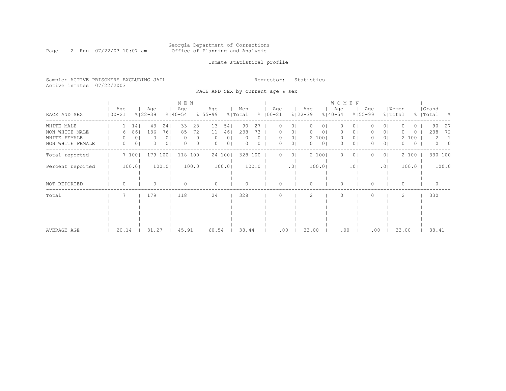#### Georgia Department of Corrections Page 2 Run 07/22/03 10:07 am Office of Planning and Analysis

# Inmate statistical profile

Sample: ACTIVE PRISONERS EXCLUDING JAIL **Requestor:** Statistics Active inmates 07/22/2003

RACE AND SEX by current age & sex

|                  |                   |                |                    |                | M E N              |                |                    |                |                |       |             |        |                |                    |                | WOMEN              |                |                    |                |                  |       |                    |        |
|------------------|-------------------|----------------|--------------------|----------------|--------------------|----------------|--------------------|----------------|----------------|-------|-------------|--------|----------------|--------------------|----------------|--------------------|----------------|--------------------|----------------|------------------|-------|--------------------|--------|
| RACE AND SEX     | Age<br>$100 - 21$ |                | Age<br>$8122 - 39$ |                | Age<br>$8140 - 54$ |                | Age<br>$8155 - 99$ |                | Men<br>% Total |       | $8100 - 21$ | Age    |                | Age<br>$8122 - 39$ |                | Age<br>$8140 - 54$ |                | Age<br>$8155 - 99$ |                | Women<br>% Total |       | Grand<br>%   Total | - 양    |
| WHITE MALE       |                   | 14             | 43                 | 24             | 33                 | 281            | 13                 | 54             | 90             | 27    |             | $\cup$ | 01             | $\circ$            | $\cup$         | $\circ$            | O              |                    | 01             |                  | ()    | 90                 | -27    |
| NON WHITE MALE   | 6                 | 86             | 136                | 761            | 85                 | 721            | 11                 | 461            | 238            | 73    |             |        | 0              | $\circ$            | 0              | 0                  | 0              |                    | 0              |                  | 0     | 238                | 72     |
| WHITE FEMALE     |                   | $\circ$        | 0                  | 0 <sub>1</sub> |                    | 0 <sub>1</sub> | $\left( \right)$   | 01             |                |       |             |        | 0 <sub>1</sub> |                    | 2 100          | $\circ$            | 0 <sub>1</sub> | 0                  | 0 <sup>1</sup> |                  | 2 100 | 2                  |        |
| NON WHITE FEMALE | $\Omega$          | 0 <sub>1</sub> | $\Omega$           | 0 <sub>1</sub> | $\Omega$           | 0 <sub>1</sub> | $\Omega$           | 0 <sup>1</sup> |                | 0     |             | 0      | $\circ$        | $\circ$            | 0 <sup>1</sup> | $\circ$            | 0              | 0.                 | 0 <sup>1</sup> | 0                | 0     | $\Omega$           | $\cap$ |
| Total reported   |                   | 7100           | 179                | 1001           | 118                | 1001           |                    | 24 100         | 328            | 100   |             | 0      | 01             |                    | 2 100          | $\Omega$           | 0              |                    | 0 I            |                  | 2 100 | 330 100            |        |
| Percent reported |                   | 100.0          |                    | 100.0          |                    | 100.0          |                    | 100.0          |                | 100.0 |             |        | .01            |                    | 100.0          |                    | $\cdot$ 0      |                    | .01            |                  | 100.0 |                    | 100.0  |
|                  |                   |                |                    |                |                    |                |                    |                |                |       |             |        |                |                    |                |                    |                |                    |                |                  |       |                    |        |
|                  |                   |                |                    |                |                    |                |                    |                |                |       |             |        |                |                    |                |                    |                |                    |                |                  |       |                    |        |
| NOT REPORTED     | $\Omega$          |                |                    |                |                    |                |                    |                |                |       |             | O      |                | $\Omega$           |                | $\Omega$           |                | 0                  |                | $\Omega$         |       |                    |        |
| Total            |                   |                | 179                |                | 118                |                | 24                 |                | 328            |       |             |        |                |                    |                | $\bigcap$          |                |                    |                | 2                |       | 330                |        |
|                  |                   |                |                    |                |                    |                |                    |                |                |       |             |        |                |                    |                |                    |                |                    |                |                  |       |                    |        |
|                  |                   |                |                    |                |                    |                |                    |                |                |       |             |        |                |                    |                |                    |                |                    |                |                  |       |                    |        |
|                  |                   |                |                    |                |                    |                |                    |                |                |       |             |        |                |                    |                |                    |                |                    |                |                  |       |                    |        |
|                  |                   |                |                    |                |                    |                |                    |                |                |       |             |        |                |                    |                |                    |                |                    |                |                  |       |                    |        |
|                  |                   |                |                    |                |                    |                |                    |                |                |       |             |        |                |                    |                |                    |                |                    |                |                  |       |                    |        |
| AVERAGE AGE      | 20.14             |                | 31.27              |                | 45.91              |                | 60.54              |                | 38.44          |       |             | .00    |                | 33.00              |                | .00                |                | .00                |                | 33.00            |       | 38.41              |        |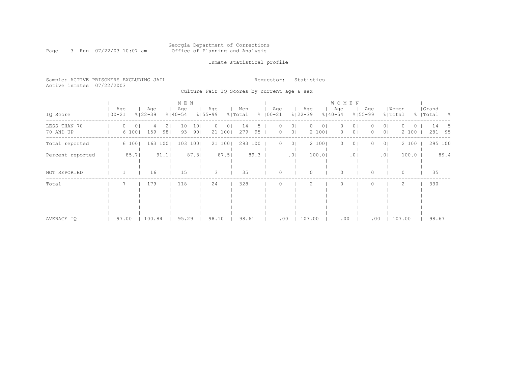#### Georgia Department of Corrections Page 3 Run 07/22/03 10:07 am Office of Planning and Analysis

# Inmate statistical profile

|  |                           | Sample: ACTIVE PRISONERS EXCLUDING JAIL |  | Requestor: Statistics |  |
|--|---------------------------|-----------------------------------------|--|-----------------------|--|
|  | Active inmates 07/22/2003 |                                         |  |                       |  |

Culture Fair IQ Scores by current age & sex

|                           |                   |                         |           | M E N              |                        |                                      |                |      |                      |                                  |                    | <b>WOMEN</b>                      |                      |                    |                                  |                   |                    |                                  |
|---------------------------|-------------------|-------------------------|-----------|--------------------|------------------------|--------------------------------------|----------------|------|----------------------|----------------------------------|--------------------|-----------------------------------|----------------------|--------------------|----------------------------------|-------------------|--------------------|----------------------------------|
| IQ Score                  | Age<br>$100 - 21$ | Age<br>$8122 - 39$      |           | Age<br>$8140 - 54$ | $8155 - 99$            | Age                                  | Men<br>% Total |      | Age<br>$8   00 - 21$ |                                  | Age<br>$8122 - 39$ | Age<br>$8140 - 54$                |                      | Age<br>$8155 - 99$ | % Total                          | Women             | Grand<br>%   Total | - 왕                              |
| LESS THAN 70<br>70 AND UP | 0                 | $\circ$<br>159<br>6 100 | 21<br>981 | 10<br>93           | 101<br>90 <sub>1</sub> | 0 <sub>1</sub><br>$\Omega$<br>21 100 | 14<br>279      | 95   | 0                    | 0 <sub>1</sub><br>0 <sub>1</sub> | 2 100              | 01<br>$\left( \right)$<br>$\circ$ | 01<br>0 <sub>1</sub> |                    | 0 <sub>1</sub><br>0 <sub>1</sub> | $\Omega$<br>2 100 |                    | 14<br>$\mathcal{D}$<br>281<br>95 |
| Total reported            |                   | 6 100                   | 163 1001  | 103 1001           |                        | 21 100                               | 293 100        |      | 0.                   | 0 <sub>1</sub>                   | 2 100              | $\Omega$                          | 01                   |                    | 0 <sub>1</sub>                   | 2 100             |                    | 295 100                          |
| Percent reported          |                   | 85.7                    | 91.1      |                    | 87.3                   | 87.5                                 |                | 89.3 |                      | $.0$                             | 100.01             |                                   | .01                  |                    | .01                              | 100.0             |                    | 89.4                             |
| NOT REPORTED              |                   | 16                      |           | 15                 |                        | 3                                    | 35             |      |                      |                                  |                    | $\Omega$                          |                      |                    |                                  | 0                 |                    | 35                               |
| Total                     |                   | 179                     |           | 118                |                        | 24                                   | 328            |      |                      |                                  |                    |                                   |                      |                    |                                  | 2                 |                    | 330                              |
| AVERAGE IO                | 97.00             | 100.84                  |           | 95.29              |                        | 98.10                                | 98.61          |      |                      | .00                              | 107.00             |                                   | .00                  | .00                |                                  | 107.00            |                    | 98.67                            |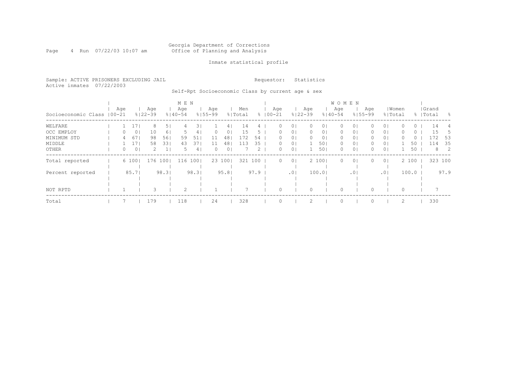#### Georgia Department of Corrections Page 4 Run 07/22/03 10:07 am Office of Planning and Analysis

## Inmate statistical profile

Sample: ACTIVE PRISONERS EXCLUDING JAIL **Requestor:** Statistics Active inmates 07/22/2003

Self-Rpt Socioeconomic Class by current age & sex

|                             |     |       |                    |                | M E N            |       |                    |                |                |      |                    |                 |                    |                | W O M E N          |                |                    |                |       |       |                    |                |
|-----------------------------|-----|-------|--------------------|----------------|------------------|-------|--------------------|----------------|----------------|------|--------------------|-----------------|--------------------|----------------|--------------------|----------------|--------------------|----------------|-------|-------|--------------------|----------------|
| Socioeconomic Class   00-21 | Age |       | Age<br>$8122 - 39$ |                | Age<br>$%140-54$ |       | Age<br>$8155 - 99$ |                | Men<br>% Total |      | Age<br>$8100 - 21$ |                 | Age<br>$8122 - 39$ |                | Age<br>$8140 - 54$ |                | Aqe<br>$8155 - 99$ | % Total        | Women |       | Grand<br>%   Total | - 양            |
| WELFARE                     |     |       | 8                  | 5 <sub>1</sub> | 4                | 31    |                    | 41             | 14             |      |                    | 0 <sub>1</sub>  |                    | 01             | $\Omega$           | 01             |                    | 0 <sub>1</sub> |       | 0     | 14                 | 4              |
| OCC EMPLOY                  | 0   | 0     | 10                 | 61             |                  | 4     | 0                  | 0 <sub>1</sub> | 15             |      |                    | 0 <sub>1</sub>  | 0                  | 0 <sub>1</sub> | 0                  | 0 <sub>1</sub> | 0                  | 0 <sub>1</sub> |       | 0     | 15                 |                |
| MINIMUM STD                 | 4   | 67    | 98                 | 56             | 59               | 51    | 11                 | 48             | 172            | 54   |                    | 0 <sub>1</sub>  |                    | 0 <sub>1</sub> | 0                  | 0 <sub>1</sub> |                    | 0 <sub>1</sub> |       | 0     | 172                | -53            |
| MIDDLE                      |     | 17    | 58                 | 331            | 43               | 371   | 11                 | 481            | 113            | 35   | $\left( \right)$   | 0 <sub>1</sub>  |                    | 501            | 0                  | 0 <sub>1</sub> | 0                  | 0 <sub>1</sub> |       | 50    | 114                | -35            |
| OTHER                       | 0   | 0     | 2.                 | $\mathbf{1}$   | 5                | 4     | 0                  | 0 <sup>1</sup> |                | 2    | 0.                 | 0 <sup>1</sup>  |                    | 501            | 0                  | 0 <sub>1</sub> | $\Omega$           | 0 <sup>1</sup> |       | 50    | 8                  | $\overline{2}$ |
| Total reported              |     | 6 100 | 176                | 1001           | 116              | 1001  |                    | 23 100         | 321            | 100  | $\Omega$           | 0 <sub>1</sub>  |                    | 2 100          | $\Omega$           | 0 <sub>1</sub> | $\Omega$           | 0 <sup>1</sup> |       | 2 100 | 323 100            |                |
|                             |     |       |                    |                |                  |       |                    |                |                |      |                    |                 |                    |                |                    |                |                    |                |       |       |                    |                |
| Percent reported            |     | 85.71 |                    | 98.31          |                  | 98.31 |                    | 95.81          |                | 97.9 |                    | .0 <sub>1</sub> |                    | 100.01         |                    | .01            |                    | .01            |       | 100.0 |                    | 97.9           |
|                             |     |       |                    |                |                  |       |                    |                |                |      |                    |                 |                    |                |                    |                |                    |                |       |       |                    |                |
|                             |     |       |                    |                |                  |       |                    |                |                |      |                    |                 |                    |                |                    |                |                    |                |       |       |                    |                |
| NOT RPTD                    |     |       |                    |                | 2                |       |                    |                |                |      |                    |                 |                    |                | $\Omega$           |                |                    |                |       |       |                    |                |
| Total                       |     |       | 179                |                | 118              |       | 24                 |                | 328            |      |                    |                 |                    |                | $\circ$            |                |                    |                |       |       | 330                |                |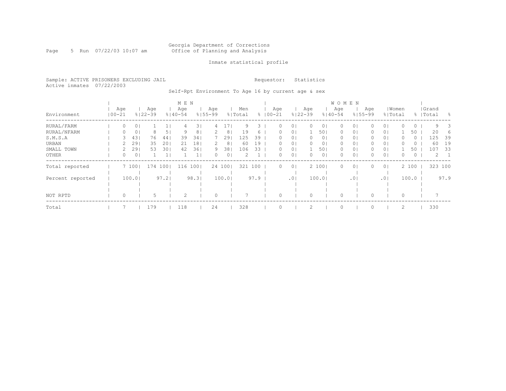#### Georgia Department of Corrections Page 5 Run 07/22/03 10:07 am Office of Planning and Analysis

## Inmate statistical profile

Sample: ACTIVE PRISONERS EXCLUDING JAIL **Requestor:** Statistics Active inmates 07/22/2003

Self-Rpt Environment To Age 16 by current age & sex

|                  |                   |        |                    |      | M E N              |      |                    |                |                |      |                    |                 |                    |                | <b>WOMEN</b>       |                 |                    |                |       |         |                    |      |
|------------------|-------------------|--------|--------------------|------|--------------------|------|--------------------|----------------|----------------|------|--------------------|-----------------|--------------------|----------------|--------------------|-----------------|--------------------|----------------|-------|---------|--------------------|------|
| Environment      | Age<br>$100 - 21$ |        | Age<br>$8122 - 39$ |      | Age<br>$8140 - 54$ |      | Aqe<br>$8155 - 99$ |                | Men<br>% Total |      | Age<br>$8100 - 21$ |                 | Age<br>$8122 - 39$ |                | Age<br>$8140 - 54$ |                 | Age<br>$8155 - 99$ | % Total        | Women |         | Grand<br>%   Total | - 옹  |
| RURAL/FARM       | 0                 | 0      |                    |      | 4                  | 31   | 4                  |                | 9              | 3.   |                    | 0 <sub>1</sub>  |                    | 01             | 0                  | 01              |                    | 0 <sub>1</sub> |       | $\circ$ | 9                  |      |
| RURAL/NFARM      | 0                 | 0      | 8                  | 5    | 9                  | 81   |                    | 8 <sup>1</sup> | 19             | 6    |                    | 0 <sub>1</sub>  |                    | 501            | 0                  | 0 <sub>1</sub>  | 0                  | 01             |       | 50      | 20                 | 6    |
| S.M.S.A          |                   | 43     | 76                 | 44   | 39                 | 341  |                    | 291            | 125            | 39   |                    | 0 <sub>1</sub>  |                    | 0 <sub>1</sub> | 0                  | 0 <sub>1</sub>  |                    | 0 <sub>1</sub> |       | $\circ$ | 125                | 39   |
| URBAN            |                   | 29     | 35                 | 20   | 21                 | 18   |                    | 8 <sup>1</sup> | 60             | 19   |                    | 0 <sup>1</sup>  |                    | 0 <sub>1</sub> | 0                  | 0 <sub>1</sub>  |                    | 0 <sub>1</sub> |       | O       | 60                 | 19   |
| SMALL TOWN       |                   | 29     | 53                 | 30   | 42                 | 361  | 9                  | 38             | 106            | 33   | 0.                 | 0 <sub>1</sub>  |                    | 501            | 0                  | 0 <sub>1</sub>  | 0                  | 0 <sub>1</sub> |       | 50      | 107                | -33  |
| OTHER            | 0                 | 0      |                    |      |                    |      | 0                  | 0 <sub>1</sub> | 2              |      | 0.                 | 0 <sup>1</sup>  | $\Omega$           | 0 <sub>1</sub> | $\Omega$           | $\circ$         |                    | 0 <sub>1</sub> | 0     | $\circ$ | 2                  |      |
| Total reported   |                   | 7 100  | 174                | 1001 | 116                | 1001 |                    | 24 100         | 321 100        |      | $\Omega$           | 0 <sup>1</sup>  |                    | 2 100          | $\circ$            | $\circ$         |                    | 0 <sup>1</sup> |       | 2 100   | 323 100            |      |
|                  |                   |        |                    |      |                    |      |                    |                |                |      |                    |                 |                    |                |                    |                 |                    |                |       |         |                    |      |
| Percent reported |                   | 100.01 |                    | 97.2 |                    | 98.3 |                    | 100.0          |                | 97.9 |                    | .0 <sub>1</sub> |                    | 100.0          |                    | .0 <sub>1</sub> |                    | .01            |       | 100.0   |                    | 97.9 |
|                  |                   |        |                    |      |                    |      |                    |                |                |      |                    |                 |                    |                |                    |                 |                    |                |       |         |                    |      |
|                  |                   |        |                    |      |                    |      |                    |                |                |      |                    |                 |                    |                |                    |                 |                    |                |       |         |                    |      |
| NOT RPTD         | $\circ$           |        | 5                  |      | 2                  |      | $\Omega$           |                |                |      |                    |                 |                    |                | $\Omega$           |                 |                    |                | 0     |         |                    |      |
| Total            |                   |        | 179                |      | 118                |      | 24                 |                | 328            |      |                    |                 | 2                  |                | $\Omega$           |                 |                    |                | 2     |         | 330                |      |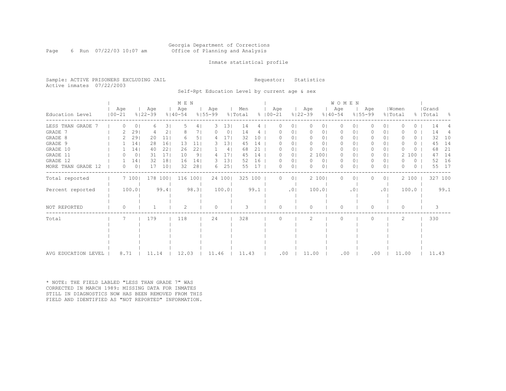#### Georgia Department of Corrections Page 6 Run 07/22/03 10:07 am Office of Planning and Analysis

## Inmate statistical profile

Sample: ACTIVE PRISONERS EXCLUDING JAIL **Requestor:** Statistics Active inmates 07/22/2003

Self-Rpt Education Level by current age & sex

|                       |                   |                  |         |                    |                 | M E N              |                |                    |                 |                |      |                     |                |                    |                | WOMEN              |                 |                    |                |                  |       |          |                    |         |
|-----------------------|-------------------|------------------|---------|--------------------|-----------------|--------------------|----------------|--------------------|-----------------|----------------|------|---------------------|----------------|--------------------|----------------|--------------------|-----------------|--------------------|----------------|------------------|-------|----------|--------------------|---------|
| Education Level       | Age<br>$100 - 21$ |                  |         | Age<br>$8122 - 39$ |                 | Aqe<br>$8140 - 54$ |                | Age<br>$8155 - 99$ |                 | Men<br>% Total |      | Aqe<br>$% 100 - 21$ |                | Aqe<br>$8122 - 39$ |                | Age<br>$8140 - 54$ |                 | Aqe<br>$8155 - 99$ |                | Women<br>% Total |       |          | Grand<br>%   Total | - 옹     |
| LESS THAN GRADE       |                   | 0                | 0       | 6                  | 31              | 5                  | 4              | 3                  | 13              | 14             | 4    | Ω                   | 0 <sup>1</sup> | $\Omega$           | 01             | $\Omega$           | 0 <sub>1</sub>  |                    | 0 <sub>1</sub> |                  |       | 0        | 14                 |         |
| GRADE 7               |                   |                  | 29      |                    | 2               | 8                  | 7              |                    | $\circ$         | 14             |      |                     | 01             |                    |                |                    | 0.              |                    | 01             |                  |       | ()       | 14                 |         |
| GRADE 8               |                   |                  | 29      | 20                 | 11              |                    | 5 <sub>1</sub> |                    | 171             | 32             | 10   |                     | 0 <sub>1</sub> | $\bigcap$          | 0 <sub>1</sub> | O.                 | 01              |                    | 0 <sup>1</sup> |                  |       | 0        | 32                 | 10      |
| GRADE 9               |                   |                  | 14      | 28                 | 161             | 13                 | 11             |                    | 131             | 45             | 14   |                     | 01             |                    | 0 <sub>1</sub> |                    | 01              |                    | 0 <sub>1</sub> |                  |       | 0        | 45                 | 14      |
| GRADE 10              |                   |                  | 14      | 40                 | 221             | 26                 | 221            |                    | 4               | 68             | 21   |                     | 0 <sub>1</sub> |                    | 0 <sub>1</sub> | $\Omega$           | 01              |                    | 0 <sub>1</sub> |                  |       | 0        | 68                 | 21      |
| GRADE 11              |                   | $\left( \right)$ | $\circ$ | 31                 | 171             | 10                 | 9 <sub>1</sub> |                    | 17 <sub>1</sub> | 45             | 14   |                     | 0 <sub>1</sub> |                    | 2 100          | $\Omega$           | 01              |                    | 0 <sup>1</sup> |                  | 100   |          | 47                 | 14      |
| GRADE 12              |                   |                  | 14      | 32                 | 18              | 16                 | 141            | 3.                 | 13              | 52             | 16   |                     | 0 <sub>1</sub> | O                  | 0 <sub>1</sub> | 0                  | 01              |                    | 0 <sub>1</sub> |                  |       | 0        | 52                 | 16      |
| MORE THAN GRADE<br>12 |                   | 0                | $\circ$ | 17                 | 10 <sub>1</sub> | 32                 | 281            | 6                  | 251             | 55             | 17   |                     | 0 <sub>1</sub> |                    | 0 <sub>1</sub> | $\Omega$           | $\Omega$        |                    | 0 <sub>1</sub> |                  |       | $\Omega$ | 55                 | 17      |
| Total reported        |                   | 7 100            |         | 178 100            |                 |                    | 116 100        |                    | 24 100          | 325 100        |      | $\bigcap$           | 0 <sup>1</sup> |                    | 2 100          | $\Omega$           | $\circ$         |                    | 0 <sub>1</sub> |                  | 2 100 |          |                    | 327 100 |
| Percent reported      |                   | 100.0            |         |                    | 99.4            |                    | 98.3           |                    | 100.0           |                | 99.1 |                     | .01            |                    | 100.0          |                    | .0 <sub>1</sub> |                    | .01            |                  | 100.0 |          |                    | 99.1    |
| NOT REPORTED          |                   | 0                |         |                    |                 | 2                  |                | $\Omega$           |                 |                |      |                     |                |                    |                | $\bigcap$          |                 |                    |                | O                |       |          |                    |         |
| Total                 |                   |                  |         | 179                |                 | 118                |                | 24                 |                 | 328            |      |                     |                | 2                  |                | $\cap$             |                 |                    |                | $\mathfrak{D}$   |       |          | 330                |         |
|                       |                   |                  |         |                    |                 |                    |                |                    |                 |                |      |                     |                |                    |                |                    |                 |                    |                |                  |       |          |                    |         |
|                       |                   |                  |         |                    |                 |                    |                |                    |                 |                |      |                     |                |                    |                |                    |                 |                    |                |                  |       |          |                    |         |
|                       |                   |                  |         |                    |                 |                    |                |                    |                 |                |      |                     |                |                    |                |                    |                 |                    |                |                  |       |          |                    |         |
|                       |                   |                  |         |                    |                 |                    |                |                    |                 |                |      |                     |                |                    |                |                    |                 |                    |                |                  |       |          |                    |         |
| AVG EDUCATION LEVEL   |                   | 8.71             |         | 11.14              |                 | 12.03              |                | 11.46              |                 | 11.43          |      | .00                 |                | 11.00              |                | .00                |                 |                    | .00            | 11.00            |       |          | 11.43              |         |

\* NOTE: THE FIELD LABLED "LESS THAN GRADE 7" WAS CORRECTED IN MARCH 1989: MISSING DATA FOR INMATES STILL IN DIAGNOSTICS NOW HAS BEEN REMOVED FROM THIS FIELD AND IDENTIFIED AS "NOT REPORTED" INFORMATION.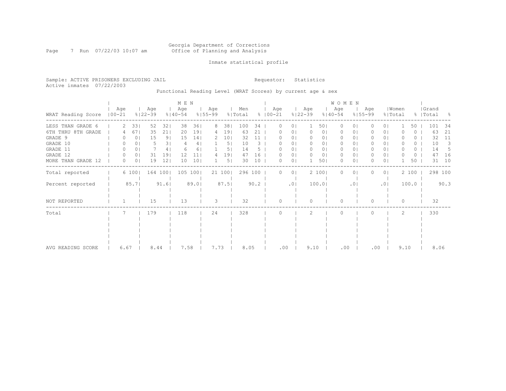#### Georgia Department of Corrections Page 7 Run 07/22/03 10:07 am Office of Planning and Analysis

## Inmate statistical profile

Sample: ACTIVE PRISONERS EXCLUDING JAIL **Requestor:** Statistics Active inmates 07/22/2003

Functional Reading Level (WRAT Scores) by current age & sex

|                    |                   |                |                    |                | M E N              |      |                    |                 |                |      |                      |                |                    |                | WOMEN              |                 |                    |                |                  |       |                    |      |
|--------------------|-------------------|----------------|--------------------|----------------|--------------------|------|--------------------|-----------------|----------------|------|----------------------|----------------|--------------------|----------------|--------------------|-----------------|--------------------|----------------|------------------|-------|--------------------|------|
| WRAT Reading Score | Age<br>$100 - 21$ |                | Age<br>$8122 - 39$ |                | Age<br>$8140 - 54$ |      | Age<br>$8155 - 99$ |                 | Men<br>% Total |      | Age<br>$8   00 - 21$ |                | Age<br>$8122 - 39$ |                | Age<br>$8140 - 54$ |                 | Age<br>$8155 - 99$ |                | Women<br>% Total |       | Grand<br>%   Total | - 옹  |
| LESS THAN GRADE 6  | 2.                | 331            | 52                 | 32             | 38                 | 361  | 8                  | 38              | 100            | 34   |                      | $\circ$        |                    | 501            | 0                  | 0               |                    | 0 <sub>1</sub> |                  | 50    | 101                | 34   |
| 6TH THRU 8TH GRADE |                   | 67             | 35                 | 211            | 20                 | 191  | 4                  | 19              | 63             | 21   |                      | 0 <sub>1</sub> | $\Omega$           | 0 <sub>1</sub> | $\left( \right)$   | 01              |                    | 0 <sub>1</sub> |                  | 0     | 63                 | 21   |
| GRADE 9            |                   | 0 <sub>1</sub> | 15                 | 9 <sub>1</sub> | 15                 | 14   | 2                  | 10 <sub>1</sub> | 32             | 11   |                      | 0 <sub>1</sub> |                    | 0 <sub>1</sub> | 0                  | 01              |                    | 0 <sub>1</sub> |                  | 0     | 32                 | 11   |
| GRADE 10           | $\Omega$          | 0              | 5                  | 31             |                    | 4    |                    | 5 <sub>1</sub>  | 10             | 3    |                      | 0 <sub>1</sub> | $\Omega$           | 0 <sub>1</sub> | 0                  | 01              | 0                  | 0 <sub>1</sub> | O                | 0     | 10                 | 3    |
| GRADE 11           | 0                 | 0              |                    | 41             | 6                  | 6    |                    | 5               | 14             |      |                      | 01             | 0                  | 0              | 0                  | 01              | 0                  | 01             | O                | 0     | 14                 | 5    |
| GRADE 12           | $\Omega$          | 0 <sub>1</sub> | 31                 | 19             | 12                 | 11   | 4                  | 19              | 47             | 16   |                      | 0              | 0                  | 0 <sub>1</sub> | 0                  | $\circ$         | 0                  | 0 <sub>1</sub> |                  | 0     | 47                 | 16   |
| MORE THAN GRADE 12 | 0                 | 0 <sub>1</sub> | 19                 | 12             | 10                 | 101  |                    | 5               | 30             | 10   | 0                    | 0 <sub>1</sub> |                    | 501            | 0                  | 0               | O                  | 0 <sub>1</sub> |                  | 50    | 31                 | 10   |
| Total reported     |                   | 6 100          |                    | 164 100        | 105                | 1001 |                    | 21 100          | 296 100        |      | 0                    | 0 <sub>1</sub> |                    | 2 100          | $\Omega$           | $\circ$         |                    | 0 <sup>1</sup> |                  | 2 100 | 298 100            |      |
| Percent reported   |                   | 85.7           |                    | 91.6           |                    | 89.0 |                    | 87.5            |                | 90.2 |                      | .01            |                    | 100.0          |                    | .0 <sub>1</sub> |                    | .01            |                  | 100.0 |                    | 90.3 |
| NOT REPORTED       |                   |                | 15                 |                | 13                 |      | 3                  |                 | 32             |      | $\cap$               |                | $\bigcap$          |                | $\Omega$           |                 | 0                  |                | $\Omega$         |       | 32                 |      |
| Total              |                   |                | 179                |                | 118                |      | 24                 |                 | 328            |      |                      |                | $\mathcal{L}$      |                | $\Omega$           |                 |                    |                | $\overline{c}$   |       | 330                |      |
|                    |                   |                |                    |                |                    |      |                    |                 |                |      |                      |                |                    |                |                    |                 |                    |                |                  |       |                    |      |
|                    |                   |                |                    |                |                    |      |                    |                 |                |      |                      |                |                    |                |                    |                 |                    |                |                  |       |                    |      |
|                    |                   |                |                    |                |                    |      |                    |                 |                |      |                      |                |                    |                |                    |                 |                    |                |                  |       |                    |      |
|                    |                   |                |                    |                |                    |      |                    |                 |                |      |                      |                |                    |                |                    |                 |                    |                |                  |       |                    |      |
| AVG READING SCORE  | 6.67              |                | 8.44               |                | 7.58               |      | 7.73               |                 | 8.05           |      | .00                  |                | 9.10               |                | .00                |                 | .00                |                | 9.10             |       | 8.06               |      |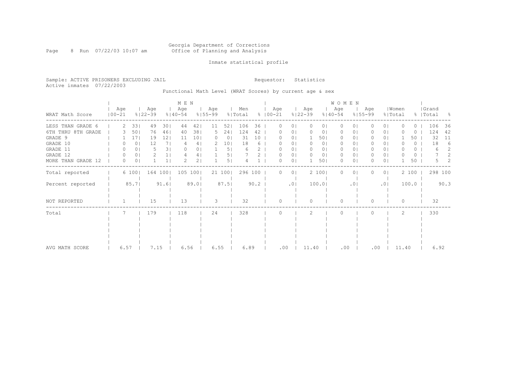#### Georgia Department of Corrections Page 8 Run 07/22/03 10:07 am Office of Planning and Analysis

## Inmate statistical profile

Sample: ACTIVE PRISONERS EXCLUDING JAIL **Requestor:** Statistics Active inmates 07/22/2003

Functional Math Level (WRAT Scores) by current age & sex

|                    |                   |       |                    |                | M E N            |                |                    |                 |                |      |                      |                 |                    |                | WOMEN              |                |                    |                |                  |       |                    |      |
|--------------------|-------------------|-------|--------------------|----------------|------------------|----------------|--------------------|-----------------|----------------|------|----------------------|-----------------|--------------------|----------------|--------------------|----------------|--------------------|----------------|------------------|-------|--------------------|------|
| WRAT Math Score    | Age<br>$100 - 21$ |       | Age<br>$8122 - 39$ |                | Age<br>$%140-54$ |                | Age<br>$8155 - 99$ |                 | Men<br>% Total |      | Age<br>$8   00 - 21$ |                 | Age<br>$8122 - 39$ |                | Age<br>$8140 - 54$ |                | Aqe<br>$8155 - 99$ |                | Women<br>% Total |       | Grand<br>%   Total | - 옹  |
| LESS THAN GRADE 6  |                   | 33    | 49                 | 301            | 44               | 42             | 11                 | 52              | 106            | 36   |                      | 0 <sub>1</sub>  | 0                  | 01             | $\Omega$           | 01             |                    | 0 <sub>1</sub> |                  | ()    | 106                | 36   |
| 6TH THRU 8TH GRADE |                   | 50    | 76                 | 461            | 40               | 381            | .5.                | 241             | 124            | 42   |                      | 0 <sub>1</sub>  |                    | 01             | 0                  | 01             |                    | 0 <sub>1</sub> |                  | 0     | 124                | 42   |
| GRADE 9            |                   | 171   | 19                 | 12             | 11               | 101            |                    | 0 <sup>1</sup>  | 31             | 10   |                      | 0 <sub>1</sub>  |                    | 501            | 0                  | 01             |                    | 0 <sub>1</sub> |                  | 50    | 32                 | 11   |
| GRADE 10           | 0                 | 0     | 12                 | 7 <sub>1</sub> |                  | 41             |                    | 10 <sub>1</sub> | 18             | 6    |                      | 01              |                    | 0 <sub>1</sub> | $\Omega$           | 01             |                    | 01             |                  | 0     | 18                 | 6    |
| GRADE 11           | 0                 | 0     | 5                  | 31             |                  | 01             |                    | 5 <sub>1</sub>  | 6              |      |                      | 01              |                    | 01             | 0                  | 01             |                    | 01             |                  | 0     | 6                  | 2    |
| GRADE 12           | 0                 | 0     |                    |                |                  | 4              |                    | 5               |                |      |                      | 0 <sub>1</sub>  |                    | 0 <sub>1</sub> | 0                  | 0 <sub>1</sub> |                    | 0 <sub>1</sub> |                  | 0     |                    | 2    |
| MORE THAN GRADE 12 | 0                 | 0     |                    |                |                  | 2 <sub>1</sub> |                    | 5 <sub>1</sub>  |                |      |                      | 0 <sub>1</sub>  |                    | 501            | $\Omega$           | $\circ$        |                    | 0 <sub>1</sub> |                  | 50    | 5.                 | 2    |
| Total reported     |                   | 6 100 |                    | 164 1001       | 105              | 1001           |                    | 21 1001         | 296 100        |      |                      | 0 <sub>1</sub>  |                    | 2 100          | $\Omega$           | 01             |                    | 0 <sub>1</sub> |                  | 2 100 | 298 100            |      |
| Percent reported   |                   | 85.7  |                    | 91.6           |                  | 89.0           |                    | 87.5            |                | 90.2 |                      | .0 <sub>1</sub> |                    | 100.01         |                    | .01            |                    | .01            |                  | 100.0 |                    | 90.3 |
| NOT REPORTED       |                   |       | 15                 |                | 13               |                | 3                  |                 | 32             |      |                      |                 | $\cap$             |                | $\Omega$           |                |                    |                | $\Omega$         |       | 32                 |      |
| Total              |                   |       | 179                |                | 118              |                | 24                 |                 | 328            |      |                      |                 | 2                  |                | $\bigcap$          |                |                    |                | 2                |       | 330                |      |
|                    |                   |       |                    |                |                  |                |                    |                 |                |      |                      |                 |                    |                |                    |                |                    |                |                  |       |                    |      |
|                    |                   |       |                    |                |                  |                |                    |                 |                |      |                      |                 |                    |                |                    |                |                    |                |                  |       |                    |      |
|                    |                   |       |                    |                |                  |                |                    |                 |                |      |                      |                 |                    |                |                    |                |                    |                |                  |       |                    |      |
| AVG MATH SCORE     | 6.57              |       | 7.15               |                | 6.56             |                | 6.55               |                 | 6.89           |      | .00                  |                 | 11.40              |                | .00                |                | .00                |                | 11.40            |       | 6.92               |      |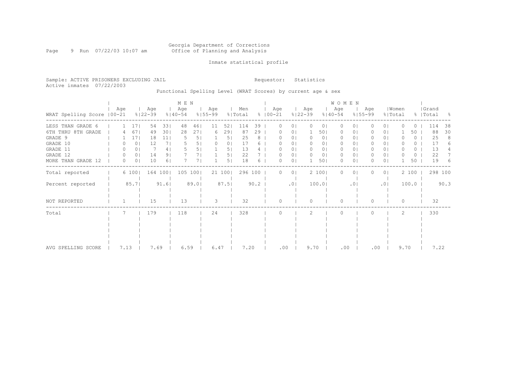#### Georgia Department of Corrections Page 9 Run 07/22/03 10:07 am Office of Planning and Analysis

## Inmate statistical profile

Sample: ACTIVE PRISONERS EXCLUDING JAIL **Requestor:** Statistics Active inmates 07/22/2003

# Functional Spelling Level (WRAT Scores) by current age & sex

|                             |      |                |                    |                | M E N              |      |                    |        |                |      |                      |                |                    |                | WOMEN              |                 |                    |                |                  |                  |                    |      |
|-----------------------------|------|----------------|--------------------|----------------|--------------------|------|--------------------|--------|----------------|------|----------------------|----------------|--------------------|----------------|--------------------|-----------------|--------------------|----------------|------------------|------------------|--------------------|------|
| WRAT Spelling Score   00-21 | Age  |                | Age<br>$8122 - 39$ |                | Age<br>$8140 - 54$ |      | Age<br>$8155 - 99$ |        | Men<br>% Total |      | Age<br>$8   00 - 21$ |                | Age<br>$8122 - 39$ |                | Age<br>$8140 - 54$ |                 | Age<br>$8155 - 99$ |                | Women<br>% Total |                  | Grand<br>%   Total | - 양  |
| LESS THAN GRADE 6           |      | 17             | 54                 | 331            | 48                 | 46   | 11                 | 52     | 114            | 39   |                      | $\circ$        | $\Omega$           | $\circ$        | $\Omega$           | $\Omega$        |                    | 0 <sub>1</sub> |                  | $\left( \right)$ | 114                | 38   |
| 6TH THRU 8TH GRADE          |      | 67             | 49                 | 301            | 28                 | 271  | 6                  | 29     | 87             | 29   |                      | $\circ$        |                    | 501            | 0                  | $\circ$         |                    | 0 <sub>1</sub> |                  | 50               | 88                 | 30   |
| GRADE 9                     |      | 171            | 18                 | 11             |                    | 5    |                    | 5      | 25             | 8    |                      | 01             |                    | 0 <sub>1</sub> | 0                  | 01              |                    | 0 <sub>1</sub> |                  | $\left( \right)$ | 25                 | 8    |
| GRADE 10                    |      | 0 <sup>1</sup> | 12                 | 71             |                    | 51   |                    | 0      | 17             |      |                      | 01             |                    | 0              | 0                  | 0               |                    | 01             |                  | 0                | 17                 |      |
| GRADE 11                    |      | 0              |                    | 4              |                    |      |                    | 5.     | 13             |      |                      | 01             |                    | 0              | $\circ$            | 0               |                    | 0 <sub>1</sub> |                  | 0                | 13                 |      |
| GRADE 12                    | 0    | 0 <sub>1</sub> | 14                 | 9              |                    |      |                    | 5      | 22             |      |                      | 0              |                    | 0 <sub>1</sub> | 0                  | 01              | 0                  | $\circ$        |                  | 0                | 22                 |      |
| MORE THAN GRADE 12          | 0    | 0 <sub>1</sub> | 10                 | 6 <sup>1</sup> |                    |      |                    | 5.     | 18             | 6    |                      | 0 <sub>1</sub> |                    | 501            | $\Omega$           | $\circ$         | 0                  | 0 <sub>1</sub> |                  | 50               | 19                 | 6    |
| Total reported              |      | 6 100          |                    | 164 100        | 105                | 1001 |                    | 21 100 | 296 100        |      | 0                    | 0 <sub>1</sub> |                    | 2 100          | $\Omega$           | $\circ$         |                    | 0 <sub>1</sub> |                  | 2 100            | 298 100            |      |
| Percent reported            |      | 85.7           |                    | 91.6           |                    | 89.0 |                    | 87.5   |                | 90.2 |                      | .01            |                    | 100.01         |                    | .0 <sub>1</sub> |                    | .01            |                  | 100.0            |                    | 90.3 |
| NOT REPORTED                |      |                | 15                 |                | 13                 |      | 3                  |        | 32             |      | $\Omega$             |                | $\Omega$           |                | $\Omega$           |                 | $\Omega$           |                | $\Omega$         |                  | 32                 |      |
| Total                       |      |                | 179                |                | 118                |      | 24                 |        | 328            |      |                      |                | 2                  |                | $\Omega$           |                 |                    |                | 2                |                  | 330                |      |
|                             |      |                |                    |                |                    |      |                    |        |                |      |                      |                |                    |                |                    |                 |                    |                |                  |                  |                    |      |
|                             |      |                |                    |                |                    |      |                    |        |                |      |                      |                |                    |                |                    |                 |                    |                |                  |                  |                    |      |
|                             |      |                |                    |                |                    |      |                    |        |                |      |                      |                |                    |                |                    |                 |                    |                |                  |                  |                    |      |
|                             |      |                |                    |                |                    |      |                    |        |                |      |                      |                |                    |                |                    |                 |                    |                |                  |                  |                    |      |
| AVG SPELLING SCORE          | 7.13 |                | 7.69               |                | 6.59               |      | 6.47               |        | 7.20           |      | .00                  |                | 9.70               |                | .00                |                 | .00                |                | 9.70             |                  | 7.22               |      |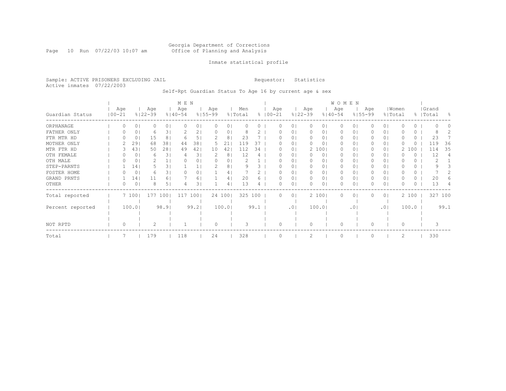#### Georgia Department of Corrections Page 10 Run 07/22/03 10:07 am Office of Planning and Analysis

## Inmate statistical profile

Sample: ACTIVE PRISONERS EXCLUDING JAIL **Requestor:** Statistics Active inmates 07/22/2003

Self-Rpt Guardian Status To Age 16 by current age & sex

|                  |                   |          |     |                    |                | M E N              |       |                    |        |                |      |                    |                |                    |                | WOMEN              |           |                    |                |          |          |                    |         |     |
|------------------|-------------------|----------|-----|--------------------|----------------|--------------------|-------|--------------------|--------|----------------|------|--------------------|----------------|--------------------|----------------|--------------------|-----------|--------------------|----------------|----------|----------|--------------------|---------|-----|
| Guardian Status  | Age<br>$100 - 21$ |          |     | Age<br>$8122 - 39$ |                | Age<br>$8140 - 54$ |       | Age<br>$8155 - 99$ |        | Men<br>% Total |      | Age<br>$8100 - 21$ |                | Age<br>$8122 - 39$ |                | Age<br>$8140 - 54$ |           | Age<br>$8155 - 99$ | % Total        | Women    |          | Grand<br>%   Total |         | - 옹 |
| ORPHANAGE        |                   | $\Omega$ | 0   |                    | 0 <sup>1</sup> | $\Omega$           | 01    |                    | 0      |                |      |                    | 0              |                    | 01             | $\Omega$           | 0         |                    | 01             |          | 0        |                    |         |     |
| FATHER ONLY      |                   |          | 0   | 6                  | 31             |                    | 2     |                    | 0      |                |      |                    | 01             | $\Omega$           | 01             | 0                  | 0         |                    | 0 <sub>1</sub> |          | 0        |                    |         |     |
| FTR MTR HD       |                   |          | 0   | 15                 | 8              | $\sqrt{2}$         | 5.    |                    | 8      | 23             |      |                    | $\Omega$       | $\Omega$           | 01             | $\Omega$           | 0         |                    | 0 <sub>1</sub> |          | 0        |                    | 23      |     |
| MOTHER ONLY      |                   |          | 29  | 68                 | 381            | 44                 | 38    | 5                  | 21     | 119            | 37   |                    | 01             | $\Omega$           | 01             | 0                  | 0         |                    | 01             | O        | 0        | 119                |         | 36  |
| MTR FTR HD       |                   |          | 431 | 50                 | 281            | 49                 | 42    | 10                 | 42     | 112            | 34   |                    | 0 <sub>1</sub> |                    | 2 100          | $\Omega$           | 0         |                    | 0 <sub>1</sub> | 2        | 100      | 114                |         | 35  |
| OTH FEMALE       |                   |          | 0   | 6                  | 31             | 4                  | 31    |                    | 8      | 12             | 4    |                    | 01             | 0                  | 0 <sub>1</sub> | 0                  | 0         |                    | 01             |          | 0        |                    | 12      | 4   |
| OTH MALE         |                   |          | 0   |                    |                |                    | 0     | O.                 | 0      |                |      |                    | $\circ$        | $\Omega$           | 01             | 0                  | 0         |                    | 0 <sub>1</sub> |          | 0        |                    |         |     |
| STEP-PARNTS      |                   |          | 14  |                    | 3.             |                    |       |                    | 8      |                |      |                    | 01             | $\Omega$           | 0              | 0                  | 0         |                    | 01             |          | 0.       |                    |         |     |
| FOSTER HOME      |                   |          | 0   | 6                  | 31             |                    | 0     |                    | 4      |                |      |                    | 0              | 0                  | 0              | 0                  | 0         |                    | 01             |          | 0        |                    |         |     |
| GRAND PRNTS      |                   |          | 14  | 11                 | 6.             |                    | 6.    |                    | 4      | 20             |      |                    | 01             | 0                  | 0              | 0                  | 0         |                    | 0 <sub>1</sub> |          | 0        |                    | 20      |     |
| OTHER            |                   | 0        | 0   | 8                  | 5              |                    | 3     |                    | 4      | 13             | 4    |                    | $\circ$        |                    | 0              | 0                  | 0         |                    | 0 <sub>1</sub> | O        | $\Omega$ |                    | 13      |     |
| Total reported   |                   | 7 100    |     | 177                | 1001           | 117                | 1001  |                    | 24 100 | 325            | 100  |                    | 0 <sup>1</sup> |                    | 2 100          | $\Omega$           | 0         |                    | 0 <sup>1</sup> |          | 2 100    |                    | 327 100 |     |
| Percent reported |                   | 100.01   |     |                    | 98.9           |                    | 99.21 |                    | 100.01 |                | 99.1 |                    | .01            |                    | 100.01         |                    | $\cdot$ 0 |                    | .01            |          | 100.0    |                    | 99.1    |     |
|                  |                   |          |     |                    |                |                    |       |                    |        |                |      |                    |                |                    |                |                    |           |                    |                |          |          |                    |         |     |
| NOT RPTD         |                   | $\Omega$ |     |                    |                |                    |       | $\bigcap$          |        | २              |      | ∩                  |                | $\Omega$           |                | $\Omega$           |           | O                  |                | $\Omega$ |          |                    |         |     |
| Total            |                   |          |     | 179                |                | 118                |       | 24                 |        | 328            |      |                    |                |                    |                | $\Omega$           |           |                    |                | 2        |          | 330                |         |     |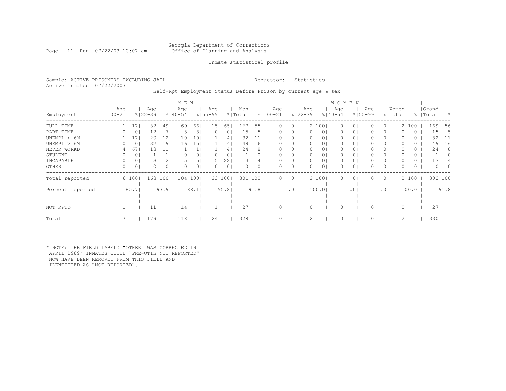# Georgia Department of Corrections<br>Office of Planning and Analysis

Page 11 Run 07/22/03 10:07 am

## Inmate statistical profile

Sample: ACTIVE PRISONERS EXCLUDING JAIL **Requestor:** Statistics Active inmates 07/22/2003

Self-Rpt Employment Status Before Prison by current age & sex

|                  |                  |       |                    |                | M E N              |                |                    |                |                |      |             |     |                 |           |                | <b>WOMEN</b>       |                |     |                |       |         |           |          |                  |
|------------------|------------------|-------|--------------------|----------------|--------------------|----------------|--------------------|----------------|----------------|------|-------------|-----|-----------------|-----------|----------------|--------------------|----------------|-----|----------------|-------|---------|-----------|----------|------------------|
| Employment       | Age<br>  00-21   |       | Age<br>$8122 - 39$ |                | Age<br>$8140 - 54$ |                | Age<br>$8155 - 99$ |                | Men<br>% Total |      | $8100 - 21$ | Age | $8122 - 39$     | Age       |                | Age<br>$8140 - 54$ | $8155 - 99$    | Age | % Total        | Women |         | %   Total | Grand    | - 옹              |
| FULL TIME        |                  | 17    | 82                 | 491            | 69                 | 661            | 15                 | 651            | 167            | 55   |             | 0   | $\circ$         |           | 2 100          | $\circ$            | 01             |     | 0 <sub>1</sub> |       | 2 100   |           | 169      | 56               |
| PART TIME        |                  | 0     | 12                 | 71             | 3                  | 31             |                    | 01             | 15             | د.   |             |     | $\circ$         | $\Omega$  | 0 <sub>1</sub> | 0                  | 0 <sub>1</sub> |     | 0 <sub>1</sub> |       | $\circ$ |           | 15       | -5               |
| UNEMPL < 6M      |                  | 17    | 20                 | 12             | 10                 | 101            |                    | 4              | 32             |      |             |     | $\circ$         |           | 01             |                    | 0              |     | 0 <sub>1</sub> |       | Ü       |           | 32       | -11              |
| UNEMPL > 6M      |                  | 0     | 32                 | 191            | 16                 | 151            |                    | 41             | 49             | 16   |             | 0   | $\circ$         | $\bigcap$ | 0 <sup>1</sup> | 0                  | 01             |     | 0 <sub>1</sub> |       | 0       |           | 49       | 16               |
| NEVER WORKD      |                  | 67    | 18                 | 11             |                    |                |                    | 4              | 24             | 8    |             | 0   | 0               | $\Omega$  |                | $\Omega$           | 0              |     | 0 <sub>1</sub> |       | 0       |           | 24       | 8                |
| STUDENT          | $\left( \right)$ | 0     |                    |                |                    | 0              |                    | 0              |                |      |             |     | $\circ$         | $\Omega$  | 0 <sup>1</sup> | 0                  | 01             |     | 0 <sub>1</sub> |       | 0       |           |          | $\left( \right)$ |
| INCAPABLE        | 0                | 0     |                    | 2              |                    |                | 5                  | 22'            | 13             |      |             |     | $\circ$         | $\Omega$  | 0              | 0                  | 0              |     | 0 <sub>1</sub> |       |         |           | 13       |                  |
| OTHER            | 0                | 0     |                    | 0 <sub>1</sub> | 0                  | 0 <sub>1</sub> |                    | 0 <sub>1</sub> | $\Omega$       | 0    |             | 0   | $\circ$         | $\Omega$  | 0 <sup>1</sup> | $\circ$            | 0 <sub>1</sub> |     | 0 <sub>1</sub> | 0     | 0       |           | $\Omega$ | $\Omega$         |
| Total reported   |                  | 6 100 | 168                | 1001           | 104                | 1001           |                    | 23 1001        | 301            | 100  |             | 0   | $\circ$         |           | 2 1001         | $\Omega$           | 0 <sub>1</sub> |     | 0 <sub>1</sub> |       | 2 100   |           | 303 100  |                  |
|                  |                  |       |                    |                |                    |                |                    |                |                |      |             |     |                 |           |                |                    |                |     |                |       |         |           |          |                  |
| Percent reported |                  | 85.7  |                    | 93.9           |                    | 88.1           |                    | 95.81          |                | 91.8 |             |     | .0 <sub>1</sub> |           | 100.01         |                    | .01            |     | .01            |       | 100.0   |           |          | 91.8             |
|                  |                  |       |                    |                |                    |                |                    |                |                |      |             |     |                 |           |                |                    |                |     |                |       |         |           |          |                  |
|                  |                  |       |                    |                |                    |                |                    |                |                |      |             |     |                 |           |                |                    |                |     |                |       |         |           |          |                  |
| NOT RPTD         |                  |       | 11                 |                | 14                 |                |                    |                | 27             |      |             |     |                 | 0         |                |                    |                |     |                | 0     |         |           | 27       |                  |
| Total            |                  |       | 179                |                | 118                |                | 24                 |                | 328            |      |             |     |                 |           |                |                    |                |     |                | 2     |         |           | 330      |                  |

\* NOTE: THE FIELD LABELD "OTHER" WAS CORRECTED IN APRIL 1989; INMATES CODED "PRE-OTIS NOT REPORTED" NOW HAVE BEEN REMOVED FROM THIS FIELD AND IDENTIFIED AS "NOT REPORTED".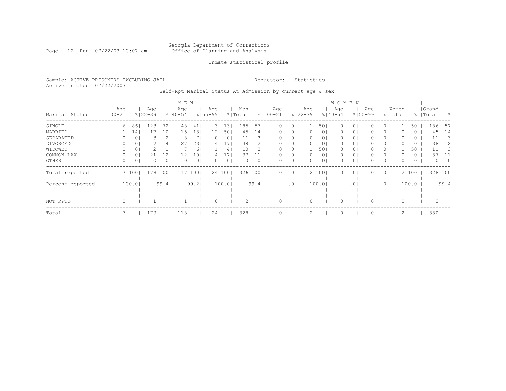#### Georgia Department of Corrections Page 12 Run 07/22/03 10:07 am Office of Planning and Analysis

## Inmate statistical profile

Sample: ACTIVE PRISONERS EXCLUDING JAIL **Requestor:** Statistics Active inmates 07/22/2003

Self-Rpt Marital Status At Admission by current age & sex

|                  |                   |                |                    |                | M E N              |       |                    |        |                |      |                    |                |                    |                | W O M E N          |                |                    |                |       |          |                    |            |
|------------------|-------------------|----------------|--------------------|----------------|--------------------|-------|--------------------|--------|----------------|------|--------------------|----------------|--------------------|----------------|--------------------|----------------|--------------------|----------------|-------|----------|--------------------|------------|
| Marital Status   | Age<br>$100 - 21$ |                | Age<br>$8122 - 39$ |                | Age<br>$8140 - 54$ |       | Age<br>$8155 - 99$ |        | Men<br>% Total |      | Age<br>$8100 - 21$ |                | Age<br>$8122 - 39$ |                | Age<br>$8140 - 54$ |                | Age<br>$8155 - 99$ | % Total        | Women |          | Grand<br>%   Total | - 옹        |
| SINGLE           | 6                 | 86             | 128                | 72             | 48                 | 41    | 3                  | 13     | 185            | 57   | 0                  | $\Omega$       |                    | 501            | $\Omega$           | 01             |                    | 0 <sub>1</sub> |       | 50       | 186                | 57         |
| MARRIED          |                   | 14             |                    | 101            | 15                 | 13    | 12                 | 50     | 45             | 14   |                    | 01             |                    | 0 <sub>1</sub> | 0                  | 01             |                    | 0 <sub>1</sub> |       | 0        | 45                 | 14         |
| SEPARATED        |                   | 0              |                    | 2 <sub>1</sub> | 8                  |       | 0                  | 0      | 11             | 3    | 0                  | 0              | 0                  | 01             | 0                  | 0 <sub>1</sub> |                    | 0 <sub>1</sub> |       | 0        | 11                 | - 3        |
| DIVORCED         |                   | 01             |                    | 4              | 27                 | 23    | 4                  |        | 38             | L2.  | 0                  | 0 <sup>1</sup> | $\Omega$           | 0 <sub>1</sub> | 0                  | 0 <sub>1</sub> |                    | 0 <sub>1</sub> | 0     | $\circ$  | 38                 | 12         |
| WIDOWED          | 0                 | 0              |                    | Ψ.             |                    | 61    |                    | 4      | 10             | 3.   | $\left( \right)$   | 0 <sup>1</sup> |                    | 501            | 0                  | 01             | 0                  | 0 <sub>1</sub> |       | 50       | 11                 | - 3        |
| COMMON LAW       |                   | 0              | 21                 | 12             | 12                 | 10    |                    |        | 37             |      |                    | 0              |                    | 0 <sub>1</sub> | 0                  | 0 <sub>1</sub> |                    | 0 <sub>1</sub> |       | 0        | 37                 | 11         |
| OTHER            |                   | 0 <sub>1</sub> |                    | 0 <sub>1</sub> | $\Omega$           | 0     | 0                  | 0      | $\Omega$       | 0    | 0                  | 0 <sub>1</sub> |                    | 0 <sub>1</sub> | $\Omega$           | 0 <sub>1</sub> |                    | 0 <sub>1</sub> | 0     | $\Omega$ | $\Omega$           | $\bigcirc$ |
| Total reported   |                   | 7 100          | 178                | 1001           | 117                | 100   |                    | 24 100 | 326            | 100  | 0                  | $\circ$        |                    | 2 1001         | U                  | 0 <sub>1</sub> |                    | 0 <sup>1</sup> |       | 2 100    | 328 100            |            |
| Percent reported |                   | 100.01         |                    | 99.41          |                    | 99.21 |                    | 100.01 |                | 99.4 |                    | .01            |                    | 100.01         |                    | .01            |                    | .01            |       | 100.0    |                    | 99.4       |
|                  |                   |                |                    |                |                    |       |                    |        |                |      |                    |                |                    |                |                    |                |                    |                |       |          |                    |            |
|                  |                   |                |                    |                |                    |       |                    |        |                |      |                    |                |                    |                |                    |                |                    |                |       |          |                    |            |
| NOT RPTD         |                   |                |                    |                |                    |       | $\Omega$           |        | $\mathcal{D}$  |      |                    |                |                    |                |                    |                |                    |                |       |          |                    |            |
| Total            |                   |                | 179                |                | 118                |       | 24                 |        | 328            |      |                    |                |                    |                |                    |                |                    |                | 2     |          | 330                |            |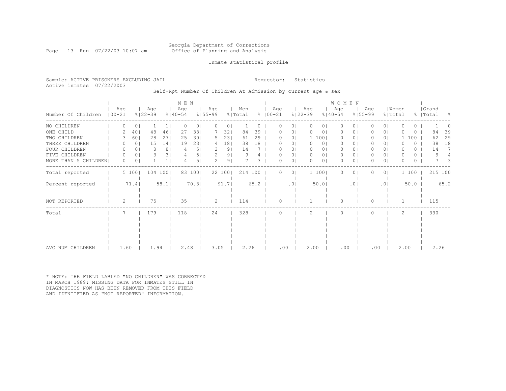# Georgia Department of Corrections<br>Office of Planning and Analysis

Page 13 Run 07/22/03 10:07 am

## Inmate statistical profile

Sample: ACTIVE PRISONERS EXCLUDING JAIL **Requestor:** Statistics Active inmates 07/22/2003

Self-Rpt Number Of Children At Admission by current age & sex

|                      |            |          |                |                    |                | M E N              |          |                    |                |                |      |                      |                |                    |                | WOMEN              |                 |                    |                |                  |       |          |                    |                |
|----------------------|------------|----------|----------------|--------------------|----------------|--------------------|----------|--------------------|----------------|----------------|------|----------------------|----------------|--------------------|----------------|--------------------|-----------------|--------------------|----------------|------------------|-------|----------|--------------------|----------------|
| Number Of Children   | $100 - 21$ | Age      |                | Age<br>$8122 - 39$ |                | Age<br>$8140 - 54$ |          | Age<br>$8155 - 99$ |                | Men<br>% Total |      | Age<br>$8   00 - 21$ |                | Age<br>$8122 - 39$ |                | Age<br>$8140 - 54$ |                 | Age<br>$8155 - 99$ |                | Women<br>% Total |       |          | Grand<br>%   Total | $\frac{6}{10}$ |
| NO CHILDREN          |            |          | 0              |                    |                | O                  | $\Omega$ | $\Omega$           | 0              |                |      |                      | 0              | $\mathbf{0}$       | $\circ$        | 0                  | 0               | 0                  | $\Omega$       | O                |       | 0        |                    |                |
| ONE CHILD            |            |          | 40             | 48                 | 46             | 27                 | 331      |                    | 32             | 84             | 39   | O                    | $\circ$        | $\Omega$           | $\circ$        | 0                  | $\circ$         | 0                  | 0 <sup>1</sup> | O                |       | 0        | 84                 | 39             |
| TWO CHILDREN         |            |          | 601            | 28                 | 271            | 25                 | 301      | 5                  | 231            | 61             | 29   |                      | $\circ$        |                    | 1 100          | $\mathbf{0}$       | 01              |                    | 0 <sup>1</sup> |                  | 100   |          | 62                 | 29             |
| THREE CHILDREN       |            |          | 0 <sub>1</sub> | 15                 | 141            | 19                 | 231      | 4                  | 181            | 38             | 18   |                      | $\circ$        | $\mathbf{0}$       | 0 <sub>1</sub> | $\mathbf{0}$       | $\circ$         | 0                  | 0 <sub>1</sub> | O                |       | $\Omega$ | 38                 | 18             |
| FOUR CHILDREN        |            |          | 0              | 8                  | 8 <sup>1</sup> |                    | 5        | 2                  | 9 <sub>1</sub> | 14             |      | O                    | 01             | 0                  | 0              | $\mathbf{0}$       | $\circ$         | 0                  | 0 I            | $\Omega$         |       | 0        | 14                 | 7              |
| FIVE CHILDREN        |            |          | 0 <sub>1</sub> | 3.                 | 31             |                    | 5        |                    | 91             | 9              |      | O                    | 0              | $\circ$            | 0 <sub>1</sub> | $\mathbf{0}$       | $\circ$         | 0                  | 0 <sub>1</sub> | $\Omega$         |       | 0        | 9                  |                |
| MORE THAN 5 CHILDREN |            | $\Omega$ | $\Omega$       |                    |                |                    | 5 I      | 2                  | 9 <sub>1</sub> |                | 3    | 0                    | $\circ$        | $\Omega$           | 01             | $\Omega$           | 0               | 0                  | 0 <sup>1</sup> | O                |       | 0        |                    | 3              |
| Total reported       |            |          | 5 100          | 104 100            |                |                    | 83 100   |                    | 22 100         | 214 100        |      | $\Omega$             | 0 <sup>1</sup> |                    | 1 100          | $\Omega$           | $\circ$         | 0                  | 0 <sup>1</sup> |                  | 1 100 |          |                    | 215 100        |
| Percent reported     |            |          | 71.4           |                    | 58.1           |                    | 70.3     |                    | 91.7           |                | 65.2 |                      | .01            |                    | 50.0           |                    | .0 <sub>1</sub> |                    | .01            |                  | 50.0  |          |                    | 65.2           |
| NOT REPORTED         |            | 2        |                | 75                 |                | 35                 |          | 2                  |                | 114            |      | $\bigcap$            |                |                    |                | $\Omega$           |                 | $\Omega$           |                |                  |       |          | 115                |                |
| Total                |            |          |                | 179                |                | 118                |          | 24                 |                | 328            |      | $\Omega$             |                | 2                  |                | $\Omega$           |                 | $\Omega$           |                | 2                |       |          | 330                |                |
|                      |            |          |                |                    |                |                    |          |                    |                |                |      |                      |                |                    |                |                    |                 |                    |                |                  |       |          |                    |                |
|                      |            |          |                |                    |                |                    |          |                    |                |                |      |                      |                |                    |                |                    |                 |                    |                |                  |       |          |                    |                |
|                      |            |          |                |                    |                |                    |          |                    |                |                |      |                      |                |                    |                |                    |                 |                    |                |                  |       |          |                    |                |
|                      |            |          |                |                    |                |                    |          |                    |                |                |      |                      |                |                    |                |                    |                 |                    |                |                  |       |          |                    |                |
| AVG NUM CHILDREN     |            | 1.60     |                | 1.94               |                | 2.48               |          | 3.05               |                | 2.26           |      | .00                  |                | 2.00               |                | .00                |                 | .00                |                | 2.00             |       |          | 2.26               |                |

\* NOTE: THE FIELD LABLED "NO CHILDREN" WAS CORRECTED IN MARCH 1989: MISSING DATA FOR INMATES STILL IN DIAGNOSTICS NOW HAS BEEN REMOVED FROM THIS FIELD AND IDENTIFIED AS "NOT REPORTED" INFORMATION.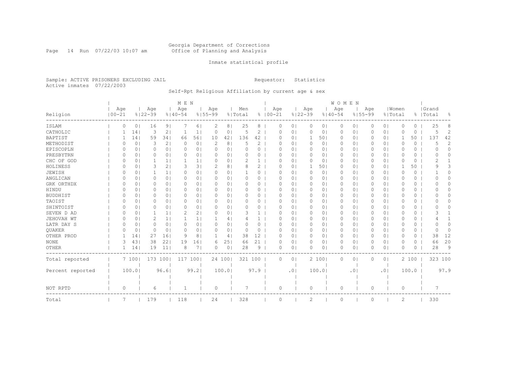#### Georgia Department of Corrections Page 14 Run 07/22/03 10:07 am Office of Planning and Analysis

## Inmate statistical profile

Sample: ACTIVE PRISONERS EXCLUDING JAIL **Requestor:** Statistics Active inmates 07/22/2003

# Self-Rpt Religious Affiliation by current age & sex

|                  |            |          |                |             |                | M E N       |                |             |                |          |          |             |                |             |                | <b>WOMEN</b> |           |             |                |          |          |                  |          |
|------------------|------------|----------|----------------|-------------|----------------|-------------|----------------|-------------|----------------|----------|----------|-------------|----------------|-------------|----------------|--------------|-----------|-------------|----------------|----------|----------|------------------|----------|
|                  |            | Age      |                | Age         |                | Age         |                | Age         |                | Men      |          | Age         |                | Age         |                | Age          |           | Age         |                | Women    |          | Grand            |          |
| Religion         | $100 - 21$ |          |                | $8122 - 39$ |                | $8140 - 54$ |                | $8155 - 99$ |                | % Total  |          | $8100 - 21$ |                | $8122 - 39$ |                | $8140 - 54$  |           | $8155 - 99$ |                | % Total  |          | %   Total        | ႜ        |
| ISLAM            |            | 0        | 0 <sup>1</sup> | 16          | 9 <sub>1</sub> |             | 61             | 2           | 8              | 25       | 8        | 0           | 0              | 0           | 0 <sub>1</sub> | 0            | 0         | 0           | 0 <sub>1</sub> | 0        | $\Omega$ | 25               | 8        |
| CATHOLIC         |            |          | 14             | 3           | 2              |             | $\mathbf{1}$   | $\Omega$    | 0              | 5        | 2        | 0           | $\circ$        | 0           | 0 <sub>1</sub> | 0            | $\circ$   | 0           | 0 <sup>1</sup> | $\Omega$ | 0        | 5                | 2        |
| BAPTIST          |            |          | 14             | 59          | 341            | 66          | 561            | 10          | 42             | 136      | 42       | O           | 0 <sub>1</sub> | -1          | 501            | $\circ$      | $\circ$   | 0           | 0 <sub>1</sub> | -1       | 50       | 137              | 42       |
| METHODIST        |            | O        | 0              | 3           | 2 <sub>1</sub> | $\Omega$    | 0 <sub>1</sub> | 2           | 8              | 5        | 2        | 0           | $\Omega$       | 0           | 0 <sub>1</sub> | 0            | 0         | 0           | 0 <sup>1</sup> | 0        | 0        | 5                | 2        |
| EPISCOPLN        |            | $\Omega$ | 0 <sub>1</sub> | 0           | 0 <sub>1</sub> | $\Omega$    | 0 <sub>1</sub> | 0           | 0              | 0        | $\Omega$ | 0           | $\circ$        | 0           | 0 <sub>1</sub> | 0            | 0         | 0           | 0 <sub>1</sub> | 0        | 0        | 0                | $\Omega$ |
| PRESBYTRN        |            | 0        | 0 <sub>1</sub> | 0           | 0 <sub>1</sub> | $\Omega$    | 0 <sub>1</sub> | 0           | 0 <sub>1</sub> |          | 0        | 0           | $\circ$        | 0           | 0 <sub>1</sub> | 0            | $\circ$   | 0           | 0 <sup>1</sup> | $\Omega$ | 0        | 0                | 0        |
| CHC OF GOD       |            | O        | 0 <sup>1</sup> |             | 11             |             | $1\vert$       | $\Omega$    | 0              | 2        |          | 0           | $\circ$        | 0           | 0 <sub>1</sub> | 0            | $\circ$   | 0           | 0 <sup>1</sup> | 0        | 0        | 2                |          |
| HOLINESS         |            | $\Omega$ | $\Omega$       | 3           | 2 <sub>1</sub> | 3           | 31             | 2           | 8              | 8        | 2        | O           | $\Omega$       | -1          | 501            | $\Omega$     | $\Omega$  | $\Omega$    | 0 <sup>1</sup> | 1        | 50       | q                | 3        |
| JEWISH           |            | O        | 0              |             | 1 <sup>1</sup> | 0           | 0 <sub>1</sub> | 0           | 0              |          | 0        | 0           | $\circ$        | 0           | 0 <sub>1</sub> | 0            | $\circ$   | 0           | 0 <sup>1</sup> | 0        | 0        |                  | $\Omega$ |
| ANGLICAN         |            |          | 0              | 0           | 0 <sub>1</sub> | $\Omega$    | 0 <sub>1</sub> | $\Omega$    | 0 <sub>1</sub> |          | 0        | O           | $\circ$        | 0           | 01             | 0            | 0         | 0           | 0 <sup>1</sup> | O        | 0        |                  | O        |
| GRK ORTHDX       |            | $\Omega$ | 0 <sup>1</sup> | 0           | 0 <sub>1</sub> | $\Omega$    | 0 <sub>1</sub> | $\Omega$    | 0 <sub>1</sub> |          | 0        | 0           | $\circ$        | 0           | 0              | 0            | 0         | 0           | 0 <sub>1</sub> | 0        | 0        | O                | 0        |
| HINDU            |            | $\Omega$ | 0 <sup>1</sup> | 0           | 0 <sub>1</sub> | $\Omega$    | 0 <sub>1</sub> | $\Omega$    | 0 <sub>1</sub> | O        | $\Omega$ | O           | $\Omega$       | $\circ$     | 0 <sub>1</sub> | 0            | 0         | 0           | 0 <sub>1</sub> | O        | 0        |                  | 0        |
| <b>BUDDHIST</b>  |            | $\Omega$ | 0 <sub>1</sub> | 0           | 0 <sub>1</sub> | $\Omega$    | 0 <sub>1</sub> | $\Omega$    | 0 <sub>1</sub> | 0        | $\Omega$ | 0           | $\circ$        | 0           | 0 <sub>1</sub> | $\mathbf{0}$ | 0         | 0           | 0 <sub>1</sub> | 0        | 0        |                  | 0        |
| TAOIST           |            |          | 0 <sub>1</sub> | 0           | $\Omega$       | $\Omega$    | 0 <sub>1</sub> | $\Omega$    | 0 <sub>1</sub> |          | $\Omega$ | 0           | $\Omega$       | $\circ$     | 0 <sub>1</sub> | 0            | $\circ$   | 0           | 0 <sub>1</sub> | 0        | $\Omega$ |                  | U        |
| SHINTOIST        |            | $\Omega$ | $\Omega$       | 0           | $\Omega$       | $\Omega$    | 0 <sub>1</sub> | $\Omega$    | $\Omega$       | $\Omega$ | $\Omega$ | 0           | $\Omega$       | 0           | $\circ$        | 0            | 0         | 0           | 0 <sup>1</sup> | $\Omega$ | $\Omega$ | $\left( \right)$ | Λ        |
| SEVEN D AD       |            | $\Omega$ | $\Omega$       |             | 1 <sub>1</sub> | 2           | 2 <sub>1</sub> | $\Omega$    | 0              | 3        |          | O           | $\Omega$       | 0           | $\Omega$       | 0            | $\Omega$  | $\Omega$    | 0 <sup>1</sup> | $\Omega$ | 0        | 3                |          |
| JEHOVAH WT       |            | $\Omega$ | 0              | 2           | 1 <sub>1</sub> |             | $1\vert$       |             | 4              |          |          | 0           | $\Omega$       | 0           | 01             | 0            | 0         | $\Omega$    | 0 <sup>1</sup> | $\Omega$ | 0        |                  |          |
| LATR DAY S       |            | O        | 0              | 0           | 0 <sub>1</sub> | O           | 0 <sub>1</sub> | $\Omega$    | 0              |          | 0        | O           | 01             | 0           | 01             | 0            | 0         | 0           | 0 <sub>1</sub> | 0        | 0        |                  | U        |
| QUAKER           |            | 0        | 0              | 0           | 0 <sup>1</sup> | $\Omega$    | 0 <sub>1</sub> | $\Omega$    | 0 <sub>1</sub> | O        | 0        | 0           | $\circ$        | 0           | 01             | 0            | 0         | 0           | 0 <sup>1</sup> | 0        | 0        | $\Omega$         | $\Omega$ |
| OTHER PROD       |            |          | 14             | 27          | 16             | -9          | 8 <sup>1</sup> | -1          | 4              | 38       | 12       | 0           | $\circ$        | $\circ$     | 0 <sub>1</sub> | 0            | $\circ$   | 0           | 0 <sub>1</sub> | 0        | 0        | 38               | 12       |
| $\rm{NONE}$      |            | 3        | 431            | 38          | 22             | 19          | 161            | 6           | 251            | 66       | 21       | 0           | $\circ$        | $\circ$     | 01             | $\circ$      | $\circ$   | 0           | 0 <sup>1</sup> | $\Omega$ | 0        | 66               | 20       |
| OTHER            |            |          | 14             | 19          | 11             | 8           | 71             | 0           | 0              | 28       | 9        | 0           | $\circ$        | $\circ$     | 0 <sub>1</sub> | 0            | 0         | 0           | 0 <sup>1</sup> | $\Omega$ | 0        | 28               | 9        |
| Total reported   |            |          | 7 1001         | 173 100     |                | 117         | 1001           |             | 24 100         |          | 321 100  | $\Omega$    | $\circ$        |             | 2 100          | 0            | 0         | $\Omega$    | 0 <sub>1</sub> |          | 2 100    | 323 100          |          |
|                  |            |          |                |             |                |             |                |             |                |          |          |             |                |             |                |              |           |             |                |          |          |                  |          |
| Percent reported |            |          | 100.0          |             | 96.6           |             | 99.2           |             | 100.0          |          | 97.9     |             | .01            |             | 100.0          |              | $\cdot$ 0 |             | .01            |          | 100.0    |                  | 97.9     |
|                  |            |          |                |             |                |             |                |             |                |          |          |             |                |             |                |              |           |             |                |          |          |                  |          |
|                  |            |          |                |             |                |             |                |             |                |          |          |             |                |             |                |              |           |             |                |          |          |                  |          |
| NOT RPTD         |            | $\circ$  |                | 6           |                |             |                | 0           |                |          |          | $\circ$     |                | $\circ$     |                | $\circ$      |           | $\circ$     |                | $\circ$  |          | 7                |          |
| Total            |            | 7        |                | 179         |                | 118         |                | 24          |                | 328      |          | $\circ$     |                | 2           |                | $\circ$      |           | $\circ$     |                | 2        |          | 330              |          |
|                  |            |          |                |             |                |             |                |             |                |          |          |             |                |             |                |              |           |             |                |          |          |                  |          |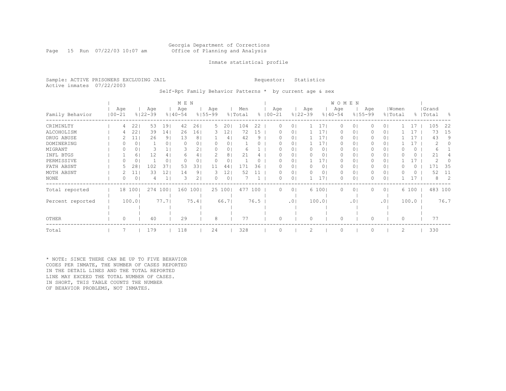## Georgia Department of Corrections Page 15 Run 07/22/03 10:07 am Office of Planning and Analysis

## Inmate statistical profile

Sample: ACTIVE PRISONERS EXCLUDING JAIL **Requestor:** Statistics Active inmates 07/22/2003

Self-Rpt Family Behavior Patterns \* by current age & sex

|                  |                   |                 |                    |                | M E N              |                |                    |        |                |      |                     |                |                    |                 | <b>WOMEN</b>       |                |                    |                |       |           |                    |         |      |
|------------------|-------------------|-----------------|--------------------|----------------|--------------------|----------------|--------------------|--------|----------------|------|---------------------|----------------|--------------------|-----------------|--------------------|----------------|--------------------|----------------|-------|-----------|--------------------|---------|------|
| Family Behavior  | Age<br>$100 - 21$ |                 | Age<br>$8122 - 39$ |                | Age<br>$8140 - 54$ |                | Age<br>$8155 - 99$ |        | Men<br>% Total |      | Age<br>$% 100 - 21$ |                | Age<br>$8122 - 39$ |                 | Age<br>$8140 - 54$ |                | Age<br>$8155 - 99$ | % Total        | Women |           | Grand<br>%   Total |         | - 옹  |
| CRIMINLTY        | 4                 | 22              | 53                 | 191            | 42                 | 26             | 5.                 | 20     | 104            | 22   | 0                   | $\Omega$       |                    | 171             | 0                  | 0 <sub>1</sub> |                    | 0 <sub>1</sub> |       | 17        |                    | 105     | 22   |
| ALCOHOLISM       | 4                 | 22              | 39                 | 14             | 26                 | 161            | 3.                 | 12     | 72             | 15   | 0                   | 01             |                    | 171             | $\Omega$           | 0 <sub>1</sub> |                    | 0 <sub>1</sub> |       | 17        |                    | 73      | 15   |
| DRUG ABUSE       |                   | 11 <sup>1</sup> | 26                 | 9 <sub>1</sub> | 13                 | 8 <sup>1</sup> |                    | 4      | 42             | 9    | $\left( \right)$    | 01             |                    | 171             | $\Omega$           | 0 <sub>1</sub> |                    | 0 <sub>1</sub> |       | 17        |                    | 43      | 9    |
| DOMINERING       |                   | 0               |                    | 0 <sub>1</sub> | $\Omega$           | 0              | 0                  | 0      |                |      |                     | $\Omega$       |                    | 17 <sub>1</sub> | $\Omega$           | 0 <sub>1</sub> |                    | 0 <sub>1</sub> |       | $\perp$ 7 |                    | 2       |      |
| MIGRANT          |                   | 0               |                    |                |                    | 2              |                    | 0      | 6              |      |                     | 0              |                    | 0 <sub>1</sub>  | 0                  | 01             |                    | 0 <sub>1</sub> |       | 0         |                    | 6       |      |
| INFL BTGS        |                   | 6               | 12                 | 4              | 6                  | 4              |                    | 8      | 21             |      |                     | 0              |                    | 01              | 0                  | 01             |                    | 0 <sub>1</sub> |       | 0         |                    | 21      |      |
| PERMISSIVE       |                   | 0               |                    | 0 <sub>1</sub> |                    | 0              | 0                  | 0      |                |      |                     | 0              |                    | 171             | 0                  | 01             |                    | 0 <sub>1</sub> |       | 17        |                    | 2       |      |
| FATH ABSNT       |                   | 28              | 102                | 37             | 53                 | 33             | 11                 | 44     | 171            | 36   | $^{(1)}$            | 01             |                    | 01              | $\Omega$           | 01             |                    | 0 <sub>1</sub> |       | 0         |                    |         | 35   |
| MOTH ABSNT       |                   | 11              | 33                 | 121            | 14                 | 91             | 3                  | 12     | 52             |      | 0                   | 0 <sup>1</sup> |                    | 01              | $\Omega$           | 0 <sub>1</sub> |                    | 0 <sup>1</sup> |       | $\Omega$  |                    | 52      | 11   |
| <b>NONE</b>      |                   | 0               |                    | 1              | 3                  | 2 <sub>1</sub> | 0                  | 0      |                |      | 0                   | $\circ$        |                    | 17 <sub>1</sub> | 0                  | 0 <sub>1</sub> |                    | 0 <sub>1</sub> |       | 17        |                    | 8       | 2    |
| Total reported   |                   | 18 100          | 274 100            |                | 160 100            |                |                    | 25 100 | 477 100        |      | $\circ$             | 0 <sub>1</sub> |                    | 6 100           | 0                  | 0 <sub>1</sub> |                    | 0 <sub>1</sub> |       | 6 100     |                    | 483 100 |      |
|                  |                   |                 |                    |                |                    |                |                    |        |                |      |                     |                |                    |                 |                    |                |                    |                |       |           |                    |         |      |
| Percent reported |                   | 100.0           |                    | 77.7           |                    | 75.4           |                    | 66.71  |                | 76.5 |                     | .01            |                    | 100.0           |                    | .01            |                    | .01            |       | 100.0     |                    |         | 76.7 |
|                  |                   |                 |                    |                |                    |                |                    |        |                |      |                     |                |                    |                 |                    |                |                    |                |       |           |                    |         |      |
| OTHER            | 0                 |                 | 40                 |                | 29                 |                | 8                  |        | 77             |      | 0                   |                | $\Omega$           |                 | $\Omega$           |                |                    |                | 0     |           |                    | 77      |      |
| Total            |                   |                 | 179                |                | 118                |                | 24                 |        | 328            |      | $\Omega$            |                | 2                  |                 | $\circ$            |                |                    |                | 2     |           |                    | 330     |      |

\* NOTE: SINCE THERE CAN BE UP TO FIVE BEHAVIOR CODES PER INMATE, THE NUMBER OF CASES REPORTED IN THE DETAIL LINES AND THE TOTAL REPORTED LINE MAY EXCEED THE TOTAL NUMBER OF CASES. IN SHORT, THIS TABLE COUNTS THE NUMBER OF BEHAVIOR PROBLEMS, NOT INMATES.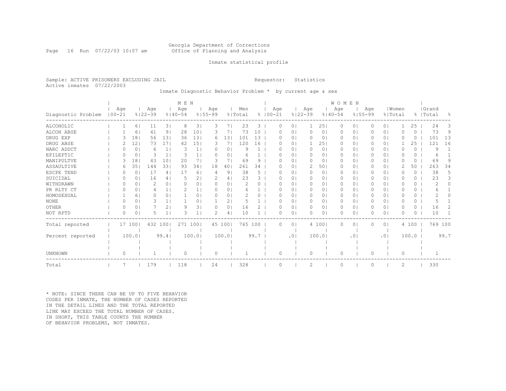## Georgia Department of Corrections Page 16 Run 07/22/03 10:07 am Office of Planning and Analysis

## Inmate statistical profile

Sample: ACTIVE PRISONERS EXCLUDING JAIL **Requestor:** Statistics Active inmates 07/22/2003

Inmate Diagnostic Behavior Problem \* by current age & sex

|                    |            |          |          |                    |                 | M E N              |                 |                    |                |                |      |             |          |          |                    |                | WOMEN              |           |                    |                |                  |          |                    |                |
|--------------------|------------|----------|----------|--------------------|-----------------|--------------------|-----------------|--------------------|----------------|----------------|------|-------------|----------|----------|--------------------|----------------|--------------------|-----------|--------------------|----------------|------------------|----------|--------------------|----------------|
| Diagnostic Problem | $100 - 21$ | Age      |          | Age<br>$8122 - 39$ |                 | Age<br>$8140 - 54$ |                 | Age<br>$8155 - 99$ |                | Men<br>% Total |      | $8100 - 21$ | Age      |          | Age<br>$8122 - 39$ |                | Age<br>$8140 - 54$ |           | Age<br>$8155 - 99$ |                | Women<br>% Total |          | Grand<br>%   Total | $\frac{6}{10}$ |
| ALCOHOLIC          |            |          | 61       | 11                 | 3               | 8                  | 3               | 3                  | 71             | 23             | 3    |             | 0        | $\circ$  |                    | 251            | $\circ$            | 0         | 0                  | 0 <sup>1</sup> |                  | 25       | 24                 | 3              |
| ALCOH ABSE         |            |          | 6        | 41                 | 91              | 28                 | 101             |                    |                | 73             | 10   |             | O        | 0        | $\Omega$           | 0              | $\Omega$           | 0         | U                  | 0 <sup>1</sup> | O                | 0        | 73                 | 9              |
| DRUG EXP           |            |          | 18       | 56                 | 131             | 36                 | 131             | 6                  | 131            | 101            | 13   |             |          | $\circ$  | 0                  | 0              | 0                  | $\circ$   | 0                  | 0 <sup>1</sup> | O                | 0        | 101                | 13             |
| DRUG ABSE          |            |          | 12       | 73                 | 171             | 42                 | 15 <sub>1</sub> |                    | 7              | 120            | 16   |             | O        | $\circ$  |                    | 251            | 0                  | 0         | 0                  | 0 <sup>1</sup> |                  | 25       | 121                | 16             |
| NARC ADDCT         |            |          | $\Omega$ | 6                  | $\mathbf{1}$    | 3                  | 1 <sub>1</sub>  |                    | $\Omega$       | 9              |      |             |          | $\Omega$ | $\Omega$           | $\circ$        | $\Omega$           | 0         | 0                  | $\Omega$       | $\Omega$         | $\Omega$ | 9                  |                |
| EPILEPTIC          |            |          | 0        | 3                  | 1 <sup>1</sup>  | 3                  | 1               | <sup>o</sup>       | 0              | 6              |      |             | O        | 0        | 0                  | $\circ$        | $\mathbf{0}$       | 0         | 0                  | 0 <sup>1</sup> | O                | 0        | 6                  |                |
| MANIPULTVE         |            |          | 18       | 43                 | 10 <sup>°</sup> | 20                 | 71              | З                  | 7              | 69             | 9    |             | O        | 0        | $\Omega$           | 0              | $\Omega$           | 0         | 0                  | 0 I            | O                | 0        | 69                 | 9              |
| ASSAULTIVE         |            | 6        | 35       | 144                | 331             | 93                 | 341             | 18                 | 40             | 261            | 34   |             | O        | $\circ$  | 2                  | 501            | $\mathbf{0}$       | 0         | 0                  | 0 <sup>1</sup> | 2                | 50       | 263                | 34             |
| ESCPE TEND         |            |          | 0        | 17                 | 4               | 17                 | 6               | 4                  | 9              | 38             | 5    |             | O        | $\Omega$ | $\Omega$           | $\Omega$       | $\Omega$           | $\Omega$  | $\Omega$           | 0 <sup>1</sup> | $\Omega$         | $\Omega$ | 38                 | 5.             |
| SUICIDAL           |            |          | 0        | 16                 | 4 <sup>1</sup>  | 5                  | 2 <sub>1</sub>  | 2                  | 4              | 23             | 3    |             | 0        | $\circ$  | 0                  | $\circ$        | $\mathbf{0}$       | 0         | 0                  | 0 <sup>1</sup> | 0                | $\Omega$ | 23                 | 3              |
| WITHDRAWN          |            | 0        | 0        | 2                  | $\Omega$        | O                  | 0 <sub>1</sub>  | $\Omega$           | 0 <sup>1</sup> | $\mathcal{D}$  | 0    |             | O        | 0        | 0                  | 0 <sub>1</sub> | $\Omega$           | 0         | 0                  | 0 <sup>1</sup> | O                | $\Omega$ |                    |                |
| PR RLTY CT         |            | O        | 0        | 4                  |                 |                    |                 | $\Omega$           | $\Omega$       | 6              |      |             |          | 0        | 0                  | 01             | 0                  | 0         | 0                  | 0 <sup>1</sup> | O                | 0        | 6                  |                |
| HOMOSEXUAL         |            |          | 6        | 0                  | $\Omega$        |                    | 0 <sub>1</sub>  | $\Omega$           | 0 <sup>1</sup> |                |      |             | O        | 0        | 0                  | $\circ$        | 0                  | 0         | 0                  | 0 <sup>1</sup> | O                | 0        |                    |                |
| <b>NONE</b>        |            |          | 0        | 3                  |                 |                    | 0 <sub>1</sub>  |                    | 2              |                |      |             |          | 0        | 0                  | 01             | $\mathbf{0}$       | 0         | 0                  | 0 <sup>1</sup> | O                | 0        |                    |                |
| OTHER              |            | $\Omega$ | 0        |                    | 2               | q                  | 3 <sub>1</sub>  | $\Omega$           | $\Omega$       | 16             | 2    |             | O        | $\Omega$ | $\circ$            | 0 <sub>1</sub> | $\Omega$           | $\Omega$  | 0                  | 0 <sup>1</sup> | O                | $\Omega$ | 16                 | 2              |
| NOT RPTD           |            | O        | $\Omega$ | 5                  |                 | 3                  |                 | 2                  | 4              | 10             |      |             | O        | 0        | $\Omega$           | $\Omega$       | $\Omega$           | 0         | U                  | $\circ$        | O                | 0        | 10                 |                |
| Total reported     |            | 17       | 1001     | 432 100            |                 | 271 1001           |                 |                    | 45 100         | 765 100        |      |             | 0        | $\circ$  |                    | 4 100          | 0                  | 0         | $\Omega$           | 0 <sup>1</sup> |                  | 4 100    | 769 100            |                |
|                    |            |          |          |                    |                 |                    |                 |                    |                |                |      |             |          |          |                    |                |                    |           |                    |                |                  |          |                    |                |
| Percent reported   |            |          | 100.0    |                    | 99.4            |                    | 100.01          |                    | 100.01         |                | 99.7 |             |          | .01      |                    | 100.0          |                    | $\cdot$ 0 |                    | .01            |                  | 100.0    |                    | 99.7           |
|                    |            |          |          |                    |                 |                    |                 |                    |                |                |      |             |          |          |                    |                |                    |           |                    |                |                  |          |                    |                |
|                    |            |          |          |                    |                 |                    |                 |                    |                |                |      |             |          |          |                    |                |                    |           |                    |                |                  |          |                    |                |
| UNKNOWN            |            | $\Omega$ |          |                    |                 | $\Omega$           |                 | $\Omega$           |                |                |      |             | $\Omega$ |          | $\Omega$           |                | $\Omega$           |           | $\Omega$           |                | $\Omega$         |          |                    |                |
| Total              |            |          |          | 179                |                 | 118                |                 | 24                 |                | 328            |      |             |          |          | $\mathcal{D}$      |                | $\Omega$           |           |                    |                | 2                |          | 330                |                |

\* NOTE: SINCE THERE CAN BE UP TO FIVE BEHAVIOR CODES PER INMATE, THE NUMBER OF CASES REPORTED IN THE DETAIL LINES AND THE TOTAL REPORTED LINE MAY EXCEED THE TOTAL NUMBER OF CASES. IN SHORT, THIS TABLE COUNTS THE NUMBER OF BEHAVIOR PROBLEMS, NOT INMATES.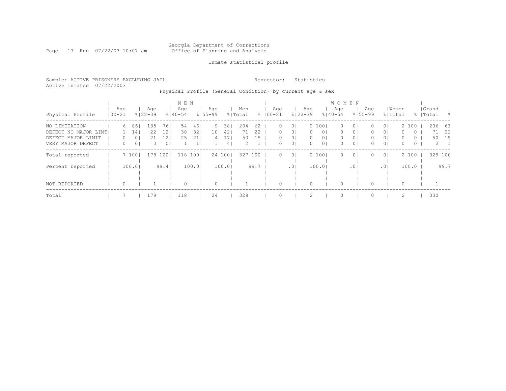#### Georgia Department of Corrections Page 17 Run 07/22/03 10:07 am Office of Planning and Analysis

## Inmate statistical profile

Sample: ACTIVE PRISONERS EXCLUDING JAIL **Requestor:** Statistics Active inmates 07/22/2003

# Physical Profile (General Condition) by current age & sex

|                      |                   |   |        |                    |                | M E N              |       |                    |                |                |      |                    |                 |                    |                | W O M E N          |                 |                    |                |          |         |                    |             |
|----------------------|-------------------|---|--------|--------------------|----------------|--------------------|-------|--------------------|----------------|----------------|------|--------------------|-----------------|--------------------|----------------|--------------------|-----------------|--------------------|----------------|----------|---------|--------------------|-------------|
| Physical Profile     | Age<br>$100 - 21$ |   |        | Age<br>$8122 - 39$ |                | Age<br>$8140 - 54$ |       | Aqe<br>$8155 - 99$ |                | Men<br>% Total |      | Age<br>$8100 - 21$ |                 | Age<br>$8122 - 39$ |                | Age<br>$8140 - 54$ |                 | Aqe<br>$8155 - 99$ | % Total        | Women    |         | Grand<br>%   Total | - 옹         |
| NO LIMITATION        |                   | 6 | 86     | 135                | 761            | 54                 | 461   | 9                  | 381            | 204            | 62   | $\Omega$           | 0 <sup>1</sup>  |                    | 2 1001         | $\Omega$           | 0 <sub>1</sub>  | $\Omega$           | 0 <sub>1</sub> |          | 2 100   | 206 63             |             |
| DEFECT NO MAJOR LIMT |                   |   | 14     | 22                 | 12             | 38                 | 321   | 10                 | 421            | 71             | 22   | 0.                 | 0 <sup>1</sup>  | $\Omega$           | 0 <sub>1</sub> | 0                  | 0 <sup>1</sup>  | $\Omega$           | 0 <sub>1</sub> | 0        | $\circ$ | 71                 | 22          |
| DEFECT MAJOR LIMIT   |                   | 0 | 0      | 21                 | 12             | 25                 | 21    | 4                  |                | 50             | 15   | 0.                 | 0 <sub>1</sub>  | 0                  | 0 <sub>1</sub> | 0                  | 0 <sub>1</sub>  | 0                  | 0 <sup>1</sup> | $\Omega$ | $\circ$ | 50                 | 15          |
| VERY MAJOR DEFECT    |                   | 0 | 0      | 0                  | 0 <sup>1</sup> |                    |       |                    | 4 <sub>1</sub> | 2.             |      | 0.                 | 0 <sup>1</sup>  | $\Omega$           | 0 <sub>1</sub> | 0                  | 0 <sub>1</sub>  | 0                  | 0 <sup>1</sup> | $\Omega$ | 0       |                    | $2 \quad 1$ |
| Total reported       |                   |   | 7 1001 | 178                | 1001           | 118                | 1001  |                    | 24 100         | 327            | 100  | $\Omega$           | 0 <sup>1</sup>  |                    | 2 1001         | $\Omega$           | 0 <sub>1</sub>  | 0                  | 0 <sub>1</sub> |          | 2 100   | 329 100            |             |
| Percent reported     |                   |   | 100.0  |                    | 99.4           |                    | 100.0 |                    | 100.01         |                | 99.7 |                    | .0 <sub>1</sub> |                    | 100.01         |                    | .0 <sub>1</sub> |                    | .01            |          | 100.0   |                    | 99.7        |
|                      |                   |   |        |                    |                |                    |       |                    |                |                |      |                    |                 |                    |                |                    |                 |                    |                |          |         |                    |             |
| NOT REPORTED         |                   | 0 |        |                    |                | $\Omega$           |       | $\Omega$           |                |                |      |                    |                 |                    |                | $\Omega$           |                 |                    |                | $\Omega$ |         |                    |             |
| Total                |                   |   |        | 179                |                | 118                |       | 24                 |                | 328            |      |                    |                 |                    |                | $\Omega$           |                 |                    |                | 2        |         | 330                |             |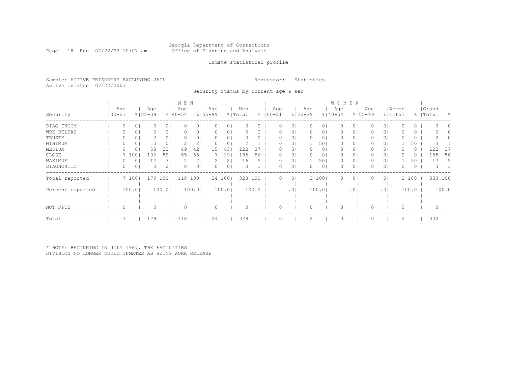#### Georgia Department of Corrections Page 18 Run 07/22/03 10:07 am Office of Planning and Analysis

## Inmate statistical profile

Sample: ACTIVE PRISONERS EXCLUDING JAIL **Requestor:** Statistics Active inmates 07/22/2003

Security Status by current age & sex

|                  |                   |        |                    |                | M E N              |       |                    |        |                |               |                   |                |                    |                | <b>WOMEN</b>       |                |                    |                |       |         |                    |         |     |
|------------------|-------------------|--------|--------------------|----------------|--------------------|-------|--------------------|--------|----------------|---------------|-------------------|----------------|--------------------|----------------|--------------------|----------------|--------------------|----------------|-------|---------|--------------------|---------|-----|
| Security         | Age<br>$100 - 21$ |        | Age<br>$8122 - 39$ |                | Age<br>$8140 - 54$ |       | Age<br>$8155 - 99$ |        | Men<br>% Total | $\approx$     | Age<br>$100 - 21$ |                | Age<br>$8122 - 39$ |                | Age<br>$8140 - 54$ |                | Age<br>$8155 - 99$ | % Total        | Women |         | Grand<br>%   Total |         | - 양 |
| DIAG INCOM       | 0                 | 0      |                    | 0 <sub>1</sub> |                    | U     | 0                  | 0      |                |               |                   | 0              |                    | 0              |                    | 0              |                    | 0 <sub>1</sub> |       | 0       |                    |         |     |
| WRK RELEAS       |                   | 0      |                    | 0 <sub>1</sub> |                    | 0     |                    | 0      |                |               |                   | 0              |                    | 01             |                    | 01             |                    | 0 <sub>1</sub> |       | 0       |                    |         |     |
| TRUSTY           |                   | 01     |                    | 0 <sub>1</sub> |                    | 0     |                    | 0      |                |               |                   | 01             |                    | 01             | $\Omega$           | 01             |                    | 0 <sub>1</sub> |       | 0       |                    |         |     |
| MINIMUM          |                   | 0      |                    | 0 <sub>1</sub> |                    | 2.    |                    | 0      |                |               |                   | 0              |                    | 501            | 0                  | 01             |                    | 0 <sub>1</sub> |       | 50      |                    |         |     |
| MEDIUM           |                   | 0      | 58                 | 321            | 49                 | 42    | 15                 | 63     | 122            | 37            | 0                 | 0 <sub>1</sub> | $\Omega$           | 0 <sub>1</sub> | 0                  | 0 <sub>1</sub> |                    | 0 <sub>1</sub> |       | $\circ$ |                    | 122     | -37 |
| CLOSE            |                   | 7 100  | 106                | 591            | 65                 | 55    |                    | 29     | 185            | 56            |                   | 01             |                    | 0 <sub>1</sub> | 0                  | 01             |                    | 0 <sub>1</sub> |       | Ü       |                    | 185     | 56  |
| MAXIMUM          |                   | 0      | 12                 |                |                    | 2     |                    | 8      | 16             | $\mathcal{D}$ | 0                 | 01             |                    | 501            | 0                  | 01             |                    | 0 <sub>1</sub> |       | 50      |                    | 17      | 5.  |
| DIAGNOSTIC       |                   | 0      |                    | 2 <sub>1</sub> |                    | 0     |                    | 0      |                |               |                   | 0 <sup>1</sup> |                    | 0 <sub>1</sub> |                    | 0              |                    | 0 <sub>1</sub> |       | 0       |                    |         |     |
| Total reported   |                   | 7 100  | 179 1001           |                | 118                | 1001  |                    | 24 100 | 328 100        |               | $\circ$           | 0 <sub>1</sub> |                    | 2 100          | 0                  | 0 <sub>1</sub> |                    | 0 <sub>1</sub> |       | 2 100   |                    | 330 100 |     |
| Percent reported |                   | 100.01 |                    | 100.01         |                    | 100.0 |                    | 100.0  |                | 100.0         |                   | .01            |                    | 100.01         |                    | .01            |                    | .01            |       | 100.0   |                    | 100.0   |     |
|                  |                   |        |                    |                |                    |       |                    |        |                |               |                   |                |                    |                |                    |                |                    |                |       |         |                    |         |     |
| NOT RPTD         |                   |        |                    |                |                    |       | 0                  |        |                |               |                   |                |                    |                |                    |                |                    |                |       |         |                    |         |     |
| Total            |                   |        | 179                |                | 118                |       | 24                 |        | 328            |               |                   |                |                    |                | $\cap$             |                |                    |                | 2     |         |                    | 330     |     |

\* NOTE: BEGINNING IN JULY 1987, THE FACILITIES DIVISION NO LONGER CODED INMATES AS BEING WORK RELEASE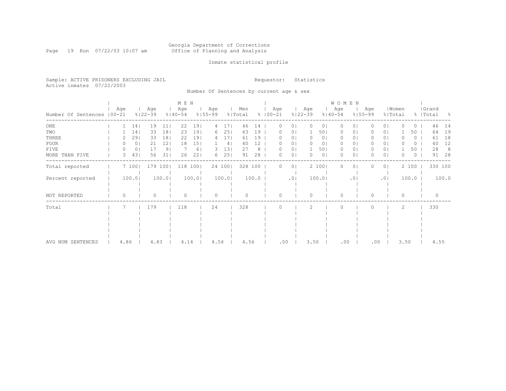#### Georgia Department of Corrections Page 19 Run 07/22/03 10:07 am Office of Planning and Analysis

## Inmate statistical profile

Sample: ACTIVE PRISONERS EXCLUDING JAIL **Requestor:** Statistics Active inmates 07/22/2003

Number Of Sentences by current age & sex

|                             |     |      |                |                    |                 | M E N              |       |                    |                 |                |         |                     |                |                    |                | WOMEN              |           |                    |                |                  |          |                    |       |
|-----------------------------|-----|------|----------------|--------------------|-----------------|--------------------|-------|--------------------|-----------------|----------------|---------|---------------------|----------------|--------------------|----------------|--------------------|-----------|--------------------|----------------|------------------|----------|--------------------|-------|
| Number Of Sentences   00-21 | Age |      |                | Age<br>$8122 - 39$ |                 | Age<br>$8140 - 54$ |       | Age<br>$8155 - 99$ |                 | Men<br>% Total |         | Age<br>$% 100 - 21$ |                | Age<br>$8122 - 39$ |                | Age<br>$8140 - 54$ |           | Age<br>$8155 - 99$ |                | Women<br>% Total |          | Grand<br>%   Total | - 양   |
| $_{\rm ONE}$                |     |      | 14             | 19                 | 11              | 22                 | 19    | 4                  | 171             | 46             | 14      | 0                   | 0              | $\circ$            | $\circ$        | $\circ$            | 0         |                    | 0 <sup>1</sup> | $\Omega$         | 0        | 46                 | 14    |
| TWO                         |     |      | 14             | 33                 | 181             | 23                 | 191   | 6                  | 251             | 63             | 19      | $^{(1)}$            | 01             |                    | 501            | $\Omega$           | 0         |                    | 0 <sub>1</sub> |                  | 50       | 64                 | 19    |
| THREE                       |     |      | 291            | 33                 | 18 <sub>1</sub> | 22                 | 19    | 4                  | 17 <sup>1</sup> | 61             | 19      |                     | 0              | 0                  | 0              | 0                  | Ü         |                    | 0              |                  | 0        | 61                 | 18    |
| FOUR                        |     |      | 0 <sub>1</sub> | 21                 | 12              | 18                 | 15    |                    | 4 <sup>1</sup>  | 40             | $12 \,$ | 0                   | $\circ$        | $\Omega$           | $\circ$        | $\Omega$           | 01        | 0                  | 0 <sub>1</sub> | U                | $\Omega$ | 40                 | 12    |
| FIVE                        |     |      | 0 <sub>1</sub> | 17                 | 9 <sub>1</sub>  |                    | 6     | З.                 | 131             | 27             | 8       | 0                   | 0 <sub>1</sub> |                    | 501            | $\circ$            | 0         | 0                  | 0 I            |                  | 50       | 28                 | -8    |
| MORE THAN FIVE              |     | 3    | 43             | 56                 | 31              | 26                 | 221   | 6                  | 25              | 91             | 28      | 0                   | 0 <sub>1</sub> | $\circ$            | 0 <sub>1</sub> | $\circ$            | 0         | 0.                 | $\circ$        | O                | 0        | 91                 | 28    |
| Total reported              |     |      | 7100           | 179 100            |                 | 118                | 1001  |                    | 24 100          | 328 100        |         | 0                   | $\circ$        |                    | 2 100          | $\circ$            | 0         | 0                  | 0 <sub>1</sub> |                  | 2 100    | 330 100            |       |
| Percent reported            |     |      | 100.0          |                    | 100.01          |                    | 100.0 |                    | 100.0           |                | 100.0   |                     | .01            |                    | 100.0          |                    | $\cdot$ 0 |                    | .01            |                  | 100.0    |                    | 100.0 |
| NOT REPORTED                |     | O    |                |                    |                 |                    |       |                    |                 |                |         | O                   |                | $\Omega$           |                | $\Omega$           |           | O                  |                | 0                |          |                    |       |
| Total                       |     |      |                | 179                |                 | 118                |       | 24                 |                 | 328            |         |                     |                | $\mathcal{P}$      |                | $\bigcap$          |           |                    |                | $\mathfrak{D}$   |          | 330                |       |
|                             |     |      |                |                    |                 |                    |       |                    |                 |                |         |                     |                |                    |                |                    |           |                    |                |                  |          |                    |       |
|                             |     |      |                |                    |                 |                    |       |                    |                 |                |         |                     |                |                    |                |                    |           |                    |                |                  |          |                    |       |
|                             |     |      |                |                    |                 |                    |       |                    |                 |                |         |                     |                |                    |                |                    |           |                    |                |                  |          |                    |       |
|                             |     |      |                |                    |                 |                    |       |                    |                 |                |         |                     |                |                    |                |                    |           |                    |                |                  |          |                    |       |
| AVG NUM SENTENCES           |     | 4.86 |                | 4.83               |                 | 4.14               |       | 4.54               |                 | 4.56           |         | .00                 |                | 3.50               |                | .00                |           | .00                |                | 3.50             |          | 4.55               |       |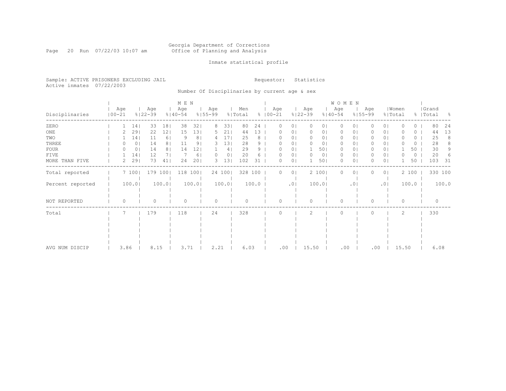#### Georgia Department of Corrections Page 20 Run 07/22/03 10:07 am Office of Planning and Analysis

## Inmate statistical profile

Sample: ACTIVE PRISONERS EXCLUDING JAIL **Requestor:** Statistics Active inmates 07/22/2003

Number Of Disciplinaries by current age & sex

|                  |                   |       |                    |                | M E N              |                |                    |                |                |       |                    |                |                    |                | WOMEN              |          |                    |                |                  |       |                    |       |
|------------------|-------------------|-------|--------------------|----------------|--------------------|----------------|--------------------|----------------|----------------|-------|--------------------|----------------|--------------------|----------------|--------------------|----------|--------------------|----------------|------------------|-------|--------------------|-------|
| Disciplinaries   | Age<br>$100 - 21$ |       | Age<br>$8122 - 39$ |                | Age<br>$8140 - 54$ |                | Age<br>$8155 - 99$ |                | Men<br>% Total |       | Age<br>$8100 - 21$ |                | Age<br>$8122 - 39$ |                | Age<br>$8140 - 54$ |          | Age<br>$8155 - 99$ |                | Women<br>% Total |       | Grand<br>%   Total | - 옹   |
| ZERO             |                   | 14    | 33                 | 181            | 38                 | 321            | 8                  | 331            | 80             | 24    | $\Omega$           | 0 <sup>1</sup> | 0                  | 0 <sub>1</sub> | 0                  | $\Omega$ |                    | 0 <sub>1</sub> | O                | 0     | 80                 | 24    |
| $_{\rm ONE}$     |                   | 29    | 22                 | 12             | 15                 | 131            | 5.                 | 211            | 44             | 13    |                    | 0 <sub>1</sub> |                    | 0              | 0                  | 01       |                    | 0 <sub>1</sub> |                  | 0     | 44                 | 13    |
| TWO              |                   | 14    | 11                 | 6              | 9                  | 8 <sub>1</sub> | 4                  | 17             | 25             | 8     |                    | 0 <sub>1</sub> |                    | 01             | 0                  | 01       |                    | 0 <sub>1</sub> |                  | 0     | 25                 | 8     |
| THREE            | $^{(1)}$          | 0     | 14                 | 8 <sup>1</sup> | 11                 | 9              | 3.                 | 13             | 28             | 9     |                    | 0 <sub>1</sub> |                    | 01             | $\Omega$           | 01       |                    | 0 <sub>1</sub> |                  | 0     | 28                 | 8     |
| FOUR             | 0                 | 0     | 14                 | 81             | 14                 | 12             |                    | 4              | 29             | 9     |                    | 0 <sub>1</sub> |                    | 501            | $\Omega$           | 01       |                    | 0 <sub>1</sub> |                  | 50    | 30                 | 9     |
| FIVE             |                   | 14    | 12                 | 7 I            |                    | 61             |                    | 0 <sub>1</sub> | 20             |       |                    | 0 <sub>1</sub> |                    | 0 <sub>1</sub> | 0                  | 01       |                    | 0 <sub>1</sub> |                  | 0     | 20                 |       |
| MORE THAN FIVE   | 2                 | 29    | 73                 | 41             | 24                 | 201            | 3                  | 131            | 102            | 31    |                    | 0 <sub>1</sub> |                    | 501            | $\Omega$           | $\circ$  |                    | 0 <sub>1</sub> |                  | 50    | 103                | 31    |
| Total reported   |                   | 7100  |                    | 179 100        |                    | 118 100        |                    | 24 100         | 328 100        |       | $\Omega$           | 0 <sup>1</sup> |                    | 2 100          | $\Omega$           | $\circ$  |                    | 0 <sub>1</sub> |                  | 2 100 | 330 100            |       |
| Percent reported |                   | 100.0 |                    | 100.01         |                    | 100.01         |                    | 100.0          |                | 100.0 |                    | .01            |                    | 100.01         |                    | .01      |                    | .01            |                  | 100.0 |                    | 100.0 |
| NOT REPORTED     | $\Omega$          |       | 0                  |                | $\circ$            |                | $\circ$            |                | $\Omega$       |       | Λ                  |                |                    |                | $\Omega$           |          | O                  |                | 0                |       | $\Omega$           |       |
| Total            | 7                 |       | 179                |                | 118                |                | 24                 |                | 328            |       |                    |                | $\mathcal{L}$      |                | $\Omega$           |          |                    |                | 2                |       | 330                |       |
|                  |                   |       |                    |                |                    |                |                    |                |                |       |                    |                |                    |                |                    |          |                    |                |                  |       |                    |       |
|                  |                   |       |                    |                |                    |                |                    |                |                |       |                    |                |                    |                |                    |          |                    |                |                  |       |                    |       |
|                  |                   |       |                    |                |                    |                |                    |                |                |       |                    |                |                    |                |                    |          |                    |                |                  |       |                    |       |
| AVG NUM DISCIP   | 3.86              |       | 8.15               |                | 3.71               |                | 2.21               |                | 6.03           |       | .00                |                | 15.50              |                | .00                |          | .00                |                | 15.50            |       | 6.08               |       |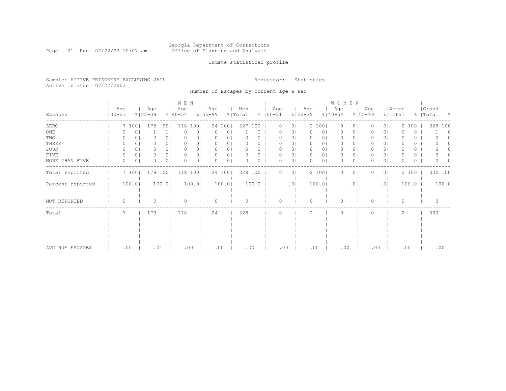#### Georgia Department of Corrections Page 21 Run 07/22/03 10:07 am Office of Planning and Analysis

## Inmate statistical profile

Sample: ACTIVE PRISONERS EXCLUDING JAIL **Requestor:** Statistics Active inmates 07/22/2003

Number Of Escapes by current age & sex

|                  |                   |                |                    |                | M E N              |        |                    |                |                |       |                    |                |                    |       | WOMEN                      |     |                |          |                |                  |          |                    |         |
|------------------|-------------------|----------------|--------------------|----------------|--------------------|--------|--------------------|----------------|----------------|-------|--------------------|----------------|--------------------|-------|----------------------------|-----|----------------|----------|----------------|------------------|----------|--------------------|---------|
| Escapes          | Age<br>$100 - 21$ |                | Age<br>$8122 - 39$ |                | Age<br>$8140 - 54$ |        | Age<br>$8155 - 99$ |                | Men<br>% Total |       | Age<br>$8100 - 21$ |                | Age<br>$8122 - 39$ |       | Age<br>$8140 - 54$         |     | $8155 - 99$    | Age      |                | Women<br>% Total |          | Grand<br>%   Total | - 옹     |
| ZERO             |                   | 7 1001         | 178                | 991            | 118                | 1001   |                    | 24 100         | 327            | 100   | 0                  | 0 <sub>1</sub> |                    | 2 100 | $\circ$                    |     | 0 <sub>1</sub> |          | 0 <sup>1</sup> |                  | 2 100    |                    | 329 100 |
| $_{\rm ONE}$     |                   | 0              |                    | 1 <sub>1</sub> |                    | 0      | 0                  | 0              |                | 0     |                    | 01             |                    |       | 0 <sub>1</sub><br>0        |     | 0 <sub>1</sub> |          | 0 <sub>1</sub> |                  | 0        |                    | 0       |
| TWO              |                   | 01             |                    | 0 <sup>1</sup> | 0                  | 01     | 0                  | 0              |                | 0     | 0                  | 01             | O                  |       | 0 <sub>1</sub><br>$\Omega$ |     | 01             |          | 0 <sub>1</sub> |                  | 0        |                    |         |
| THREE            |                   | ΟI             |                    | 0 <sub>1</sub> |                    | O.     | 0                  | 0              |                |       | $^{(1)}$           | 01             | $\left($           |       | 0 <sub>1</sub><br>$\Omega$ |     | 01             |          | 0 <sub>1</sub> |                  | 0        |                    |         |
| <b>FOUR</b>      |                   | 01             |                    | 0 <sup>1</sup> |                    | 01     | 0                  | $\circ$        |                | n     | 0                  | 01             | <sup>0</sup>       |       | 01<br>$\Omega$             |     | 0 <sub>1</sub> |          | 0 <sub>1</sub> |                  | 0        |                    |         |
| FIVE             | 0                 | 0 <sub>1</sub> |                    | 0 <sub>1</sub> | 0                  | 0      | 0                  | 0 <sub>1</sub> | 0              | 0     | 0                  | 0 <sub>1</sub> | $\Omega$           |       | 0 <sub>1</sub><br>$\Omega$ |     | 0 <sub>1</sub> |          | 0 <sub>1</sub> |                  | 0        |                    |         |
| MORE THAN FIVE   | 0                 | 0 <sub>1</sub> |                    | 0 <sub>1</sub> | 0                  | 0      | 0                  | 0 <sub>1</sub> | $\Omega$       | 0     | 0                  | 0 <sub>1</sub> | $\Omega$           |       | 0 <sub>1</sub><br>$\Omega$ |     | 0 <sub>1</sub> |          | 0 <sub>1</sub> | O                | $\Omega$ |                    |         |
| Total reported   |                   | 7 100          | 179 100            |                | 118                | 100    |                    | 24 100         | 328 100        |       | 0                  | 0 <sub>1</sub> |                    | 2 100 | $\Omega$                   |     | 0 <sub>1</sub> |          | 0 <sub>1</sub> |                  | 2 100    |                    | 330 100 |
| Percent reported |                   | 100.0          |                    | 100.0          |                    | 100.01 |                    | 100.0          |                | 100.0 |                    | .01            |                    | 100.0 |                            |     | .01            |          | .01            |                  | 100.0    |                    | 100.0   |
| NOT REPORTED     | $\Omega$          |                | $\Omega$           |                | 0                  |        | $\circ$            |                | $\Omega$       |       | 0                  |                | $\Omega$           |       | $\Omega$                   |     |                | $\Omega$ |                | 0                |          | $\Omega$           |         |
| Total            | 7                 |                | 179                |                | 118                |        | 24                 |                | 328            |       | 0                  |                | 2                  |       | $\Omega$                   |     |                |          |                | 2                |          | 330                |         |
|                  |                   |                |                    |                |                    |        |                    |                |                |       |                    |                |                    |       |                            |     |                |          |                |                  |          |                    |         |
|                  |                   |                |                    |                |                    |        |                    |                |                |       |                    |                |                    |       |                            |     |                |          |                |                  |          |                    |         |
|                  |                   |                |                    |                |                    |        |                    |                |                |       |                    |                |                    |       |                            |     |                |          |                |                  |          |                    |         |
|                  |                   |                |                    |                |                    |        |                    |                |                |       |                    |                |                    |       |                            |     |                |          |                |                  |          |                    |         |
| AVG NUM ESCAPES  | .00               |                | .01                |                | .00                |        | .00                |                | .00            |       | .00                |                |                    | .00   |                            | .00 |                | .00      |                | .00              |          |                    | .00     |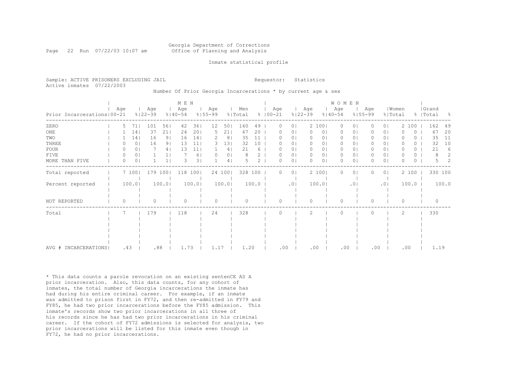## Georgia Department of Corrections Page 22 Run 07/22/03 10:07 am 60 Office of Planning and Analysis

#### Inmate statistical profile

|                           | Sample: ACTIVE PRISONERS EXCLUDING JAIL | Requestor: Statistics |  |
|---------------------------|-----------------------------------------|-----------------------|--|
| Active inmates 07/22/2003 |                                         |                       |  |

Number Of Prior Georgia Incarcerations \* by current age & sex

|                              |          |                |                    |                | M E N              |       |                    |        |                |       |                      |                |                    |                | <b>WOMEN</b>       |                 |                    |                |                  |       |           |           |       |
|------------------------------|----------|----------------|--------------------|----------------|--------------------|-------|--------------------|--------|----------------|-------|----------------------|----------------|--------------------|----------------|--------------------|-----------------|--------------------|----------------|------------------|-------|-----------|-----------|-------|
| Prior Incarcerations   00-21 | Age      |                | Age<br>$8122 - 39$ |                | Age<br>$8140 - 54$ |       | Age<br>$8155 - 99$ |        | Men<br>% Total |       | Age<br>$8   00 - 21$ |                | Age<br>$8122 - 39$ |                | Age<br>$8140 - 54$ |                 | Age<br>$8155 - 99$ |                | Women<br>% Total |       | %   Total | Grand     | - 옹   |
| ZERO                         | 5        | 71             | 101                | 561            | 42                 | 361   | 12                 | 501    | 160            | 49    | 0                    | 0 <sub>1</sub> |                    | 2 1001         | 0                  | 0               |                    | 0 <sup>1</sup> |                  | 2 100 |           | 162       | 49    |
| ONE                          |          | 14             | 37                 | 211            | 24                 | 201   | 5                  | 211    | 67             | 20    | 0                    | 0 <sub>1</sub> | $\circ$            | 0 <sub>1</sub> | 0                  | $\circ$         | 0                  | 0 <sup>1</sup> | O                | 0     |           | 67        | 20    |
| TWO                          |          | 14             | 16                 | 9 <sub>1</sub> | 16                 | 14    |                    | 8      | 35             | 11    |                      | 0 <sub>1</sub> | 0                  | 01             | 0                  | 01              |                    | 0 <sup>1</sup> |                  | 0.    |           | 35        | 11    |
| THREE                        |          | 0 <sub>1</sub> | 16                 | 9 <sub>1</sub> | 13                 | 11    | 3                  | 13     | 32             | 10    |                      | 01             | 0                  | 01             | 0                  | 0               |                    | 0 <sub>1</sub> |                  | 0.    |           | 32        | 10    |
| FOUR                         |          | 01             |                    | 4              | 13                 | 11    |                    | 41     | 21             | 6     |                      | 0              | 0                  | 0              | $\mathbf{0}$       | 0               | 0                  | 0 <sup>1</sup> | 0                | 0     |           | 21        | 6     |
| FIVE                         | $\Omega$ | 0 <sub>1</sub> |                    |                |                    | 6     |                    | 01     |                |       | O                    | 0 <sub>1</sub> | 0                  | 0              | $\mathbf{0}$       | 0               | 0                  | $\circ$        | O                | 0     |           |           | 2     |
| MORE THAN FIVE               |          | 0 <sub>1</sub> |                    |                | 3                  | 31    |                    | 4      |                | 2     | $\Omega$             | 0 <sub>1</sub> | $\Omega$           | 0              | $\Omega$           | 0               | O                  | $\circ$        | O                | 0     |           |           | 2     |
| Total reported               |          | 7100           | 179 100            |                | 118                | 100   |                    | 24 100 | 328 100        |       | 0                    | 0 <sub>1</sub> |                    | 2 100          | $\Omega$           | 0               | 0                  | 0 <sub>1</sub> |                  | 2 100 |           | 330 100   |       |
| Percent reported             |          | 100.0          |                    | 100.0          |                    | 100.0 |                    | 100.0  |                | 100.0 |                      | .01            |                    | 100.0          |                    | .0 <sub>1</sub> |                    | .01            |                  | 100.0 |           |           | 100.0 |
| NOT REPORTED                 | $\Omega$ |                | Λ                  |                | ∩                  |       | $\bigcap$          |        |                |       | ∩                    |                | $\Omega$           |                | $\Omega$           |                 | 0                  |                | $\Omega$         |       |           | $\bigcap$ |       |
| Total                        |          |                | 179                |                | 118                |       | 24                 |        | 328            |       | $\Omega$             |                | 2                  |                | $\Omega$           |                 | 0                  |                | 2                |       |           | 330       |       |
|                              |          |                |                    |                |                    |       |                    |        |                |       |                      |                |                    |                |                    |                 |                    |                |                  |       |           |           |       |
|                              |          |                |                    |                |                    |       |                    |        |                |       |                      |                |                    |                |                    |                 |                    |                |                  |       |           |           |       |
|                              |          |                |                    |                |                    |       |                    |        |                |       |                      |                |                    |                |                    |                 |                    |                |                  |       |           |           |       |
|                              |          |                |                    |                |                    |       |                    |        |                |       |                      |                |                    |                |                    |                 |                    |                |                  |       |           |           |       |
| INCARCERATIONS<br>AVG #      | .43      |                | .88                |                | 1.73               |       | 1.17               |        | 1.20           |       | .00                  |                | .00                |                | .00                |                 | .00                |                | .00              |       |           | 1.19      |       |

\* This data counts a parole revocation on an existing sentenCE AS A prior incarceration. Also, this data counts, for any cohort of inmates, the total number of Georgia incarcerations the inmate has had during his entire criminal career. For example, if an inmate was admitted to prison first in FY72, and then re-admitted in FY79 and FY85, he had two prior incarcerations before the FY85 admission. This inmate's records show two prior incarcerations in all three of his records since he has had two prior incarcerations in his criminal career. If the cohort of FY72 admissions is selected for analysis, two prior incarcerations will be listed for this inmate even though in FY72, he had no prior incarcerations.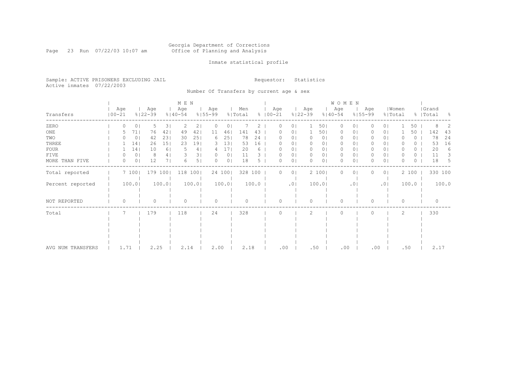#### Georgia Department of Corrections Page 23 Run 07/22/03 10:07 am Office of Planning and Analysis

## Inmate statistical profile

Sample: ACTIVE PRISONERS EXCLUDING JAIL **Requestor:** Statistics Active inmates 07/22/2003

Number Of Transfers by current age & sex

|                   |            |          |                 |                    |         | M E N              |                |                    |                |                |       |                      |          |                    |                | W O M E N          |                |                    |                |                  |          |                    |       |
|-------------------|------------|----------|-----------------|--------------------|---------|--------------------|----------------|--------------------|----------------|----------------|-------|----------------------|----------|--------------------|----------------|--------------------|----------------|--------------------|----------------|------------------|----------|--------------------|-------|
| Transfers         | $100 - 21$ | Age      |                 | Age<br>$8122 - 39$ |         | Age<br>$8140 - 54$ |                | Age<br>$8155 - 99$ |                | Men<br>% Total |       | Age<br>$8   00 - 21$ |          | Age<br>$8122 - 39$ |                | Age<br>$8140 - 54$ |                | Age<br>$8155 - 99$ |                | Women<br>% Total |          | Grand<br>%   Total | - 옹   |
| ZERO              |            |          | 01              | 5                  | 3       | 2                  | 2 <sub>1</sub> | $\Omega$           | 0              |                | 2.    | 0                    | $\Omega$ |                    | 501            | $\Omega$           | 0 <sup>1</sup> |                    | 0 <sub>1</sub> |                  | 50       | 8                  |       |
| ONE               |            |          | 71              | 76                 | 421     | 49                 | 42             | 11                 | 46             | 141            | 43    |                      | O.       |                    | 501            | 0                  | 01             |                    | 0 <sub>1</sub> |                  | 50       | 142                | 43    |
| TWO               |            |          | 0 <sub>1</sub>  | 42                 | 231     | 30                 | 251            | 6                  | 25             | 78             | 24    |                      | 01       |                    | 0 <sub>1</sub> | $\Omega$           | 01             |                    | 01             |                  | 0        | 78                 | 24    |
| THREE             |            |          | 14 <sub>1</sub> | 26                 | 151     | 23                 | 191            | 3.                 | 13             | 53             | 16    |                      | 01       |                    | 01             | $\Omega$           | 01             |                    | 0 <sub>1</sub> |                  | 0        | 53                 | 16    |
| <b>FOUR</b>       |            |          | 14              | 10                 | 6       |                    | 4              | 4                  | 17             | 20             | 6     | $^{(1)}$             | 01       | <sup>n</sup>       | 01             | $\Omega$           | 0              |                    | 0 <sub>1</sub> |                  | 0        | 20                 | 6     |
| FIVE              |            |          | 0 <sub>1</sub>  | 8                  | 4       |                    | 31             | $\left( \right)$   | 0 <sup>1</sup> | 11             |       | $^{(1)}$             | 01       | O                  | 0 <sub>1</sub> | $\Omega$           | 0 <sup>1</sup> |                    | 0 <sup>1</sup> |                  | 0        | 11                 | 3     |
| MORE THAN FIVE    |            | 0        | 0 <sub>1</sub>  | 12                 | 71      | 6                  | 5              | $\Omega$           | 0 <sup>1</sup> | 18             | 5     |                      | 01       |                    | 0 <sub>1</sub> | $\bigcap$          | 0 <sub>1</sub> |                    | 0 <sup>1</sup> |                  | $\Omega$ | 18                 | -5    |
| Total reported    |            |          | 7 100           |                    | 179 100 | 118 100            |                |                    | 24 100         | 328 100        |       | 0                    | $\circ$  |                    | 2 100          | 0                  | 01             |                    | 0 <sub>1</sub> |                  | 2 100    | 330 100            |       |
| Percent reported  |            |          | 100.0           |                    | 100.0   |                    | 100.0          |                    | 100.0          |                | 100.0 |                      | .01      |                    | 100.0          |                    | .01            |                    | .01            |                  | 100.0    |                    | 100.0 |
| NOT REPORTED      |            | $\Omega$ |                 |                    |         | $\Omega$           |                | $\Omega$           |                | $\Omega$       |       | 0                    |          | ∩                  |                | $\Omega$           |                |                    |                | $\Omega$         |          | $\Omega$           |       |
| Total             |            |          |                 | 179                |         | 118                |                | 24                 |                | 328            |       |                      |          | 2                  |                | $\Omega$           |                |                    |                | 2                |          | 330                |       |
|                   |            |          |                 |                    |         |                    |                |                    |                |                |       |                      |          |                    |                |                    |                |                    |                |                  |          |                    |       |
|                   |            |          |                 |                    |         |                    |                |                    |                |                |       |                      |          |                    |                |                    |                |                    |                |                  |          |                    |       |
|                   |            |          |                 |                    |         |                    |                |                    |                |                |       |                      |          |                    |                |                    |                |                    |                |                  |          |                    |       |
|                   |            |          |                 |                    |         |                    |                |                    |                |                |       |                      |          |                    |                |                    |                |                    |                |                  |          |                    |       |
|                   |            |          |                 |                    |         |                    |                |                    |                |                |       |                      |          |                    |                |                    |                |                    |                |                  |          |                    |       |
| AVG NUM TRANSFERS |            | 1.71     |                 | 2.25               |         | 2.14               |                | 2.00               |                | 2.18           |       | .00                  |          | .50                |                | .00                |                |                    | .00            | .50              |          | 2.17               |       |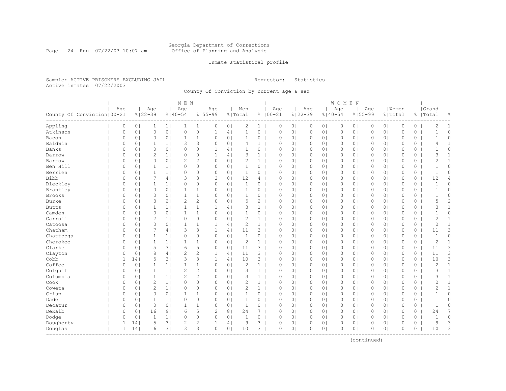#### Georgia Department of Corrections Page 24 Run 07/22/03 10:07 am Office of Planning and Analysis

## Inmate statistical profile

Sample: ACTIVE PRISONERS EXCLUDING JAIL **Requestor:** Statistics Active inmates 07/22/2003

County Of Conviction by current age & sex

| Age<br>Age<br>Age<br>Men<br>Age<br>Age<br>  Women<br>Age<br>Age<br>Age<br>County Of Conviction   00-21<br>$8122 - 39$<br>$%140-54$<br>$8155 - 99$<br>$8100 - 21$<br>$8122 - 39$<br>$8140 - 54$<br>$8155 - 99$<br>% Total<br>% Total<br>Appling<br>2<br>0<br>0 <sub>1</sub><br>0<br>$1 \mid$<br>0<br>0 <sub>1</sub><br>0<br>0 <sub>1</sub><br>0<br>0 <sub>1</sub><br>0<br>0<br>1 <br>$\mathbf{1}$<br>$1\vert$<br>0 <sub>1</sub><br>0<br>0 <sub>1</sub><br>1<br>0 <sub>1</sub><br>$\circ$<br>Atkinson<br>0<br>0 <sub>1</sub><br>$\circ$<br>$\circ$<br>0 <sup>1</sup><br>$\mathbf{1}$<br>4 <br>$\mathbf{1}$<br>$\mathbb O$<br>0 <sub>1</sub><br>$\mathbb O$<br>0 <sup>1</sup><br>$\mathsf{O}\xspace$<br>0 <sub>1</sub><br>0<br>0 <sub>1</sub><br>$\mathbb O$<br>$\circ$<br>0<br>0 <sub>1</sub><br>$\circ$<br>0 <sub>1</sub><br>1 <sub>1</sub><br>0<br>0 <sub>1</sub><br>$\mathbf{1}$<br>0<br>$\circ$<br>0 <sub>1</sub><br>$\circ$<br>0<br>0 <sub>1</sub><br>0<br>0 <sub>1</sub><br>0<br>0<br>Bacon<br>1<br>0  <br>Baldwin<br>0<br>3<br>3 <sup>1</sup><br>0 <sub>1</sub><br>0 <sub>1</sub><br>0 <sub>1</sub><br>1 <sub>1</sub><br>$\Omega$<br>4<br>$\mathbf{1}$<br>$\mathbf 0$<br>0 <sub>1</sub><br>$\circ$<br>0 <sub>1</sub><br>0<br>0 <sub>1</sub><br>0<br>$\circ$<br>$\circ$<br>Banks<br>$\Omega$<br>$\Omega$<br>0 <sup>1</sup><br>0 <sub>1</sub><br>0<br>$\Omega$<br>0 <sub>1</sub><br>0 <sub>1</sub><br>0<br>1<br>4 <sub>1</sub><br>$\Omega$<br>$\circ$<br>0 <sup>1</sup><br>0<br>0 <sub>1</sub><br>$\Omega$<br>$\Omega$<br>0<br>$\overline{2}$<br>0 <sub>1</sub><br>3<br>0 <sub>1</sub><br>Barrow<br>0<br>0 <sub>1</sub><br>1 <sup>1</sup><br>0<br>4 <sub>1</sub><br>$\mathbf{1}$<br>$\circ$<br>0 <sub>1</sub><br>$\circ$<br>0 <sup>1</sup><br>$\circ$<br>0 <sub>1</sub><br>$\Omega$<br>$\circ$<br>0<br>1<br>$\overline{c}$<br>$\circ$<br>0 <sub>1</sub><br>$\mathbf{2}$<br>2 <sub>1</sub><br>0 <sub>1</sub><br>$\mathbf{1}$<br>0 <sub>1</sub><br>$\mathbf{0}$<br>$\circ$<br>Bartow<br>0<br>0 <sub>1</sub><br>0<br>$\circ$<br>0 <sub>1</sub><br>$\circ$<br>0 <sub>1</sub><br>$\circ$<br>0 <sub>1</sub><br>$\Omega$<br>Ben Hill<br>$\mathbf{1}$<br>0<br>$\mathbb O$<br>0<br>0 <sub>1</sub><br>$\mathbf{1}$<br>1 <sub>1</sub><br>0<br>0 <sub>1</sub><br>0<br>0 <sub>1</sub><br>$\circ$<br>0 <sub>1</sub><br>$\circ$<br>0 <sub>1</sub><br>0<br>0 <sub>1</sub><br>0 <sub>1</sub><br>0<br>0<br>$\mathbf{1}$<br>Berrien<br>0<br>0 <sub>1</sub><br>$\mathbf{1}$<br>1 <sup>1</sup><br>0<br>0 <sub>1</sub><br>0<br>0 <sub>1</sub><br>0<br>$\circ$<br>0 <sub>1</sub><br>$\circ$<br>$\circ$<br>0 <sub>1</sub><br>0<br>0 <sup>1</sup><br>$\circ$<br>0<br>0 <sup>1</sup><br>Bibb<br>7<br>3<br>3 <br>$\overline{c}$<br>8 <sub>1</sub><br>12<br>$\Omega$<br>$\Omega$<br>0 <sub>1</sub><br>4 <br>4<br>$\Omega$<br>0 <sub>1</sub><br>$\circ$<br>0 <sub>1</sub><br>$\circ$<br>0 <sub>1</sub><br>0<br>0 <sub>1</sub><br>$\circ$<br>Bleckley<br>0 <sub>1</sub><br>0 <sub>1</sub><br>$\mathbf{1}$<br>$\Omega$<br>0 <sub>1</sub><br>$\Omega$<br>$\Omega$<br>0 <sub>1</sub><br>$\mathbf{1}$<br>1 <sup>1</sup><br>0<br>$\Omega$<br>0<br>0 <sub>1</sub><br>$\circ$<br>0 <sup>1</sup><br>0<br>0 <sub>1</sub><br>$\Omega$<br>0<br>Brantley<br>$\circ$<br>0 <sub>1</sub><br>0 <sub>1</sub><br>$\mathbf{0}$<br>0<br>0 <sub>1</sub><br>1 <sub>1</sub><br>0<br>0 <sub>1</sub><br>$\mathbf{1}$<br>0<br>$\circ$<br>0 <sub>1</sub><br>$\circ$<br>0 <sup>1</sup><br>0<br>0 <sub>1</sub><br>$\Omega$<br>0<br>1<br><b>Brooks</b><br>$\circ$<br>0 <sub>1</sub><br>0 <sub>1</sub><br>0 <sub>1</sub><br>0 <sub>1</sub><br>$\mathbb O$<br>0<br>0 <sub>1</sub><br>1<br>1 <br>$\Omega$<br>1<br>0<br>0<br>$\circ$<br>0 <sub>1</sub><br>0<br>0 <sub>1</sub><br>0<br>0<br>Burke<br>3<br>2<br>2 <sub>1</sub><br>5<br>2<br>$\mathbf{0}$<br>0<br>0 <sub>1</sub><br>2 <sub>1</sub><br>0<br>0 <sub>1</sub><br>$\circ$<br>0 <sub>1</sub><br>$\circ$<br>0<br>0 <sub>1</sub><br>0<br>0 <sub>1</sub><br>0<br>0  <br><b>Butts</b><br>0<br>$\mathbf{1}$<br>1 <sub>1</sub><br>3<br>0 <sub>1</sub><br>$\circ$<br>0 <sub>1</sub><br>$\mathbf{1}$<br>1 <sup>1</sup><br>$\mathbf{1}$<br>4 <br>$\mathbf{1}$<br>$\circ$<br>0 <sub>1</sub><br>$\circ$<br>0 <sup>1</sup><br>0<br>0 <sub>1</sub><br>0<br>0<br>Camden<br>$\circ$<br>$\circ$<br>0 <sub>1</sub><br>1 <br>0 <sub>1</sub><br>$\mathbf{0}$<br>0 <sub>1</sub><br>1<br>$\Omega$<br>1<br>0<br>$\Omega$<br>0 <sub>1</sub><br>$\circ$<br>0 <sub>1</sub><br>0<br>0 <sub>1</sub><br>0<br>0 <sub>1</sub><br>$\circ$<br>Carroll<br>$\overline{c}$<br>$\overline{2}$<br>0 <sub>1</sub><br>0 <sub>1</sub><br>$\mathbf{1}$<br>0 <sub>1</sub><br>$\Omega$<br>$\Omega$<br>0 <sub>1</sub><br>1 <sub>1</sub><br>$\circ$<br>0<br>$\Omega$<br>0 <sup>1</sup><br>$\circ$<br>$\circ$<br>0<br>0 <sub>1</sub><br>$\Omega$<br>0<br>Catoosa<br>$\circ$<br>$\overline{c}$<br>$\mathbf{1}$<br>0<br>0 <sub>1</sub><br>0 <sub>1</sub><br>1 <sub>1</sub><br>4 <br>$\circ$<br>0 <sub>1</sub><br>$\circ$<br>0 <sub>1</sub><br>$\circ$<br>0 <sub>1</sub><br>$\Omega$<br>0 <sub>1</sub><br>$\circ$<br>0<br>1<br>1<br>Chatham<br>3<br>3 <sup>1</sup><br>3<br>$\mathbb O$<br>0<br>0 <sub>1</sub><br>7<br>4 <br>1<br>4 <sub>1</sub><br>11<br>0<br>0 <sub>1</sub><br>$\circ$<br>0 <sub>1</sub><br>0 <sub>1</sub><br>0<br>0 <sub>1</sub><br>0<br>0<br>$\mathbf{1}$<br>0<br>$\mathbf{0}$<br>Chattooga<br>0<br>0 <sub>1</sub><br>$\mathbf{1}$<br>1 <sup>1</sup><br>$\circ$<br>0 <sub>1</sub><br>0<br>0 <sub>1</sub><br>$\circ$<br>0 <sub>1</sub><br>$\circ$<br>0<br>0 <sub>1</sub><br>0 <sub>1</sub><br>0<br>0 <sup>1</sup><br>0<br>Cherokee<br>2<br>$\Omega$<br>$\mathbf{1}$<br>1 <sub>1</sub><br>$\Omega$<br>0 <sub>1</sub><br>$\mathbf{1}$<br>$\mathbf{0}$<br>0 <sub>1</sub><br>$\circ$<br>$\circ$<br>0 <sub>1</sub><br>$\mathbf{0}$<br>0 <sup>1</sup><br>$\mathbf{0}$<br>$\circ$<br>0 <sub>1</sub><br>$\mathbf{1}$<br>1 <sub>1</sub><br>0 <sup>1</sup><br>Clarke<br>5<br>3 <br>6<br>5 <br>3 <sup>1</sup><br>$\mathbf{0}$<br>0<br>0 <sub>1</sub><br>$\Omega$<br>0 <sub>1</sub><br>11<br>$\Omega$<br>0 <sub>1</sub><br>$\circ$<br>0 <sub>1</sub><br>0<br>0 <sub>1</sub><br>0<br>0 <sub>1</sub><br>0<br>Clayton<br>8<br>$\mathbf{2}$<br>2 <sub>1</sub><br>11<br>$\mathbf{3}$<br>0 <sub>1</sub><br>$\mathbf{0}$<br>0<br>0 <sub>1</sub><br>4 <sup>1</sup><br>1<br>4 <sub>1</sub><br>$\Omega$<br>0 <sup>1</sup><br>$\circ$<br>0 <sub>1</sub><br>0<br>0 <sub>1</sub><br>$\Omega$<br>0<br>Cobb<br>5<br>3 <sup>1</sup><br>3<br>3 <sup>1</sup><br>10<br>$3-1$<br>1<br>14<br>1<br>4 <br>$\circ$<br>0 <sub>1</sub><br>$\circ$<br>0 <sub>1</sub><br>0 <sub>1</sub><br>0<br>0 <sub>1</sub><br>$\circ$<br>0<br>0 | Grand<br>%   Total<br>g.<br>$\overline{c}$<br>1<br>$\mathbf{1}$<br>$\circ$<br>$\circ$<br>$\mathbf 1$<br>1<br>4<br>$\Omega$<br>$\mathbf{1}$ |
|--------------------------------------------------------------------------------------------------------------------------------------------------------------------------------------------------------------------------------------------------------------------------------------------------------------------------------------------------------------------------------------------------------------------------------------------------------------------------------------------------------------------------------------------------------------------------------------------------------------------------------------------------------------------------------------------------------------------------------------------------------------------------------------------------------------------------------------------------------------------------------------------------------------------------------------------------------------------------------------------------------------------------------------------------------------------------------------------------------------------------------------------------------------------------------------------------------------------------------------------------------------------------------------------------------------------------------------------------------------------------------------------------------------------------------------------------------------------------------------------------------------------------------------------------------------------------------------------------------------------------------------------------------------------------------------------------------------------------------------------------------------------------------------------------------------------------------------------------------------------------------------------------------------------------------------------------------------------------------------------------------------------------------------------------------------------------------------------------------------------------------------------------------------------------------------------------------------------------------------------------------------------------------------------------------------------------------------------------------------------------------------------------------------------------------------------------------------------------------------------------------------------------------------------------------------------------------------------------------------------------------------------------------------------------------------------------------------------------------------------------------------------------------------------------------------------------------------------------------------------------------------------------------------------------------------------------------------------------------------------------------------------------------------------------------------------------------------------------------------------------------------------------------------------------------------------------------------------------------------------------------------------------------------------------------------------------------------------------------------------------------------------------------------------------------------------------------------------------------------------------------------------------------------------------------------------------------------------------------------------------------------------------------------------------------------------------------------------------------------------------------------------------------------------------------------------------------------------------------------------------------------------------------------------------------------------------------------------------------------------------------------------------------------------------------------------------------------------------------------------------------------------------------------------------------------------------------------------------------------------------------------------------------------------------------------------------------------------------------------------------------------------------------------------------------------------------------------------------------------------------------------------------------------------------------------------------------------------------------------------------------------------------------------------------------------------------------------------------------------------------------------------------------------------------------------------------------------------------------------------------------------------------------------------------------------------------------------------------------------------------------------------------------------------------------------------------------------------------------------------------------------------------------------------------------------------------------------------------------------------------------------------------------------------------------------------------------------------------------------------------------------------------------------------------------------------------------------------------------------------------------------------------------------------------------------------------------------------------------------------------------------------------------------------------------------------------------------------------------------------------------------------------------------------------------------------------------------------------------------------------------------------------------------------------------------------------------------------------------------------------------------------------------------------------------------------------------------------------------------------------------------------------------------------------------------------------------------------------------------------------------------------------------------------------------------------------------------------------------------------------------------------------------------------------------------------------------------------------------------------------------------------------------------------------------------------------------------------------------------------------------------------------------|--------------------------------------------------------------------------------------------------------------------------------------------|
|                                                                                                                                                                                                                                                                                                                                                                                                                                                                                                                                                                                                                                                                                                                                                                                                                                                                                                                                                                                                                                                                                                                                                                                                                                                                                                                                                                                                                                                                                                                                                                                                                                                                                                                                                                                                                                                                                                                                                                                                                                                                                                                                                                                                                                                                                                                                                                                                                                                                                                                                                                                                                                                                                                                                                                                                                                                                                                                                                                                                                                                                                                                                                                                                                                                                                                                                                                                                                                                                                                                                                                                                                                                                                                                                                                                                                                                                                                                                                                                                                                                                                                                                                                                                                                                                                                                                                                                                                                                                                                                                                                                                                                                                                                                                                                                                                                                                                                                                                                                                                                                                                                                                                                                                                                                                                                                                                                                                                                                                                                                                                                                                                                                                                                                                                                                                                                                                                                                                                                                                                                                                                                                                                                                                                                                                                                                                                                                                                                                                                                                                                                                                                                                        |                                                                                                                                            |
|                                                                                                                                                                                                                                                                                                                                                                                                                                                                                                                                                                                                                                                                                                                                                                                                                                                                                                                                                                                                                                                                                                                                                                                                                                                                                                                                                                                                                                                                                                                                                                                                                                                                                                                                                                                                                                                                                                                                                                                                                                                                                                                                                                                                                                                                                                                                                                                                                                                                                                                                                                                                                                                                                                                                                                                                                                                                                                                                                                                                                                                                                                                                                                                                                                                                                                                                                                                                                                                                                                                                                                                                                                                                                                                                                                                                                                                                                                                                                                                                                                                                                                                                                                                                                                                                                                                                                                                                                                                                                                                                                                                                                                                                                                                                                                                                                                                                                                                                                                                                                                                                                                                                                                                                                                                                                                                                                                                                                                                                                                                                                                                                                                                                                                                                                                                                                                                                                                                                                                                                                                                                                                                                                                                                                                                                                                                                                                                                                                                                                                                                                                                                                                                        |                                                                                                                                            |
|                                                                                                                                                                                                                                                                                                                                                                                                                                                                                                                                                                                                                                                                                                                                                                                                                                                                                                                                                                                                                                                                                                                                                                                                                                                                                                                                                                                                                                                                                                                                                                                                                                                                                                                                                                                                                                                                                                                                                                                                                                                                                                                                                                                                                                                                                                                                                                                                                                                                                                                                                                                                                                                                                                                                                                                                                                                                                                                                                                                                                                                                                                                                                                                                                                                                                                                                                                                                                                                                                                                                                                                                                                                                                                                                                                                                                                                                                                                                                                                                                                                                                                                                                                                                                                                                                                                                                                                                                                                                                                                                                                                                                                                                                                                                                                                                                                                                                                                                                                                                                                                                                                                                                                                                                                                                                                                                                                                                                                                                                                                                                                                                                                                                                                                                                                                                                                                                                                                                                                                                                                                                                                                                                                                                                                                                                                                                                                                                                                                                                                                                                                                                                                                        |                                                                                                                                            |
|                                                                                                                                                                                                                                                                                                                                                                                                                                                                                                                                                                                                                                                                                                                                                                                                                                                                                                                                                                                                                                                                                                                                                                                                                                                                                                                                                                                                                                                                                                                                                                                                                                                                                                                                                                                                                                                                                                                                                                                                                                                                                                                                                                                                                                                                                                                                                                                                                                                                                                                                                                                                                                                                                                                                                                                                                                                                                                                                                                                                                                                                                                                                                                                                                                                                                                                                                                                                                                                                                                                                                                                                                                                                                                                                                                                                                                                                                                                                                                                                                                                                                                                                                                                                                                                                                                                                                                                                                                                                                                                                                                                                                                                                                                                                                                                                                                                                                                                                                                                                                                                                                                                                                                                                                                                                                                                                                                                                                                                                                                                                                                                                                                                                                                                                                                                                                                                                                                                                                                                                                                                                                                                                                                                                                                                                                                                                                                                                                                                                                                                                                                                                                                                        |                                                                                                                                            |
|                                                                                                                                                                                                                                                                                                                                                                                                                                                                                                                                                                                                                                                                                                                                                                                                                                                                                                                                                                                                                                                                                                                                                                                                                                                                                                                                                                                                                                                                                                                                                                                                                                                                                                                                                                                                                                                                                                                                                                                                                                                                                                                                                                                                                                                                                                                                                                                                                                                                                                                                                                                                                                                                                                                                                                                                                                                                                                                                                                                                                                                                                                                                                                                                                                                                                                                                                                                                                                                                                                                                                                                                                                                                                                                                                                                                                                                                                                                                                                                                                                                                                                                                                                                                                                                                                                                                                                                                                                                                                                                                                                                                                                                                                                                                                                                                                                                                                                                                                                                                                                                                                                                                                                                                                                                                                                                                                                                                                                                                                                                                                                                                                                                                                                                                                                                                                                                                                                                                                                                                                                                                                                                                                                                                                                                                                                                                                                                                                                                                                                                                                                                                                                                        |                                                                                                                                            |
|                                                                                                                                                                                                                                                                                                                                                                                                                                                                                                                                                                                                                                                                                                                                                                                                                                                                                                                                                                                                                                                                                                                                                                                                                                                                                                                                                                                                                                                                                                                                                                                                                                                                                                                                                                                                                                                                                                                                                                                                                                                                                                                                                                                                                                                                                                                                                                                                                                                                                                                                                                                                                                                                                                                                                                                                                                                                                                                                                                                                                                                                                                                                                                                                                                                                                                                                                                                                                                                                                                                                                                                                                                                                                                                                                                                                                                                                                                                                                                                                                                                                                                                                                                                                                                                                                                                                                                                                                                                                                                                                                                                                                                                                                                                                                                                                                                                                                                                                                                                                                                                                                                                                                                                                                                                                                                                                                                                                                                                                                                                                                                                                                                                                                                                                                                                                                                                                                                                                                                                                                                                                                                                                                                                                                                                                                                                                                                                                                                                                                                                                                                                                                                                        |                                                                                                                                            |
|                                                                                                                                                                                                                                                                                                                                                                                                                                                                                                                                                                                                                                                                                                                                                                                                                                                                                                                                                                                                                                                                                                                                                                                                                                                                                                                                                                                                                                                                                                                                                                                                                                                                                                                                                                                                                                                                                                                                                                                                                                                                                                                                                                                                                                                                                                                                                                                                                                                                                                                                                                                                                                                                                                                                                                                                                                                                                                                                                                                                                                                                                                                                                                                                                                                                                                                                                                                                                                                                                                                                                                                                                                                                                                                                                                                                                                                                                                                                                                                                                                                                                                                                                                                                                                                                                                                                                                                                                                                                                                                                                                                                                                                                                                                                                                                                                                                                                                                                                                                                                                                                                                                                                                                                                                                                                                                                                                                                                                                                                                                                                                                                                                                                                                                                                                                                                                                                                                                                                                                                                                                                                                                                                                                                                                                                                                                                                                                                                                                                                                                                                                                                                                                        | 3<br>$\mathbf{1}$                                                                                                                          |
|                                                                                                                                                                                                                                                                                                                                                                                                                                                                                                                                                                                                                                                                                                                                                                                                                                                                                                                                                                                                                                                                                                                                                                                                                                                                                                                                                                                                                                                                                                                                                                                                                                                                                                                                                                                                                                                                                                                                                                                                                                                                                                                                                                                                                                                                                                                                                                                                                                                                                                                                                                                                                                                                                                                                                                                                                                                                                                                                                                                                                                                                                                                                                                                                                                                                                                                                                                                                                                                                                                                                                                                                                                                                                                                                                                                                                                                                                                                                                                                                                                                                                                                                                                                                                                                                                                                                                                                                                                                                                                                                                                                                                                                                                                                                                                                                                                                                                                                                                                                                                                                                                                                                                                                                                                                                                                                                                                                                                                                                                                                                                                                                                                                                                                                                                                                                                                                                                                                                                                                                                                                                                                                                                                                                                                                                                                                                                                                                                                                                                                                                                                                                                                                        | $\overline{c}$<br>$\mathbf{1}$                                                                                                             |
|                                                                                                                                                                                                                                                                                                                                                                                                                                                                                                                                                                                                                                                                                                                                                                                                                                                                                                                                                                                                                                                                                                                                                                                                                                                                                                                                                                                                                                                                                                                                                                                                                                                                                                                                                                                                                                                                                                                                                                                                                                                                                                                                                                                                                                                                                                                                                                                                                                                                                                                                                                                                                                                                                                                                                                                                                                                                                                                                                                                                                                                                                                                                                                                                                                                                                                                                                                                                                                                                                                                                                                                                                                                                                                                                                                                                                                                                                                                                                                                                                                                                                                                                                                                                                                                                                                                                                                                                                                                                                                                                                                                                                                                                                                                                                                                                                                                                                                                                                                                                                                                                                                                                                                                                                                                                                                                                                                                                                                                                                                                                                                                                                                                                                                                                                                                                                                                                                                                                                                                                                                                                                                                                                                                                                                                                                                                                                                                                                                                                                                                                                                                                                                                        | $\mathbf{1}$<br>0                                                                                                                          |
|                                                                                                                                                                                                                                                                                                                                                                                                                                                                                                                                                                                                                                                                                                                                                                                                                                                                                                                                                                                                                                                                                                                                                                                                                                                                                                                                                                                                                                                                                                                                                                                                                                                                                                                                                                                                                                                                                                                                                                                                                                                                                                                                                                                                                                                                                                                                                                                                                                                                                                                                                                                                                                                                                                                                                                                                                                                                                                                                                                                                                                                                                                                                                                                                                                                                                                                                                                                                                                                                                                                                                                                                                                                                                                                                                                                                                                                                                                                                                                                                                                                                                                                                                                                                                                                                                                                                                                                                                                                                                                                                                                                                                                                                                                                                                                                                                                                                                                                                                                                                                                                                                                                                                                                                                                                                                                                                                                                                                                                                                                                                                                                                                                                                                                                                                                                                                                                                                                                                                                                                                                                                                                                                                                                                                                                                                                                                                                                                                                                                                                                                                                                                                                                        | 0<br>$\mathbf{1}$                                                                                                                          |
|                                                                                                                                                                                                                                                                                                                                                                                                                                                                                                                                                                                                                                                                                                                                                                                                                                                                                                                                                                                                                                                                                                                                                                                                                                                                                                                                                                                                                                                                                                                                                                                                                                                                                                                                                                                                                                                                                                                                                                                                                                                                                                                                                                                                                                                                                                                                                                                                                                                                                                                                                                                                                                                                                                                                                                                                                                                                                                                                                                                                                                                                                                                                                                                                                                                                                                                                                                                                                                                                                                                                                                                                                                                                                                                                                                                                                                                                                                                                                                                                                                                                                                                                                                                                                                                                                                                                                                                                                                                                                                                                                                                                                                                                                                                                                                                                                                                                                                                                                                                                                                                                                                                                                                                                                                                                                                                                                                                                                                                                                                                                                                                                                                                                                                                                                                                                                                                                                                                                                                                                                                                                                                                                                                                                                                                                                                                                                                                                                                                                                                                                                                                                                                                        | 12<br>$\overline{4}$                                                                                                                       |
|                                                                                                                                                                                                                                                                                                                                                                                                                                                                                                                                                                                                                                                                                                                                                                                                                                                                                                                                                                                                                                                                                                                                                                                                                                                                                                                                                                                                                                                                                                                                                                                                                                                                                                                                                                                                                                                                                                                                                                                                                                                                                                                                                                                                                                                                                                                                                                                                                                                                                                                                                                                                                                                                                                                                                                                                                                                                                                                                                                                                                                                                                                                                                                                                                                                                                                                                                                                                                                                                                                                                                                                                                                                                                                                                                                                                                                                                                                                                                                                                                                                                                                                                                                                                                                                                                                                                                                                                                                                                                                                                                                                                                                                                                                                                                                                                                                                                                                                                                                                                                                                                                                                                                                                                                                                                                                                                                                                                                                                                                                                                                                                                                                                                                                                                                                                                                                                                                                                                                                                                                                                                                                                                                                                                                                                                                                                                                                                                                                                                                                                                                                                                                                                        | $\overline{1}$<br>$\Omega$                                                                                                                 |
|                                                                                                                                                                                                                                                                                                                                                                                                                                                                                                                                                                                                                                                                                                                                                                                                                                                                                                                                                                                                                                                                                                                                                                                                                                                                                                                                                                                                                                                                                                                                                                                                                                                                                                                                                                                                                                                                                                                                                                                                                                                                                                                                                                                                                                                                                                                                                                                                                                                                                                                                                                                                                                                                                                                                                                                                                                                                                                                                                                                                                                                                                                                                                                                                                                                                                                                                                                                                                                                                                                                                                                                                                                                                                                                                                                                                                                                                                                                                                                                                                                                                                                                                                                                                                                                                                                                                                                                                                                                                                                                                                                                                                                                                                                                                                                                                                                                                                                                                                                                                                                                                                                                                                                                                                                                                                                                                                                                                                                                                                                                                                                                                                                                                                                                                                                                                                                                                                                                                                                                                                                                                                                                                                                                                                                                                                                                                                                                                                                                                                                                                                                                                                                                        | 0<br>$\mathbf{1}$                                                                                                                          |
|                                                                                                                                                                                                                                                                                                                                                                                                                                                                                                                                                                                                                                                                                                                                                                                                                                                                                                                                                                                                                                                                                                                                                                                                                                                                                                                                                                                                                                                                                                                                                                                                                                                                                                                                                                                                                                                                                                                                                                                                                                                                                                                                                                                                                                                                                                                                                                                                                                                                                                                                                                                                                                                                                                                                                                                                                                                                                                                                                                                                                                                                                                                                                                                                                                                                                                                                                                                                                                                                                                                                                                                                                                                                                                                                                                                                                                                                                                                                                                                                                                                                                                                                                                                                                                                                                                                                                                                                                                                                                                                                                                                                                                                                                                                                                                                                                                                                                                                                                                                                                                                                                                                                                                                                                                                                                                                                                                                                                                                                                                                                                                                                                                                                                                                                                                                                                                                                                                                                                                                                                                                                                                                                                                                                                                                                                                                                                                                                                                                                                                                                                                                                                                                        | 0<br>$\mathbf{1}$                                                                                                                          |
|                                                                                                                                                                                                                                                                                                                                                                                                                                                                                                                                                                                                                                                                                                                                                                                                                                                                                                                                                                                                                                                                                                                                                                                                                                                                                                                                                                                                                                                                                                                                                                                                                                                                                                                                                                                                                                                                                                                                                                                                                                                                                                                                                                                                                                                                                                                                                                                                                                                                                                                                                                                                                                                                                                                                                                                                                                                                                                                                                                                                                                                                                                                                                                                                                                                                                                                                                                                                                                                                                                                                                                                                                                                                                                                                                                                                                                                                                                                                                                                                                                                                                                                                                                                                                                                                                                                                                                                                                                                                                                                                                                                                                                                                                                                                                                                                                                                                                                                                                                                                                                                                                                                                                                                                                                                                                                                                                                                                                                                                                                                                                                                                                                                                                                                                                                                                                                                                                                                                                                                                                                                                                                                                                                                                                                                                                                                                                                                                                                                                                                                                                                                                                                                        | 5<br>$\overline{c}$                                                                                                                        |
|                                                                                                                                                                                                                                                                                                                                                                                                                                                                                                                                                                                                                                                                                                                                                                                                                                                                                                                                                                                                                                                                                                                                                                                                                                                                                                                                                                                                                                                                                                                                                                                                                                                                                                                                                                                                                                                                                                                                                                                                                                                                                                                                                                                                                                                                                                                                                                                                                                                                                                                                                                                                                                                                                                                                                                                                                                                                                                                                                                                                                                                                                                                                                                                                                                                                                                                                                                                                                                                                                                                                                                                                                                                                                                                                                                                                                                                                                                                                                                                                                                                                                                                                                                                                                                                                                                                                                                                                                                                                                                                                                                                                                                                                                                                                                                                                                                                                                                                                                                                                                                                                                                                                                                                                                                                                                                                                                                                                                                                                                                                                                                                                                                                                                                                                                                                                                                                                                                                                                                                                                                                                                                                                                                                                                                                                                                                                                                                                                                                                                                                                                                                                                                                        | $\mathbf{1}$<br>3                                                                                                                          |
|                                                                                                                                                                                                                                                                                                                                                                                                                                                                                                                                                                                                                                                                                                                                                                                                                                                                                                                                                                                                                                                                                                                                                                                                                                                                                                                                                                                                                                                                                                                                                                                                                                                                                                                                                                                                                                                                                                                                                                                                                                                                                                                                                                                                                                                                                                                                                                                                                                                                                                                                                                                                                                                                                                                                                                                                                                                                                                                                                                                                                                                                                                                                                                                                                                                                                                                                                                                                                                                                                                                                                                                                                                                                                                                                                                                                                                                                                                                                                                                                                                                                                                                                                                                                                                                                                                                                                                                                                                                                                                                                                                                                                                                                                                                                                                                                                                                                                                                                                                                                                                                                                                                                                                                                                                                                                                                                                                                                                                                                                                                                                                                                                                                                                                                                                                                                                                                                                                                                                                                                                                                                                                                                                                                                                                                                                                                                                                                                                                                                                                                                                                                                                                                        | 0<br>$\mathbf{1}$                                                                                                                          |
|                                                                                                                                                                                                                                                                                                                                                                                                                                                                                                                                                                                                                                                                                                                                                                                                                                                                                                                                                                                                                                                                                                                                                                                                                                                                                                                                                                                                                                                                                                                                                                                                                                                                                                                                                                                                                                                                                                                                                                                                                                                                                                                                                                                                                                                                                                                                                                                                                                                                                                                                                                                                                                                                                                                                                                                                                                                                                                                                                                                                                                                                                                                                                                                                                                                                                                                                                                                                                                                                                                                                                                                                                                                                                                                                                                                                                                                                                                                                                                                                                                                                                                                                                                                                                                                                                                                                                                                                                                                                                                                                                                                                                                                                                                                                                                                                                                                                                                                                                                                                                                                                                                                                                                                                                                                                                                                                                                                                                                                                                                                                                                                                                                                                                                                                                                                                                                                                                                                                                                                                                                                                                                                                                                                                                                                                                                                                                                                                                                                                                                                                                                                                                                                        | 2<br>$\mathbf{1}$                                                                                                                          |
|                                                                                                                                                                                                                                                                                                                                                                                                                                                                                                                                                                                                                                                                                                                                                                                                                                                                                                                                                                                                                                                                                                                                                                                                                                                                                                                                                                                                                                                                                                                                                                                                                                                                                                                                                                                                                                                                                                                                                                                                                                                                                                                                                                                                                                                                                                                                                                                                                                                                                                                                                                                                                                                                                                                                                                                                                                                                                                                                                                                                                                                                                                                                                                                                                                                                                                                                                                                                                                                                                                                                                                                                                                                                                                                                                                                                                                                                                                                                                                                                                                                                                                                                                                                                                                                                                                                                                                                                                                                                                                                                                                                                                                                                                                                                                                                                                                                                                                                                                                                                                                                                                                                                                                                                                                                                                                                                                                                                                                                                                                                                                                                                                                                                                                                                                                                                                                                                                                                                                                                                                                                                                                                                                                                                                                                                                                                                                                                                                                                                                                                                                                                                                                                        | $\overline{2}$<br>$\mathbf{1}$                                                                                                             |
|                                                                                                                                                                                                                                                                                                                                                                                                                                                                                                                                                                                                                                                                                                                                                                                                                                                                                                                                                                                                                                                                                                                                                                                                                                                                                                                                                                                                                                                                                                                                                                                                                                                                                                                                                                                                                                                                                                                                                                                                                                                                                                                                                                                                                                                                                                                                                                                                                                                                                                                                                                                                                                                                                                                                                                                                                                                                                                                                                                                                                                                                                                                                                                                                                                                                                                                                                                                                                                                                                                                                                                                                                                                                                                                                                                                                                                                                                                                                                                                                                                                                                                                                                                                                                                                                                                                                                                                                                                                                                                                                                                                                                                                                                                                                                                                                                                                                                                                                                                                                                                                                                                                                                                                                                                                                                                                                                                                                                                                                                                                                                                                                                                                                                                                                                                                                                                                                                                                                                                                                                                                                                                                                                                                                                                                                                                                                                                                                                                                                                                                                                                                                                                                        | 3<br>11                                                                                                                                    |
|                                                                                                                                                                                                                                                                                                                                                                                                                                                                                                                                                                                                                                                                                                                                                                                                                                                                                                                                                                                                                                                                                                                                                                                                                                                                                                                                                                                                                                                                                                                                                                                                                                                                                                                                                                                                                                                                                                                                                                                                                                                                                                                                                                                                                                                                                                                                                                                                                                                                                                                                                                                                                                                                                                                                                                                                                                                                                                                                                                                                                                                                                                                                                                                                                                                                                                                                                                                                                                                                                                                                                                                                                                                                                                                                                                                                                                                                                                                                                                                                                                                                                                                                                                                                                                                                                                                                                                                                                                                                                                                                                                                                                                                                                                                                                                                                                                                                                                                                                                                                                                                                                                                                                                                                                                                                                                                                                                                                                                                                                                                                                                                                                                                                                                                                                                                                                                                                                                                                                                                                                                                                                                                                                                                                                                                                                                                                                                                                                                                                                                                                                                                                                                                        | $\mathbf{1}$<br>0                                                                                                                          |
|                                                                                                                                                                                                                                                                                                                                                                                                                                                                                                                                                                                                                                                                                                                                                                                                                                                                                                                                                                                                                                                                                                                                                                                                                                                                                                                                                                                                                                                                                                                                                                                                                                                                                                                                                                                                                                                                                                                                                                                                                                                                                                                                                                                                                                                                                                                                                                                                                                                                                                                                                                                                                                                                                                                                                                                                                                                                                                                                                                                                                                                                                                                                                                                                                                                                                                                                                                                                                                                                                                                                                                                                                                                                                                                                                                                                                                                                                                                                                                                                                                                                                                                                                                                                                                                                                                                                                                                                                                                                                                                                                                                                                                                                                                                                                                                                                                                                                                                                                                                                                                                                                                                                                                                                                                                                                                                                                                                                                                                                                                                                                                                                                                                                                                                                                                                                                                                                                                                                                                                                                                                                                                                                                                                                                                                                                                                                                                                                                                                                                                                                                                                                                                                        | 2<br>$\mathbf{1}$                                                                                                                          |
|                                                                                                                                                                                                                                                                                                                                                                                                                                                                                                                                                                                                                                                                                                                                                                                                                                                                                                                                                                                                                                                                                                                                                                                                                                                                                                                                                                                                                                                                                                                                                                                                                                                                                                                                                                                                                                                                                                                                                                                                                                                                                                                                                                                                                                                                                                                                                                                                                                                                                                                                                                                                                                                                                                                                                                                                                                                                                                                                                                                                                                                                                                                                                                                                                                                                                                                                                                                                                                                                                                                                                                                                                                                                                                                                                                                                                                                                                                                                                                                                                                                                                                                                                                                                                                                                                                                                                                                                                                                                                                                                                                                                                                                                                                                                                                                                                                                                                                                                                                                                                                                                                                                                                                                                                                                                                                                                                                                                                                                                                                                                                                                                                                                                                                                                                                                                                                                                                                                                                                                                                                                                                                                                                                                                                                                                                                                                                                                                                                                                                                                                                                                                                                                        | 3<br>11                                                                                                                                    |
|                                                                                                                                                                                                                                                                                                                                                                                                                                                                                                                                                                                                                                                                                                                                                                                                                                                                                                                                                                                                                                                                                                                                                                                                                                                                                                                                                                                                                                                                                                                                                                                                                                                                                                                                                                                                                                                                                                                                                                                                                                                                                                                                                                                                                                                                                                                                                                                                                                                                                                                                                                                                                                                                                                                                                                                                                                                                                                                                                                                                                                                                                                                                                                                                                                                                                                                                                                                                                                                                                                                                                                                                                                                                                                                                                                                                                                                                                                                                                                                                                                                                                                                                                                                                                                                                                                                                                                                                                                                                                                                                                                                                                                                                                                                                                                                                                                                                                                                                                                                                                                                                                                                                                                                                                                                                                                                                                                                                                                                                                                                                                                                                                                                                                                                                                                                                                                                                                                                                                                                                                                                                                                                                                                                                                                                                                                                                                                                                                                                                                                                                                                                                                                                        | 3<br>11                                                                                                                                    |
|                                                                                                                                                                                                                                                                                                                                                                                                                                                                                                                                                                                                                                                                                                                                                                                                                                                                                                                                                                                                                                                                                                                                                                                                                                                                                                                                                                                                                                                                                                                                                                                                                                                                                                                                                                                                                                                                                                                                                                                                                                                                                                                                                                                                                                                                                                                                                                                                                                                                                                                                                                                                                                                                                                                                                                                                                                                                                                                                                                                                                                                                                                                                                                                                                                                                                                                                                                                                                                                                                                                                                                                                                                                                                                                                                                                                                                                                                                                                                                                                                                                                                                                                                                                                                                                                                                                                                                                                                                                                                                                                                                                                                                                                                                                                                                                                                                                                                                                                                                                                                                                                                                                                                                                                                                                                                                                                                                                                                                                                                                                                                                                                                                                                                                                                                                                                                                                                                                                                                                                                                                                                                                                                                                                                                                                                                                                                                                                                                                                                                                                                                                                                                                                        | 3<br>10                                                                                                                                    |
| Coffee<br>0 <sub>1</sub><br>$\overline{c}$<br>$\mathbf{1}$<br>$\mathbb O$<br>0<br>1<br>1 <br>0 <sub>1</sub><br>0 <sub>1</sub><br>$\circ$<br>0 <sub>1</sub><br>0 <sub>1</sub><br>0<br>0 <sub>1</sub><br>0<br>1<br>1 <sub>1</sub><br>0<br>0<br>0                                                                                                                                                                                                                                                                                                                                                                                                                                                                                                                                                                                                                                                                                                                                                                                                                                                                                                                                                                                                                                                                                                                                                                                                                                                                                                                                                                                                                                                                                                                                                                                                                                                                                                                                                                                                                                                                                                                                                                                                                                                                                                                                                                                                                                                                                                                                                                                                                                                                                                                                                                                                                                                                                                                                                                                                                                                                                                                                                                                                                                                                                                                                                                                                                                                                                                                                                                                                                                                                                                                                                                                                                                                                                                                                                                                                                                                                                                                                                                                                                                                                                                                                                                                                                                                                                                                                                                                                                                                                                                                                                                                                                                                                                                                                                                                                                                                                                                                                                                                                                                                                                                                                                                                                                                                                                                                                                                                                                                                                                                                                                                                                                                                                                                                                                                                                                                                                                                                                                                                                                                                                                                                                                                                                                                                                                                                                                                                                         | $\mathbf{1}$<br>2                                                                                                                          |
| Colquit<br>$\mathbf{2}$<br>$\mathbf{1}$<br>$\circ$<br>0 <sub>1</sub><br>$\mathbf{1}$<br>1 <br>2 <sub>1</sub><br>$\Omega$<br>0 <sub>1</sub><br>3<br>$\mathbf{0}$<br>0 <sub>1</sub><br>$\circ$<br>$\Omega$<br>0 <sub>1</sub><br>$\mathbf{0}$<br>$\circ$<br>0 <sup>1</sup><br>0 <sub>1</sub><br>$\Omega$                                                                                                                                                                                                                                                                                                                                                                                                                                                                                                                                                                                                                                                                                                                                                                                                                                                                                                                                                                                                                                                                                                                                                                                                                                                                                                                                                                                                                                                                                                                                                                                                                                                                                                                                                                                                                                                                                                                                                                                                                                                                                                                                                                                                                                                                                                                                                                                                                                                                                                                                                                                                                                                                                                                                                                                                                                                                                                                                                                                                                                                                                                                                                                                                                                                                                                                                                                                                                                                                                                                                                                                                                                                                                                                                                                                                                                                                                                                                                                                                                                                                                                                                                                                                                                                                                                                                                                                                                                                                                                                                                                                                                                                                                                                                                                                                                                                                                                                                                                                                                                                                                                                                                                                                                                                                                                                                                                                                                                                                                                                                                                                                                                                                                                                                                                                                                                                                                                                                                                                                                                                                                                                                                                                                                                                                                                                                                  | 3<br>$\mathbf{1}$                                                                                                                          |
| Columbia<br>2<br>2 <sub>1</sub><br>3<br>$\circ$<br>$\mathbf{1}$<br>1 <br>0 <sub>1</sub><br>$\mathbf{1}$<br>$\mathbf{0}$<br>$\circ$<br>0 <sub>1</sub><br>$\mathbf{0}$<br>0 <sub>1</sub><br>0<br>0 <sub>1</sub><br>0 <sup>1</sup><br>0<br>0 <sub>1</sub><br>0<br>0                                                                                                                                                                                                                                                                                                                                                                                                                                                                                                                                                                                                                                                                                                                                                                                                                                                                                                                                                                                                                                                                                                                                                                                                                                                                                                                                                                                                                                                                                                                                                                                                                                                                                                                                                                                                                                                                                                                                                                                                                                                                                                                                                                                                                                                                                                                                                                                                                                                                                                                                                                                                                                                                                                                                                                                                                                                                                                                                                                                                                                                                                                                                                                                                                                                                                                                                                                                                                                                                                                                                                                                                                                                                                                                                                                                                                                                                                                                                                                                                                                                                                                                                                                                                                                                                                                                                                                                                                                                                                                                                                                                                                                                                                                                                                                                                                                                                                                                                                                                                                                                                                                                                                                                                                                                                                                                                                                                                                                                                                                                                                                                                                                                                                                                                                                                                                                                                                                                                                                                                                                                                                                                                                                                                                                                                                                                                                                                       | 3<br>$\mathbf{1}$                                                                                                                          |
| Cook<br>$\mathbf{2}$<br>$\overline{2}$<br>0<br>0 <sub>1</sub><br>1 <sub>1</sub><br>0<br>0 <sub>1</sub><br>0<br>0 <sub>1</sub><br>$\mathbf{1}$<br>$\circ$<br>0 <sub>1</sub><br>0 <sub>1</sub><br>0<br>0 <sub>1</sub><br>0<br>0 <sub>1</sub><br>$\circ$<br>0<br>0                                                                                                                                                                                                                                                                                                                                                                                                                                                                                                                                                                                                                                                                                                                                                                                                                                                                                                                                                                                                                                                                                                                                                                                                                                                                                                                                                                                                                                                                                                                                                                                                                                                                                                                                                                                                                                                                                                                                                                                                                                                                                                                                                                                                                                                                                                                                                                                                                                                                                                                                                                                                                                                                                                                                                                                                                                                                                                                                                                                                                                                                                                                                                                                                                                                                                                                                                                                                                                                                                                                                                                                                                                                                                                                                                                                                                                                                                                                                                                                                                                                                                                                                                                                                                                                                                                                                                                                                                                                                                                                                                                                                                                                                                                                                                                                                                                                                                                                                                                                                                                                                                                                                                                                                                                                                                                                                                                                                                                                                                                                                                                                                                                                                                                                                                                                                                                                                                                                                                                                                                                                                                                                                                                                                                                                                                                                                                                                        | 2<br>1                                                                                                                                     |
| $\overline{2}$<br>$\overline{2}$<br>$\mathbf{1}$<br>0 <sub>1</sub><br>Coweta<br>$\Omega$<br>0 <sub>1</sub><br>1 <sub>1</sub><br>0<br>0 <sub>1</sub><br>0<br>0 <sub>1</sub><br>$\Omega$<br>0 <sup>1</sup><br>$\circ$<br>0 <sup>1</sup><br>0<br>0 <sub>1</sub><br>$\Omega$<br>$\Omega$<br>0                                                                                                                                                                                                                                                                                                                                                                                                                                                                                                                                                                                                                                                                                                                                                                                                                                                                                                                                                                                                                                                                                                                                                                                                                                                                                                                                                                                                                                                                                                                                                                                                                                                                                                                                                                                                                                                                                                                                                                                                                                                                                                                                                                                                                                                                                                                                                                                                                                                                                                                                                                                                                                                                                                                                                                                                                                                                                                                                                                                                                                                                                                                                                                                                                                                                                                                                                                                                                                                                                                                                                                                                                                                                                                                                                                                                                                                                                                                                                                                                                                                                                                                                                                                                                                                                                                                                                                                                                                                                                                                                                                                                                                                                                                                                                                                                                                                                                                                                                                                                                                                                                                                                                                                                                                                                                                                                                                                                                                                                                                                                                                                                                                                                                                                                                                                                                                                                                                                                                                                                                                                                                                                                                                                                                                                                                                                                                              | 2<br>$\mathbf{1}$                                                                                                                          |
| $\circ$<br>Crisp<br>0<br>0 <sub>1</sub><br>0 <sub>1</sub><br>0 <sub>1</sub><br>$\mathbf{1}$<br>0<br>$\circ$<br>$\circ$<br>0 <sub>1</sub><br>0 <sub>1</sub><br>$\Omega$<br>0 <sub>1</sub><br>$\circ$<br>0<br>1<br>1 <sub>1</sub><br>0<br>0 <sub>1</sub><br>0                                                                                                                                                                                                                                                                                                                                                                                                                                                                                                                                                                                                                                                                                                                                                                                                                                                                                                                                                                                                                                                                                                                                                                                                                                                                                                                                                                                                                                                                                                                                                                                                                                                                                                                                                                                                                                                                                                                                                                                                                                                                                                                                                                                                                                                                                                                                                                                                                                                                                                                                                                                                                                                                                                                                                                                                                                                                                                                                                                                                                                                                                                                                                                                                                                                                                                                                                                                                                                                                                                                                                                                                                                                                                                                                                                                                                                                                                                                                                                                                                                                                                                                                                                                                                                                                                                                                                                                                                                                                                                                                                                                                                                                                                                                                                                                                                                                                                                                                                                                                                                                                                                                                                                                                                                                                                                                                                                                                                                                                                                                                                                                                                                                                                                                                                                                                                                                                                                                                                                                                                                                                                                                                                                                                                                                                                                                                                                                            | 0<br>$\mathbf 1$                                                                                                                           |
| 0 <sub>1</sub><br>$\mathbf{0}$<br>Dade<br>0<br>0 <sub>1</sub><br>$\circ$<br>0 <sub>1</sub><br>$\mathbf{1}$<br>0<br>$\circ$<br>0 <sub>1</sub><br>$\circ$<br>0 <sub>1</sub><br>0 <sub>1</sub><br>0<br>0 <sub>1</sub><br>0<br>$\mathbf{1}$<br>1 <sub>1</sub><br>0<br>0                                                                                                                                                                                                                                                                                                                                                                                                                                                                                                                                                                                                                                                                                                                                                                                                                                                                                                                                                                                                                                                                                                                                                                                                                                                                                                                                                                                                                                                                                                                                                                                                                                                                                                                                                                                                                                                                                                                                                                                                                                                                                                                                                                                                                                                                                                                                                                                                                                                                                                                                                                                                                                                                                                                                                                                                                                                                                                                                                                                                                                                                                                                                                                                                                                                                                                                                                                                                                                                                                                                                                                                                                                                                                                                                                                                                                                                                                                                                                                                                                                                                                                                                                                                                                                                                                                                                                                                                                                                                                                                                                                                                                                                                                                                                                                                                                                                                                                                                                                                                                                                                                                                                                                                                                                                                                                                                                                                                                                                                                                                                                                                                                                                                                                                                                                                                                                                                                                                                                                                                                                                                                                                                                                                                                                                                                                                                                                                    | 0<br>$\mathbf{1}$                                                                                                                          |
| $\mathbf{1}$<br>$\circ$<br>$\circ$<br>0 <sub>1</sub><br>$\mathbf{1}$<br>$\Omega$<br>0 <sub>1</sub><br>0<br>$\mathbf{0}$<br>0 <sub>1</sub><br>0 <sub>1</sub><br>$\mathbf{0}$<br>$\circ$<br>0 <sub>1</sub><br>1 <br>$\circ$<br>0 <sup>1</sup><br>0<br>0 <sub>1</sub><br>0<br>Decatur                                                                                                                                                                                                                                                                                                                                                                                                                                                                                                                                                                                                                                                                                                                                                                                                                                                                                                                                                                                                                                                                                                                                                                                                                                                                                                                                                                                                                                                                                                                                                                                                                                                                                                                                                                                                                                                                                                                                                                                                                                                                                                                                                                                                                                                                                                                                                                                                                                                                                                                                                                                                                                                                                                                                                                                                                                                                                                                                                                                                                                                                                                                                                                                                                                                                                                                                                                                                                                                                                                                                                                                                                                                                                                                                                                                                                                                                                                                                                                                                                                                                                                                                                                                                                                                                                                                                                                                                                                                                                                                                                                                                                                                                                                                                                                                                                                                                                                                                                                                                                                                                                                                                                                                                                                                                                                                                                                                                                                                                                                                                                                                                                                                                                                                                                                                                                                                                                                                                                                                                                                                                                                                                                                                                                                                                                                                                                                     | $\mathbf{1}$<br>0                                                                                                                          |
| DeKalb<br>$\circ$<br>16<br>9 <sub>1</sub><br>6<br>5 <br>$\mathbf{2}$<br>8 <sub>1</sub><br>24<br>$\mathbf{0}$<br>0 <sub>1</sub><br>$\mathbf{0}$<br>$\circ$<br>0 <sub>1</sub><br>7 <sub>1</sub><br>0 <sub>1</sub><br>$\circ$<br>$\circ$<br>$\circ$<br>0 <sub>1</sub><br>0                                                                                                                                                                                                                                                                                                                                                                                                                                                                                                                                                                                                                                                                                                                                                                                                                                                                                                                                                                                                                                                                                                                                                                                                                                                                                                                                                                                                                                                                                                                                                                                                                                                                                                                                                                                                                                                                                                                                                                                                                                                                                                                                                                                                                                                                                                                                                                                                                                                                                                                                                                                                                                                                                                                                                                                                                                                                                                                                                                                                                                                                                                                                                                                                                                                                                                                                                                                                                                                                                                                                                                                                                                                                                                                                                                                                                                                                                                                                                                                                                                                                                                                                                                                                                                                                                                                                                                                                                                                                                                                                                                                                                                                                                                                                                                                                                                                                                                                                                                                                                                                                                                                                                                                                                                                                                                                                                                                                                                                                                                                                                                                                                                                                                                                                                                                                                                                                                                                                                                                                                                                                                                                                                                                                                                                                                                                                                                                | 7<br>24                                                                                                                                    |
| Dodge<br>0<br>0 <sub>1</sub><br>1 <br>0<br>0 <sub>1</sub><br>0<br>0 <sub>1</sub><br>1<br>$\overline{0}$<br>$\circ$<br>0 <sub>1</sub><br>0 <sub>1</sub><br>$\circ$<br>0 <sub>1</sub><br>0<br>0 <sub>1</sub><br>$\circ$<br>0<br>1<br>0                                                                                                                                                                                                                                                                                                                                                                                                                                                                                                                                                                                                                                                                                                                                                                                                                                                                                                                                                                                                                                                                                                                                                                                                                                                                                                                                                                                                                                                                                                                                                                                                                                                                                                                                                                                                                                                                                                                                                                                                                                                                                                                                                                                                                                                                                                                                                                                                                                                                                                                                                                                                                                                                                                                                                                                                                                                                                                                                                                                                                                                                                                                                                                                                                                                                                                                                                                                                                                                                                                                                                                                                                                                                                                                                                                                                                                                                                                                                                                                                                                                                                                                                                                                                                                                                                                                                                                                                                                                                                                                                                                                                                                                                                                                                                                                                                                                                                                                                                                                                                                                                                                                                                                                                                                                                                                                                                                                                                                                                                                                                                                                                                                                                                                                                                                                                                                                                                                                                                                                                                                                                                                                                                                                                                                                                                                                                                                                                                   | 0<br>$\mathbf{1}$                                                                                                                          |
| Dougherty<br>3 <sup>1</sup><br>2 <sub>1</sub><br>3<br>1<br>5<br>2<br>1<br>4<br>9<br>$\Omega$<br>$\circ$<br>0 <sub>1</sub><br>$\Omega$<br>$\circ$<br>0<br>0 <sub>1</sub><br>$\circ$<br>$\circ$<br>14 <br>0                                                                                                                                                                                                                                                                                                                                                                                                                                                                                                                                                                                                                                                                                                                                                                                                                                                                                                                                                                                                                                                                                                                                                                                                                                                                                                                                                                                                                                                                                                                                                                                                                                                                                                                                                                                                                                                                                                                                                                                                                                                                                                                                                                                                                                                                                                                                                                                                                                                                                                                                                                                                                                                                                                                                                                                                                                                                                                                                                                                                                                                                                                                                                                                                                                                                                                                                                                                                                                                                                                                                                                                                                                                                                                                                                                                                                                                                                                                                                                                                                                                                                                                                                                                                                                                                                                                                                                                                                                                                                                                                                                                                                                                                                                                                                                                                                                                                                                                                                                                                                                                                                                                                                                                                                                                                                                                                                                                                                                                                                                                                                                                                                                                                                                                                                                                                                                                                                                                                                                                                                                                                                                                                                                                                                                                                                                                                                                                                                                              | 3<br>9                                                                                                                                     |
| 3 <sup>1</sup><br>3<br>3 <sup>1</sup><br>10<br>3 <sup>1</sup><br>0 <sub>1</sub><br>1<br>6<br>$\circ$<br>0 <sub>1</sub><br>$\circ$<br>0 <sub>1</sub><br>$\circ$<br>0 <sub>1</sub><br>0<br>0 <sub>1</sub><br>$\Omega$<br>$\circ$<br>Douglas<br>14 <br>0                                                                                                                                                                                                                                                                                                                                                                                                                                                                                                                                                                                                                                                                                                                                                                                                                                                                                                                                                                                                                                                                                                                                                                                                                                                                                                                                                                                                                                                                                                                                                                                                                                                                                                                                                                                                                                                                                                                                                                                                                                                                                                                                                                                                                                                                                                                                                                                                                                                                                                                                                                                                                                                                                                                                                                                                                                                                                                                                                                                                                                                                                                                                                                                                                                                                                                                                                                                                                                                                                                                                                                                                                                                                                                                                                                                                                                                                                                                                                                                                                                                                                                                                                                                                                                                                                                                                                                                                                                                                                                                                                                                                                                                                                                                                                                                                                                                                                                                                                                                                                                                                                                                                                                                                                                                                                                                                                                                                                                                                                                                                                                                                                                                                                                                                                                                                                                                                                                                                                                                                                                                                                                                                                                                                                                                                                                                                                                                                  | 3<br>10                                                                                                                                    |

(continued)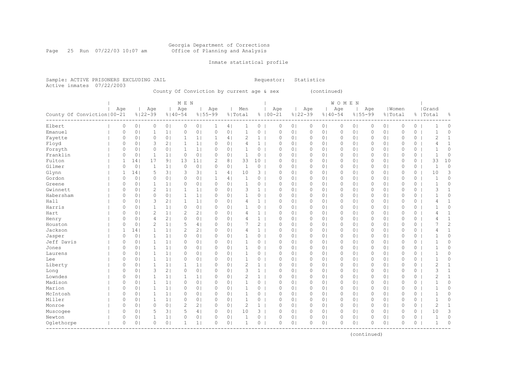#### Georgia Department of Corrections Page 25 Run 07/22/03 10:07 am Office of Planning and Analysis

## Inmate statistical profile

Sample: ACTIVE PRISONERS EXCLUDING JAIL **Requestor:** Statistics Active inmates 07/22/2003

County Of Conviction by current age & sex (continued)

|                              |          |                 |                |                | M E N          |                 |              |                |                |                |             |                |             |                | <b>WOMEN</b> |                |          |                |             |          |                |              |
|------------------------------|----------|-----------------|----------------|----------------|----------------|-----------------|--------------|----------------|----------------|----------------|-------------|----------------|-------------|----------------|--------------|----------------|----------|----------------|-------------|----------|----------------|--------------|
|                              | Age      |                 | Age            |                | Age            |                 | Age          |                | Men            |                | Age         |                | Age         |                | Age          |                | Age      |                | Women       |          | Grand          |              |
| County Of Conviction   00-21 |          |                 | $8122 - 39$    |                | $8140 - 54$    |                 | $8155 - 99$  |                | % Total        |                | $8100 - 21$ |                | $8122 - 39$ | $8140 - 54$    |              | $8155 - 99$    |          | % Total        |             |          | %   Total      | 옹            |
| Elbert                       | 0        | 0 <sub>1</sub>  | 0              | 0 <sub>1</sub> | $\circ$        | 0 <sub>1</sub>  | 1            | 4              | 1              | 0              | $\circ$     | 0 <sub>1</sub> | $\circ$     | 01             | 0            | $\circ$        | 0        | 0 <sub>1</sub> | $\circ$     | 0        | -1             | 0            |
| Emanuel                      | 0        | 0 <sub>1</sub>  | 1              | 1              | 0              | 0 <sub>1</sub>  | $\circ$      | 0 <sub>1</sub> | 1              | 0              | $\circ$     | 0 <sub>1</sub> | $\circ$     | 0 <sub>1</sub> | $\circ$      | 0 <sub>1</sub> | $\Omega$ | 0 <sub>1</sub> | $\mathbf 0$ | 0        | -1             | 0            |
| Fayette                      | 0        | 0 <sub>1</sub>  | $\circ$        | 0 <sub>1</sub> | $\mathbf 1$    | 1               | 1            | 4              | 2              | $\mathbf{1}$   | 0           | 0 <sub>1</sub> | 0           | 0 <sub>1</sub> | 0            | 0 <sub>1</sub> | 0        | 0 <sub>1</sub> | $\circ$     | 0        | $\mathbf{2}$   | $\mathbf{1}$ |
| Floyd                        | 0        | 0 <sub>1</sub>  | 3              | 2              | $\mathbf{1}$   | 1 <sub>1</sub>  | $\circ$      | 0 <sub>1</sub> | 4              | $\mathbf{1}$   | $\circ$     | 0 <sub>1</sub> | 0           | 0 <sub>1</sub> | $\circ$      | 0 <sub>1</sub> | 0        | 0 <sub>1</sub> | $\circ$     | 0        | 4              | $\mathbf{1}$ |
| Forsyth                      | 0        | 0 <sup>1</sup>  | $\mathbf 0$    | 0 <sub>1</sub> | $\mathbf{1}$   | 1 <sub>1</sub>  | $\circ$      | 0 <sub>1</sub> | $\mathbf{1}$   | $\circ$        | $\circ$     | 0 <sub>1</sub> | $\circ$     | 0 <sub>1</sub> | $\circ$      | 0 <sub>1</sub> | 0        | 0 <sub>1</sub> | $\circ$     | 0        | $\mathbf{1}$   | $\circ$      |
| Franklin                     | 0        | 0 <sup>1</sup>  | $\mathbf{1}$   | 1 <sub>1</sub> | $\circ$        | 0 <sub>1</sub>  | $\circ$      | 0 <sub>1</sub> | $\mathbf{1}$   | 0              | $\circ$     | 0 <sub>1</sub> | $\circ$     | 0 <sub>1</sub> | $\circ$      | 0 <sub>1</sub> | 0        | 0 <sub>1</sub> | $\circ$     | 0        | $\mathbf 1$    | $\circ$      |
| Fulton                       | 1        | 14 <sub>1</sub> | 17             | 9 <sub>1</sub> | 13             | 11 <sub>1</sub> | 2            | 8 <sub>1</sub> | 33             | 10             | $\circ$     | 0 <sub>1</sub> | 0           | 0 <sub>1</sub> | $\circ$      | 0 <sub>1</sub> | 0        | 0 <sub>1</sub> | $\mathbf 0$ | 0        | 33             | 10           |
| Gilmer                       | 0        | 0               | $\mathbf{1}$   | 1 <sub>1</sub> | $\Omega$       | 0 <sub>1</sub>  | $\Omega$     | 0 <sub>1</sub> | $\mathbf 1$    | 0              | $\Omega$    | 0 <sub>1</sub> | 0           | 0 <sup>1</sup> | $\Omega$     | 0 <sup>1</sup> | $\Omega$ | 0 <sub>1</sub> | $\circ$     | 0        | $\mathbf{1}$   | 0            |
| Glynn                        | 1        | 14              | 5              | 3 <sub>1</sub> | 3              | 3 <sup>1</sup>  | $\mathbf{1}$ | 4              | 10             | 3              | $\circ$     | 0 <sub>1</sub> | $\circ$     | 0 <sup>1</sup> | $\circ$      | $\circ$        | 0        | 0 <sub>1</sub> | $\circ$     | 0        | 10             | 3            |
| Gordon                       | 0        | 0 <sup>1</sup>  | $\circ$        | 0 <sub>1</sub> | 0              | 0 <sub>1</sub>  | 1            | 4 <sub>1</sub> | $\mathbf{1}$   | 0              | $\circ$     | 0 <sub>1</sub> | $\circ$     | 0 <sup>1</sup> | $\circ$      | 0 <sub>1</sub> | 0        | 0 <sub>1</sub> | $\circ$     | 0        | 1              | 0            |
| Greene                       | 0        | 0 <sub>1</sub>  | $\mathbf{1}$   | 1 <sub>1</sub> | 0              | 0 <sub>1</sub>  | $\circ$      | 0 <sub>1</sub> | $\mathbf{1}$   | 0              | $\circ$     | 0 <sub>1</sub> | $\circ$     | 0 <sub>1</sub> | $\circ$      | 0 <sub>1</sub> | 0        | 0 <sub>1</sub> | $\mathbf 0$ | 0        | $\mathbf{1}$   | 0            |
| Gwinnett                     | $\circ$  | 0 <sup>1</sup>  | $\overline{c}$ | 1 <sub>1</sub> | $\mathbf{1}$   | 1 <sub>1</sub>  | $\circ$      | 0 <sub>1</sub> | 3              | $\mathbf{1}$   | $\circ$     | 0 <sub>1</sub> | $\circ$     | 0 <sub>1</sub> | $\circ$      | 0 <sub>1</sub> | 0        | 0 <sub>1</sub> | $\mathbf 0$ | 0        | 3              | $\mathbf{1}$ |
| Habersham                    | $\circ$  | 0 <sub>1</sub>  | $\circ$        | 0 <sub>1</sub> | $\mathbf{1}$   | 1 <sub>1</sub>  | $\circ$      | 0 <sub>1</sub> | $\mathbf{1}$   | 0              | $\mathbf 0$ | 0 <sub>1</sub> | 0           | 0 <sub>1</sub> | 0            | 0 <sub>1</sub> | 0        | 0 <sub>1</sub> | $\mathbf 0$ | 0        | $\mathbf{1}$   | 0            |
| Hall                         | 0        | 0 <sub>1</sub>  | 3              | 2 <sub>1</sub> | 1              | 1 <sub>1</sub>  | $\circ$      | 0 <sub>1</sub> | 4              | 1 <sup>1</sup> | $\circ$     | 0 <sub>1</sub> | 0           | 0 <sub>1</sub> | $\circ$      | 0 <sub>1</sub> | 0        | 0 <sub>1</sub> | $\mathbf 0$ | 0        | 4              | $\mathbf{1}$ |
| Harris                       | 0        | 0 <sup>1</sup>  | $\mathbf{1}$   | 1 <sub>1</sub> | $\circ$        | 0 <sub>1</sub>  | $\circ$      | 0 <sub>1</sub> | 1              | $\circ$        | $\circ$     | 0 <sub>1</sub> | $\circ$     | 0 <sub>1</sub> | $\circ$      | 0 <sub>1</sub> | 0        | 0 <sub>1</sub> | $\circ$     | 0        |                | 0            |
| Hart                         | 0        | 0               | $\overline{c}$ | 1 <sub>1</sub> | $\overline{c}$ | 2 <sub>1</sub>  | $\circ$      | 0 <sub>1</sub> | 4              | $\mathbf{1}$   | $\circ$     | 0 <sub>1</sub> | $\circ$     | 0 <sub>1</sub> | $\circ$      | 0 <sub>1</sub> | 0        | 0 <sub>1</sub> | $\mathbf 0$ | 0        | 4              | $\mathbf{1}$ |
| Henry                        | 0        | 0               | $\overline{4}$ | 2 <sub>1</sub> | $\circ$        | 0 <sub>1</sub>  | $\Omega$     | 0 <sub>1</sub> | 4              | $\mathbf{1}$   | $\circ$     | 0 <sub>1</sub> | 0           | 0 <sub>1</sub> | $\circ$      | 0 <sub>1</sub> | 0        | 0 <sub>1</sub> | $\mathbf 0$ | 0        | 4              | $\mathbf{1}$ |
| Houston                      | 0        | 0               | $\overline{2}$ | 1 <sub>1</sub> | 5              | 4               | $\circ$      | 0 <sub>1</sub> | 7              | 2              | $\mathbf 0$ | 0 <sub>1</sub> | $\circ$     | 0 <sup>1</sup> | $\circ$      | $\circ$        | $\Omega$ | 0 <sub>1</sub> | $\mathbf 0$ | 0        | 7              | 2            |
| Jackson                      | 1        | 14              | $\mathbf{1}$   | 1 <sub>1</sub> | $\overline{c}$ | 2 <sub>1</sub>  | $\circ$      | 0 <sub>1</sub> | 4              | $\mathbf{1}$   | $\circ$     | 0 <sub>1</sub> | 0           | 0 <sub>1</sub> | 0            | 0 <sub>1</sub> | 0        | 0 <sub>1</sub> | $\mathbf 0$ | 0        | 4              | $\mathbf{1}$ |
| Jasper                       | 0        | 0 <sup>1</sup>  | $\mathbf{1}$   | 1 <sub>1</sub> | 0              | 0 <sub>1</sub>  | $\circ$      | 0 <sub>1</sub> | 1              | 0              | $\circ$     | 0 <sub>1</sub> | $\circ$     | 0 <sub>1</sub> | $\circ$      | 0 <sub>1</sub> | 0        | 0 <sub>1</sub> | $\circ$     | 0        |                | 0            |
| Jeff Davis                   | $\circ$  | 0 <sub>1</sub>  | $\mathbf{1}$   | 1              | $\circ$        | 0 <sub>1</sub>  | 0            | 0 <sub>1</sub> | 1              | 0              | 0           | 0 <sub>1</sub> | 0           | 0 <sub>1</sub> | 0            | 0 <sub>1</sub> | 0        | 0 <sub>1</sub> | $\circ$     | 0        | $\mathbf{1}$   | 0            |
| Jones                        | $\circ$  | 0 <sup>1</sup>  | $\mathbf{1}$   | 1              | 0              | 0 <sub>1</sub>  | $\circ$      | 0 <sub>1</sub> | $\mathbf{1}$   | 0              | $\mathbf 0$ | 0 <sub>1</sub> | 0           | 0 <sub>1</sub> | $\circ$      | $\circ$        | 0        | 0 <sub>1</sub> | $\mathbf 0$ | 0        | $\mathbf{1}$   | 0            |
| Laurens                      | $\circ$  | 0 <sub>1</sub>  | $\mathbf{1}$   | 1              | 0              | 0 <sub>1</sub>  | $\circ$      | 0 <sub>1</sub> | $\mathbf{1}$   | 0              | $\mathbf 0$ | 0 <sub>1</sub> | 0           | 0 <sub>1</sub> | $\circ$      | 0 <sub>1</sub> | 0        | 0 <sub>1</sub> | $\mathbf 0$ | 0        | $\mathbf 1$    | 0            |
| Lee                          | $\circ$  | 0 <sup>1</sup>  | $\mathbf{1}$   | 1              | $\Omega$       | 0 <sub>1</sub>  | $\circ$      | 0 <sub>1</sub> | 1              | 0              | $\circ$     | 0 <sub>1</sub> | 0           | 0 <sub>1</sub> | 0            | 0 <sub>1</sub> | 0        | 0 <sub>1</sub> | $\mathbf 0$ | 0        |                | 0            |
| Liberty                      | 0        | 0               | 1              | 1              | $\mathbf{1}$   | 1               | $\circ$      | 0 <sub>1</sub> | 2              | $\mathbf{1}$   | $\circ$     | 0 <sub>1</sub> | $\circ$     | 0 <sub>1</sub> | $\circ$      | 0 <sub>1</sub> | 0        | 0 <sub>1</sub> | $\circ$     | 0        | $\overline{c}$ | 1            |
| Long                         | $\circ$  | 0               | 3              | 2 <sub>1</sub> | $\circ$        | 0 <sub>1</sub>  | $\circ$      | 0 <sub>1</sub> | 3              | $\mathbf{1}$   | $\mathbf 0$ | 0 <sub>1</sub> | $\circ$     | 0 <sub>1</sub> | $\circ$      | 0 <sub>1</sub> | $\Omega$ | 0 <sub>1</sub> | $\mathbf 0$ | 0        | 3              | $\mathbf{1}$ |
| Lowndes                      | $\circ$  | 0 <sup>1</sup>  | $\mathbf{1}$   | 1 <sub>1</sub> | $\mathbf{1}$   | 1 <sub>1</sub>  | $\circ$      | 0 <sub>1</sub> | $\overline{2}$ | $\mathbf{1}$   | $\circ$     | 0 <sub>1</sub> | $\circ$     | 0 <sup>1</sup> | $\circ$      | $\circ$        | $\Omega$ | 0 <sub>1</sub> | $\mathbf 0$ | 0        | 2              | $\mathbf{1}$ |
| Madison                      | $\circ$  | 0 <sub>1</sub>  | $\mathbf{1}$   | 1 <sub>1</sub> | $\circ$        | 0 <sub>1</sub>  | $\circ$      | 0 <sub>1</sub> | 1              | 0              | $\circ$     | 0 <sub>1</sub> | 0           | 0 <sub>1</sub> | 0            | 0 <sub>1</sub> | 0        | 0 <sub>1</sub> | $\mathbf 0$ | 0        | $\mathbf{1}$   | 0            |
| Marion                       | 0        | 0 <sub>1</sub>  | 1              | 1 <sub>1</sub> | 0              | 0 <sub>1</sub>  | $\circ$      | 0 <sub>1</sub> | 1              | 0              | 0           | 0 <sub>1</sub> | 0           | 0 <sub>1</sub> | 0            | 0 <sub>1</sub> | 0        | 0 <sub>1</sub> | 0           | 0        | $\mathbf{1}$   | 0            |
| McIntosh                     | 0        | 0 <sub>1</sub>  | 1              | 1 <sub>1</sub> | 0              | 0 <sub>1</sub>  | $\circ$      | 0 <sub>1</sub> | 1              | 0              | $\circ$     | 0 <sub>1</sub> | 0           | 0 <sub>1</sub> | $\circ$      | 0 <sub>1</sub> | 0        | 0 <sub>1</sub> | $\circ$     | 0        | 1              | 0            |
| Miller                       | 0        | 0 <sup>1</sup>  | $\mathbf{1}$   | 1 <sub>1</sub> | 0              | 0 <sub>1</sub>  | $\circ$      | 0 <sub>1</sub> | $\mathbf{1}$   | 0              | $\circ$     | 0 <sub>1</sub> | $\circ$     | 0 <sub>1</sub> | $\circ$      | 0 <sub>1</sub> | $\Omega$ | 0 <sub>1</sub> | $\circ$     | 0        | $\mathbf{1}$   | 0            |
| Monroe                       | $\circ$  | 0 <sub>1</sub>  | $\circ$        | 0 <sub>1</sub> | $\overline{c}$ | 2 <sub>1</sub>  | $\circ$      | 0 <sub>1</sub> | $\overline{c}$ | 1 <sup>1</sup> | $\circ$     | 0 <sub>1</sub> | 0           | 0 <sub>1</sub> | $\circ$      | 0 <sub>1</sub> | 0        | 0 <sub>1</sub> | $\circ$     | $\circ$  | $\overline{2}$ | $\mathbf{1}$ |
| Muscogee                     | 0        | 0 <sub>1</sub>  | 5              | 3              | 5              | 4               | $\circ$      | 0 <sub>1</sub> | 10             | $3-1$          | $\circ$     | 0 <sub>1</sub> | 0           | 0 <sub>1</sub> | 0            | 0 <sub>1</sub> | 0        | 0 <sub>1</sub> | $\circ$     | 0        | 10             | 3            |
| Newton                       | 0        | 0               | 1              | 1              | 0              | 0 <sub>1</sub>  | $\circ$      | 0 <sub>1</sub> | $\mathbf{1}$   | 0              | $\circ$     | 0 <sub>1</sub> | $\Omega$    | 0 <sub>1</sub> | $\Omega$     | $\circ$        | $\Omega$ | 0 <sub>1</sub> | $\circ$     | 0        | $\mathbf 1$    | 0            |
| Oqlethorpe                   | $\Omega$ | $\Omega$        | $\Omega$       | 0 <sub>1</sub> | 1              | 1 <sub>1</sub>  | $\Omega$     | 0 <sub>1</sub> | 1              | 0              | $\Omega$    | 0 <sub>1</sub> | $\Omega$    | 0 <sub>1</sub> | $\Omega$     | $\circ$        | $\Omega$ | 0 <sub>1</sub> | $\Omega$    | $\Omega$ | $\mathbf{1}$   | $\Omega$     |
|                              |          |                 |                |                |                |                 |              |                |                |                |             |                |             |                |              |                |          |                |             |          |                |              |

(continued)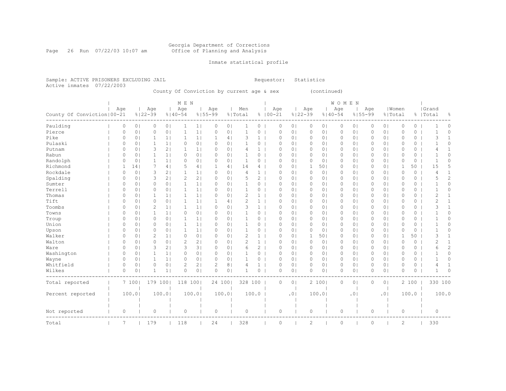#### Georgia Department of Corrections Page 26 Run 07/22/03 10:07 am Office of Planning and Analysis

## Inmate statistical profile

Sample: ACTIVE PRISONERS EXCLUDING JAIL **Requestor:** Statistics Active inmates 07/22/2003

County Of Conviction by current age & sex (continued)

|                              |          |                |              |                | M E N          |                |             |                |                |                |             |                |             |                | <b>WOMEN</b> |                |          |                |              |         |                |                |
|------------------------------|----------|----------------|--------------|----------------|----------------|----------------|-------------|----------------|----------------|----------------|-------------|----------------|-------------|----------------|--------------|----------------|----------|----------------|--------------|---------|----------------|----------------|
|                              | Age      |                | Age          |                | Age            |                | Age         |                | Men            |                | Age         |                | Age         |                | Age          |                | Age      |                | Women        |         | Grand          |                |
| County Of Conviction   00-21 |          |                | $8122 - 39$  |                | $8140 - 54$    |                | $8155 - 99$ |                | % Total        |                | $8100 - 21$ |                | $8122 - 39$ |                | $8140 - 54$  | $8155 - 99$    |          |                | % Total      |         | %   Total      | 옹              |
| Paulding                     | 0        | 0 <sub>1</sub> | 0            | 0 <sub>1</sub> | 1              | 1              | 0           | 0 <sub>1</sub> |                | 0              | 0           | 0 <sub>1</sub> | 0           | 0              | 0            | 0 <sub>1</sub> | 0        | 0 <sub>1</sub> | 0            | 0       |                | 0              |
| Pierce                       | 0        | 0 <sub>1</sub> | $\circ$      | 0 <sub>1</sub> | $\mathbf{1}$   | 1              | 0           | 0 <sub>1</sub> | 1              | 0              | $\Omega$    | $\circ$        | $\mathbf 0$ | $\circ$        | 0            | 0 <sub>1</sub> | $\Omega$ | 0 <sub>1</sub> | $\mathbf{0}$ | 0       | $\mathbf{1}$   | $\circ$        |
| Pike                         | 0        | 0 <sub>1</sub> | 1            | 1 <sub>1</sub> | $\mathbf{1}$   | 1 <sub>1</sub> | 1           | 4              | 3              | $\mathbf{1}$   | $\Omega$    | 0 <sup>1</sup> | $\circ$     | 0 <sup>1</sup> | $\circ$      | 0 <sub>1</sub> | $\Omega$ | 0 <sub>1</sub> | $\Omega$     | 0       | 3              | 1              |
| Pulaski                      | 0        | 0 <sub>1</sub> | $\mathbf{1}$ | 1 <sub>1</sub> | 0              | 0 <sub>1</sub> | 0           | 0 <sub>1</sub> | 1              | 0              | $\Omega$    | 0 <sup>1</sup> | $\circ$     | $\circ$        | 0            | 0 <sub>1</sub> | $\Omega$ | 0 <sub>1</sub> | $\circ$      | 0       |                | $\Omega$       |
| Putnam                       | 0        | 0 <sub>1</sub> | 3            | 2 <sub>1</sub> | -1             | 1              | 0           | 0 <sub>1</sub> | 4              | $\mathbf{1}$   | $\Omega$    | 0 <sub>1</sub> | 0           | 01             | 0            | 0 <sub>1</sub> | 0        | 0 <sub>1</sub> | $\circ$      | 0       | 4              |                |
| Rabun                        | 0        | 0 <sub>1</sub> | 1            | 1 <sub>1</sub> | $\circ$        | 0 <sub>1</sub> | 0           | 0 <sub>1</sub> | 1              | 0              | 0           | 0 <sub>1</sub> | 0           | 0 <sup>1</sup> | 0            | 0 <sub>1</sub> | 0        | 0 <sub>1</sub> | $\circ$      | 0       |                | $\Omega$       |
| Randolph                     | 0        | 0 <sub>1</sub> | $\mathbf{1}$ | 1 <sub>1</sub> | 0              | 0 <sub>1</sub> | 0           | 0 <sub>1</sub> | $\mathbf 1$    | 0              | 0           | 0 <sub>1</sub> | $\circ$     | 0 <sup>1</sup> | 0            | 0 <sub>1</sub> | 0        | 0 <sub>1</sub> | 0            | 0       | $\mathbf{1}$   | $\Omega$       |
| Richmond                     | 1        | 14             | 7            | 4 <sub>1</sub> | 5              | 4              |             | 4 <sub>1</sub> | 14             | 4              | 0           | 0 <sub>1</sub> | 1           | 501            | 0            | 0 <sub>1</sub> | 0        | 0 <sub>1</sub> | 1            | 50      | 15             | 5              |
| Rockdale                     | 0        | 0 <sub>1</sub> | 3            | 2 <sub>1</sub> | $\mathbf{1}$   | 1              | 0           | 0 <sub>1</sub> | 4              | $\mathbf{1}$   | $\circ$     | 0 <sub>1</sub> | $\circ$     | 0 <sup>1</sup> | 0            | 0 <sub>1</sub> | 0        | 0 <sub>1</sub> | $\mathbb O$  | $\circ$ | 4              | 1              |
| Spalding                     | 0        | 0 <sub>1</sub> | 3            | 2 <sub>1</sub> | $\mathbf{2}$   | 2 <sub>1</sub> | $\Omega$    | 0 <sub>1</sub> | 5              | 2              | $\circ$     | 0 <sub>1</sub> | $\circ$     | $\circ$        | $\circ$      | 0 <sub>1</sub> | $\Omega$ | 0 <sub>1</sub> | $\circ$      | 0       | 5              | 2              |
| Sumter                       | 0        | 0 <sub>1</sub> | $\circ$      | 0 <sub>1</sub> | $\mathbf{1}$   | 1              | 0           | 0 <sub>1</sub> | $\mathbf{1}$   | $\overline{0}$ | $\circ$     | 0 <sub>1</sub> | $\circ$     | 0 <sub>1</sub> | $\circ$      | 0 <sub>1</sub> | 0        | 0 <sub>1</sub> | $\circ$      | 0       | -1             | 0              |
| Terrell                      | $\Omega$ | 0 <sub>1</sub> | $\circ$      | 0 <sub>1</sub> | -1             | 1              | $\Omega$    | 0 <sub>1</sub> | 1              | 0              | $\Omega$    | 0 <sub>1</sub> | 0           | 01             | 0            | 0 <sub>1</sub> | 0        | 0 <sup>1</sup> | $\circ$      | 0       | -1             | 0              |
| Thomas                       | $\Omega$ | 0 <sub>1</sub> | 1            | $1\vert$       | $\mathbf{1}$   | 1 <sub>1</sub> | $\Omega$    | 0 <sub>1</sub> | 2              | $\mathbf{1}$   | $\Omega$    | 0 <sub>1</sub> | 0           | 0 <sub>1</sub> | 0            | 0 <sub>1</sub> | $\Omega$ | 0 <sup>1</sup> | $\Omega$     | 0       | 2              | 1              |
| Tift                         | 0        | 0 <sub>1</sub> | 0            | 0 <sub>1</sub> | 1              | 1              |             | 4 <sub>1</sub> | 2              | $\mathbf{1}$   | $\Omega$    | 0 <sub>1</sub> | 0           | 0 <sub>1</sub> | 0            | 0 <sub>1</sub> | 0        | 0 <sub>1</sub> | $\circ$      | 0       | 2              | 1              |
| Toombs                       | 0        | 0 <sub>1</sub> | 2            | 1 <sub>1</sub> | 1              | 1              | $\Omega$    | 0 <sub>1</sub> | 3              | $\mathbf{1}$   | $\Omega$    | 0 <sub>1</sub> | 0           | 0              | 0            | 0 <sub>1</sub> | 0        | 0 <sub>1</sub> | $\circ$      | 0       | 3              | 1              |
| Towns                        | $\Omega$ | 0 <sup>1</sup> | 1            | 1 <sub>1</sub> | 0              | 0 <sub>1</sub> | $\Omega$    | 0 <sub>1</sub> |                | 0              | $\Omega$    | 0 <sup>1</sup> | 0           | 0              | 0            | 0              | 0        | 0 <sub>1</sub> | $\Omega$     | 0       | -1             | $\Omega$       |
| Troup                        | 0        | 0 <sub>1</sub> | $\circ$      | 0 <sup>1</sup> | $\mathbf{1}$   | 1 <sub>1</sub> | $\Omega$    | 0 <sup>1</sup> | 1              | 0              | $\Omega$    | 0 <sup>1</sup> | $\circ$     | 0              | $\circ$      | $\circ$        | $\Omega$ | 0 <sub>1</sub> | $\circ$      | 0       |                | $\Omega$       |
| Union                        | 0        | 0 <sub>1</sub> | $\circ$      | 0 <sup>1</sup> | 1              | 1 <sub>1</sub> | 0           | 0 <sub>1</sub> | 1              | 0              | $\circ$     | 0 <sup>1</sup> | $\circ$     | $\circ$        | $\circ$      | 0 <sub>1</sub> | $\Omega$ | 0 <sub>1</sub> | $\circ$      | 0       |                | $\Omega$       |
| Upson                        | 0        | 0 <sub>1</sub> | 0            | 0 <sub>1</sub> | -1             | 1 <sub>1</sub> | 0           | 0 <sub>1</sub> | 1              | 0              | $\Omega$    | 0 <sup>1</sup> | $\circ$     | 0 <sup>1</sup> | 0            | 0 <sub>1</sub> | 0        | 0 <sub>1</sub> | $\circ$      | 0       |                | $\Omega$       |
| Walker                       | 0        | 0 <sub>1</sub> | 2            | 1 <sub>1</sub> | $\circ$        | 0 <sub>1</sub> | 0           | 0 <sub>1</sub> | $\overline{c}$ | $\mathbf{1}$   | $\Omega$    | 0 <sup>1</sup> | -1          | 501            | 0            | 0 <sub>1</sub> | 0        | 0 <sub>1</sub> | 1            | 50      | 3              |                |
| Walton                       | 0        | 0 <sub>1</sub> | $\circ$      | 0 <sub>1</sub> | $\overline{c}$ | 2 <sub>1</sub> | 0           | 0 <sub>1</sub> | $\overline{c}$ | 1 <sup>1</sup> | $\circ$     | 0 <sub>1</sub> | $\circ$     | 0 <sub>1</sub> | 0            | 0 <sub>1</sub> | 0        | 0 <sub>1</sub> | $\mathbf{0}$ | $\circ$ | $\overline{2}$ | 1              |
| Ware                         | 0        | 0 <sub>1</sub> | 3            | 2 <sub>1</sub> | 3              | 3              | $\Omega$    | 0 <sub>1</sub> | 6              | $\overline{2}$ | 0           | 0 <sub>1</sub> | 0           | 0 <sub>1</sub> | 0            | 0 <sub>1</sub> | 0        | 0 <sub>1</sub> | 0            | 0       | 6              | $\overline{c}$ |
| Washington                   | 0        | 0 <sub>1</sub> | $\mathbf{1}$ | 1 <sub>1</sub> | 0              | 0 <sub>1</sub> | 0           | 0 <sub>1</sub> |                | 0              | $\circ$     | 0 <sub>1</sub> | $\circ$     | 0              | 0            | 0 <sub>1</sub> | 0        | 0 <sub>1</sub> | $\circ$      | 0       |                | $\Omega$       |
| Wayne                        | 0        | 0 <sub>1</sub> | $\mathbf{1}$ | $1\vert$       | $\circ$        | 0 <sub>1</sub> | 0           | 0 <sub>1</sub> | $\mathbf{1}$   | 0              | $\circ$     | 0 <sub>1</sub> | $\circ$     | $\circ$        | $\circ$      | 0 <sub>1</sub> | 0        | 0 <sub>1</sub> | $\mathbf{0}$ | 0       | $\mathbf{1}$   | 0              |
| Whitfield                    | 0        | 0 <sub>1</sub> | $\circ$      | 0 <sub>1</sub> | 2              | 2 <sub>1</sub> | 2           | 8 <sub>1</sub> | 4              | $1 \mid$       | $\circ$     | 0 <sub>1</sub> | $\circ$     | 0 <sup>1</sup> | $\circ$      | 0 <sub>1</sub> | 0        | 0 <sub>1</sub> | $\circ$      | 0       | 4              | $\mathbf{1}$   |
| Wilkes                       | 0        | 0 <sub>1</sub> | -1           | $1\vert$       | O              | 0 <sub>1</sub> | $\Omega$    | 0 <sub>1</sub> | -1             | $\circ$        | $\Omega$    | 0 <sub>1</sub> | $\Omega$    | 01             | 0            | 0 <sub>1</sub> | 0        | 0 <sub>1</sub> | $\Omega$     | 0       | -1             | $\Omega$       |
| Total reported               |          | 7 1001         | 179 100      |                | 118 100        |                | 24 1001     |                | 328 100        |                | $\circ$     | 0 <sub>1</sub> |             | 2 100          | $\circ$      | 0 <sub>1</sub> | 0        | 0 <sub>1</sub> |              | 2 100   | 330 100        |                |
| Percent reported             |          | 100.0          |              | 100.0          |                | 100.0          |             | 100.01         |                | 100.0          |             | .01            |             | 100.0          |              | .0             |          | .01            |              | 100.0   |                | 100.0          |
|                              |          |                |              |                |                |                |             |                |                |                |             |                |             |                |              |                |          |                |              |         |                |                |
| Not reported                 | 0        |                | $\circ$      |                | 0              |                | $\circ$     |                | $\circ$        |                | 0           |                | $\circ$     |                | 0            |                | 0        |                | $\circ$      |         | $\circ$        |                |
| Total                        | 7        |                | 179          |                | 118            |                | 24          |                | 328            |                | $\circ$     |                | 2           |                | 0            |                | 0        |                | 2            |         | 330            |                |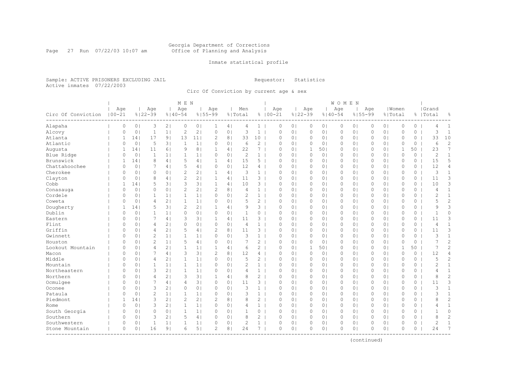#### Georgia Department of Corrections Page 27 Run 07/22/03 10:07 am Office of Planning and Analysis

## Inmate statistical profile

Sample: ACTIVE PRISONERS EXCLUDING JAIL **Requestor:** Statistics Active inmates 07/22/2003

Circ Of Conviction by current age & sex

|                    |                   |                |                    |                | M E N              |                |                    |                |                |                       |                    |                |                    |                | WOMEN   |                |          |                |                  |          |                    |                |
|--------------------|-------------------|----------------|--------------------|----------------|--------------------|----------------|--------------------|----------------|----------------|-----------------------|--------------------|----------------|--------------------|----------------|---------|----------------|----------|----------------|------------------|----------|--------------------|----------------|
| Circ Of Conviction | Age<br>$100 - 21$ |                | Age<br>$8122 - 39$ |                | Age<br>$8140 - 54$ |                | Age<br>$8155 - 99$ |                | Men<br>% Total |                       | Age<br>$8100 - 21$ |                | Age<br>$8122 - 39$ | $8140 - 54$    | Age     | $8155 - 99$    | Age      |                | Women<br>% Total |          | Grand<br>%   Total | 욲              |
| Alapaha            | 0                 | 0 <sub>1</sub> | 3                  | 2 <sub>1</sub> | 0                  | 0 <sub>1</sub> | 1                  | 4              | 4              | $\mathbf{1}$          | 0                  | 0 <sub>1</sub> | $\circ$            | 0 <sub>1</sub> | $\circ$ | 0 <sub>1</sub> | $\circ$  | 0 <sub>1</sub> | $\mathbf{0}$     | $\circ$  | 4                  | $\mathbf{1}$   |
| Alcovy             | $\Omega$          | 0 <sub>1</sub> | $\mathbf{1}$       | 1 <sub>1</sub> | $\overline{c}$     | 2 <sub>1</sub> | $\circ$            | 0 <sup>1</sup> | 3              | $\mathbf{1}$          | 0                  | 0 <sub>1</sub> | $\circ$            | 0 <sub>1</sub> | $\circ$ | 0 <sub>1</sub> | 0        | 0 <sub>1</sub> | $\mathbf{0}$     | $\Omega$ | 3                  | $\mathbf{1}$   |
| Atlanta            | 1                 | 14             | 17                 | 9 <sub>1</sub> | 13                 | 11             | $\overline{c}$     | 8 <sup>1</sup> | 33             | 10 <sub>1</sub>       | $\Omega$           | 0 <sub>1</sub> | 0                  | 0 <sub>1</sub> | $\circ$ | 0 <sub>1</sub> | $\Omega$ | 0 <sub>1</sub> | $\circ$          | 0        | 33                 | 10             |
| Atlantic           | 0                 | 0 <sub>1</sub> | 5                  | 3 <sup>1</sup> | 1                  | 1              | 0                  | 0 <sub>1</sub> | 6              | $\mathbf{2}^{\prime}$ | $\Omega$           | 0 <sub>1</sub> | 0                  | 0 <sub>1</sub> | 0       | $\circ$        | 0        | 0 <sub>1</sub> | $\circ$          | 0        | 6                  | $\overline{c}$ |
| Augusta            | $\mathbf{1}$      | 141            | 11                 | 61             | 9                  | 8 <sub>1</sub> | $\mathbf{1}$       | $\overline{4}$ | 22             | 7                     | $\Omega$           | 0 <sub>1</sub> | 1                  | 501            | $\circ$ | 0 <sub>1</sub> | $\Omega$ | 0 <sub>1</sub> | 1                | 50       | 23                 | 7              |
| Blue Ridge         | 0                 | 0 <sub>1</sub> | $\mathbf{1}$       | 1 <sup>1</sup> | $\mathbf{1}$       | 1              | 0                  | 0 <sub>1</sub> | 2              | $\mathbf{1}$          | 0                  | 0 <sub>1</sub> | $\circ$            | 01             | $\circ$ | 0 <sub>1</sub> | 0        | 0 <sub>1</sub> | $\circ$          | 0        | $\overline{c}$     | $\mathbf{1}$   |
| Brunswick          | $\mathbf 1$       | 14             | 8                  | 4 <sup>1</sup> | 5                  | 4              | $\mathbf{1}$       | 4              | 15             | 5                     | $\Omega$           | 0 <sub>1</sub> | $\circ$            | 0 <sub>1</sub> | $\circ$ | 0 <sub>1</sub> | $\Omega$ | 0 <sub>1</sub> | $\mathbf{0}$     | 0        | 15                 | 5              |
| Chattahoochee      | $\Omega$          | 0 <sub>1</sub> | 7                  | 4 <sub>1</sub> | 5                  | 4 <sub>1</sub> | $\circ$            | 0 <sub>1</sub> | 12             | 4                     | $\Omega$           | 0 <sub>1</sub> | $\circ$            | 0 <sub>1</sub> | $\circ$ | 0 <sub>1</sub> | $\circ$  | 0 <sub>1</sub> | $\circ$          | 0        | 12                 | 4              |
| Cherokee           | 0                 | 0 <sub>1</sub> | $\circ$            | 0 <sub>1</sub> | $\overline{c}$     | 2 <sub>1</sub> | 1                  | 4              | 3              | 1 <sup>1</sup>        | $\Omega$           | 0 <sub>1</sub> | $\circ$            | 0 <sub>1</sub> | $\circ$ | 0 <sub>1</sub> | $\circ$  | 0 <sub>1</sub> | $\circ$          | 0        | 3                  | $\mathbf{1}$   |
| Clayton            | 0                 | 0 <sup>1</sup> | 8                  | 4 <sup>1</sup> | $\overline{2}$     | 2 <sub>1</sub> | $\mathbf{1}$       | 4 <sup>1</sup> | 11             | 3                     | $\Omega$           | 0 <sub>1</sub> | $\circ$            | 01             | $\circ$ | 0 <sub>1</sub> | 0        | 0 <sub>1</sub> | $\circ$          | 0        | 11                 | 3              |
| Cobb               | $\mathbf{1}$      | 141            | 5                  | 3 <sup>1</sup> | 3                  | 31             | $\mathbf{1}$       | $\overline{4}$ | 10             | 3                     | $\Omega$           | 0 <sub>1</sub> | $\circ$            | 01             | $\circ$ | 0 <sub>1</sub> | $\Omega$ | 0 <sub>1</sub> | $\circ$          | 0        | 10                 | 3              |
| Conasauga          | $\Omega$          | 0 <sub>1</sub> | 0                  | 0 <sub>1</sub> | $\overline{c}$     | 2 <sub>1</sub> | $\overline{c}$     | 8 <sup>1</sup> | $\overline{4}$ | 1 <sup>1</sup>        | $\Omega$           | 0 <sub>1</sub> | $\circ$            | 01             | $\circ$ | 0 <sub>1</sub> | $\Omega$ | 0 <sub>1</sub> | $\mathbf{0}$     | 0        | 4                  | $\mathbf{1}$   |
| Cordele            | $\Omega$          | 0 <sub>1</sub> | 1                  | 1 <sub>1</sub> | $\mathbf{1}$       | 1              | $\circ$            | 0 <sub>1</sub> | $\overline{c}$ | $\mathbf{1}$          | $\Omega$           | 0 <sub>1</sub> | 0                  | 01             | 0       | 0 <sub>1</sub> | $\Omega$ | 0 <sub>1</sub> | $\mathbf{0}$     | 0        | $\mathbf{2}$       | $\mathbf{1}$   |
| Coweta             | $\Omega$          | 0 <sup>1</sup> | 4                  | 21             | $\mathbf{1}$       | 1              | 0                  | 0 <sub>1</sub> | 5              | $\mathbf{2}^{\prime}$ | $\Omega$           | 0 <sub>1</sub> | $\circ$            | 0 <sub>1</sub> | $\circ$ | 0 <sub>1</sub> | $\circ$  | 0 <sub>1</sub> | $\circ$          | 0        | 5                  | $\overline{c}$ |
| Dougherty          | 1                 | 14             | 5                  | 3 <sup>1</sup> | $\overline{c}$     | 2 <sub>1</sub> | $\mathbf{1}$       | 4              | 9              | 3                     | $\Omega$           | 0 <sub>1</sub> | $\circ$            | 0 <sub>1</sub> | $\circ$ | 0 <sub>1</sub> | 0        | 0 <sub>1</sub> | $\circ$          | 0        | 9                  | 3              |
| Dublin             | $\Omega$          | 0 <sup>1</sup> | 1                  | 1 <sup>1</sup> | $\circ$            | 0 <sub>1</sub> | 0                  | 0 <sup>1</sup> | $\mathbf{1}$   | $\circ$               | $\Omega$           | 0 <sub>1</sub> | $\circ$            | 01             | $\circ$ | 0 <sub>1</sub> | 0        | 0 <sub>1</sub> | $\circ$          | 0        | $\mathbf{1}$       | 0              |
| Eastern            | $\Omega$          | 0 <sup>1</sup> | 7                  | 4 <sup>1</sup> | 3                  | 3 <sub>1</sub> | $\mathbf{1}$       | $\overline{4}$ | 11             | 3                     | $\Omega$           | 0 <sub>1</sub> | $\circ$            | 01             | $\circ$ | 0 <sub>1</sub> | $\Omega$ | 0 <sub>1</sub> | $\Omega$         | $\Omega$ | 11                 | 3              |
| Flint              | 0                 | 0 <sub>1</sub> | 4                  | 2 <sub>1</sub> | $\circ$            | 0 <sub>1</sub> | 0                  | 0 <sub>1</sub> | $\overline{4}$ | 1 <sup>1</sup>        | 0                  | 0 <sub>1</sub> | $\circ$            | 01             | $\circ$ | 0 <sub>1</sub> | $\Omega$ | 0 <sub>1</sub> | $\circ$          | $\circ$  | 4                  | $\mathbf{1}$   |
| Griffin            | $\Omega$          | 0 <sub>1</sub> | 4                  | 2 <sub>1</sub> | 5                  | 4              | $\mathbf{2}$       | 8 <sup>1</sup> | 11             | 3                     | $\Omega$           | 0 <sub>1</sub> | $\circ$            | 0 <sub>1</sub> | 0       | 0 <sub>1</sub> | $\Omega$ | 0 <sub>1</sub> | $\mathbf{0}$     | 0        | 11                 | 3              |
| Gwinnett           | $\Omega$          | 0 <sub>1</sub> | $\overline{2}$     | 1 <sub>1</sub> | $\mathbf{1}$       | 1              | 0                  | 0 <sub>1</sub> | 3              | 1                     | $\Omega$           | 0 <sub>1</sub> | $\circ$            | 0 <sub>1</sub> | 0       | 0 <sub>1</sub> | $\circ$  | 0 <sub>1</sub> | $\circ$          | 0        | 3                  | $\mathbf{1}$   |
| Houston            | $\Omega$          | 0 <sup>1</sup> | $\overline{2}$     | 1 <sup>1</sup> | 5                  | 4              | 0                  | 0 <sub>1</sub> | 7              | $\overline{2}$        | $\Omega$           | 0 <sub>1</sub> | $\circ$            | 0 <sub>1</sub> | $\circ$ | 0 <sub>1</sub> | $\circ$  | 0 <sub>1</sub> | $\circ$          | 0        | 7                  | $\overline{c}$ |
| Lookout Mountain   | $\Omega$          | 0 <sup>1</sup> | 4                  | 2 <sub>1</sub> | $\mathbf{1}$       | 1              | $\mathbf{1}$       | 4              | 6              | $\overline{2}$        | $\Omega$           | 0 <sub>1</sub> | $\mathbf{1}$       | 501            | $\circ$ | 0 <sub>1</sub> | $\Omega$ | 0 <sub>1</sub> | $\mathbf{1}$     | 50       | 7                  | 2              |
| Macon              | $\Omega$          | 0 <sup>1</sup> | 7                  | 4 <sup>1</sup> | 3                  | 3 <sub>1</sub> | $\overline{c}$     | 8              | 12             | $\overline{4}$        | $\Omega$           | 0 <sub>1</sub> | $\circ$            | 0 <sub>1</sub> | $\circ$ | 0 <sub>1</sub> | $\Omega$ | 0 <sub>1</sub> | $\Omega$         | $\Omega$ | 12                 | 4              |
| Middle             | 0                 | 0 <sub>1</sub> | 4                  | 2 <sub>1</sub> | $\mathbf{1}$       | 1              | 0                  | 0 <sub>1</sub> | 5              | $\mathbf{2}^{\prime}$ | 0                  | 0 <sub>1</sub> | $\circ$            | 0              | 0       | 0 <sub>1</sub> | $\Omega$ | 0 <sub>1</sub> | $\circ$          | $\circ$  | 5                  | $\overline{c}$ |
| Mountain           | $\Omega$          | 0 <sub>1</sub> | $\mathbf{1}$       | 1 <sub>1</sub> | $\mathbf{1}$       | 1              | 0                  | 0 <sub>1</sub> | $\overline{2}$ | $\mathbf{1}$          | $\Omega$           | 0 <sub>1</sub> | 0                  | 0              | 0       | 0 <sub>1</sub> | 0        | 0 <sub>1</sub> | $\mathbb O$      | 0        | $\overline{2}$     | $\mathbf{1}$   |
| Northeastern       | $\Omega$          | 0 <sup>1</sup> | 3                  | 2 <sub>1</sub> | $\mathbf{1}$       | 1              | 0                  | 0 <sup>1</sup> | $\overline{4}$ | 1 <sup>1</sup>        | $\Omega$           | 0 <sub>1</sub> | $\circ$            | 0 <sub>1</sub> | $\circ$ | 0 <sub>1</sub> | 0        | 0 <sub>1</sub> | $\circ$          | 0        | 4                  | $\mathbf{1}$   |
| Northern           | 0                 | 0 <sup>1</sup> | 4                  | 2 <sub>1</sub> | 3                  | 3 <sub>1</sub> | $\mathbf{1}$       | 4              | 8              | $\mathbf{2}^{\prime}$ | $\Omega$           | 0 <sub>1</sub> | $\circ$            | 0 <sub>1</sub> | $\circ$ | 0 <sub>1</sub> | $\circ$  | 0 <sub>1</sub> | $\circ$          | 0        | 8                  | 2              |
| Ocmulgee           | $\Omega$          | 0 <sub>1</sub> | 7                  | 4 <sup>1</sup> | $\overline{4}$     | 3              | 0                  | 0              | 11             | 3                     | $\Omega$           | 0 <sub>1</sub> | $\circ$            | 01             | $\circ$ | 0 <sub>1</sub> | $\Omega$ | 0 <sub>1</sub> | $\circ$          | 0        | 11                 | 3              |
| Oconee             | $\Omega$          | 0 <sup>1</sup> | 3                  | 2 <sub>1</sub> | $\circ$            | 0 <sub>1</sub> | $\Omega$           | 0              | $\mathcal{R}$  | $\mathbf{1}$          | $\Omega$           | 0 <sub>1</sub> | $\circ$            | 01             | $\circ$ | 0 <sub>1</sub> | $\Omega$ | 0 <sub>1</sub> | $\Omega$         | $\Omega$ | 3                  | $\mathbf{1}$   |
| Pataula            | $\Omega$          | 0 <sub>1</sub> | $\overline{2}$     | 1 <sub>1</sub> | $\mathbf{1}$       | 1              | 0                  | 0 <sub>1</sub> | 3              | 1 <sup>1</sup>        | $\Omega$           | 0 <sub>1</sub> | 0                  | 01             | 0       | 0 <sub>1</sub> | $\Omega$ | 0 <sub>1</sub> | $\circ$          | 0        | 3                  | $\mathbf{1}$   |
| Piedmont           | 1                 | 14             | 3                  | 21             | $\overline{c}$     | 2 <sub>1</sub> | $\overline{c}$     | 8 <sup>1</sup> | 8              | 2 <sup>1</sup>        | $\Omega$           | 0 <sub>1</sub> | 0                  | 0              | 0       | 0 <sub>1</sub> | 0        | 0 <sub>1</sub> | $\mathbb O$      | 0        | 8                  | $\overline{c}$ |
| Rome               | $\Omega$          | 0 <sub>1</sub> | 3                  | 2 <sub>1</sub> | $\mathbf{1}$       | 1              | 0                  | 0 <sub>1</sub> | $\overline{4}$ | 1 <sup>1</sup>        | $\Omega$           | 0 <sub>1</sub> | $\circ$            | 0 <sub>1</sub> | $\circ$ | 0 <sub>1</sub> | $\circ$  | 0 <sub>1</sub> | $\circ$          | 0        | 4                  | $\mathbf{1}$   |
| South Georgia      | 0                 | 0 <sup>1</sup> | $\circ$            | 0 <sub>1</sub> | $\mathbf{1}$       | 1              | $\Omega$           | 0 <sub>1</sub> | $\mathbf{1}$   | 0 <sub>1</sub>        | $\Omega$           | 0 <sub>1</sub> | $\circ$            | 0 <sub>1</sub> | $\circ$ | 0 <sub>1</sub> | $\circ$  | 0 <sub>1</sub> | $\mathbf{0}$     | 0        | -1                 | 0              |
| Southern           | $\Omega$          | 0 <sup>1</sup> | 3                  | 2 <sub>1</sub> | 5                  | 4              | 0                  | 0 <sub>1</sub> | 8              | $\mathbf{2}^{\prime}$ | $\Omega$           | 0 <sub>1</sub> | 0                  | 0 <sub>1</sub> | 0       | 0 <sub>1</sub> | $\Omega$ | 0 <sub>1</sub> | $\circ$          | 0        | 8                  | $\overline{c}$ |
| Southwestern       | $\Omega$          | 0 <sub>1</sub> | $\mathbf{1}$       | 1 <sub>1</sub> | $\mathbf{1}$       | 1              | 0                  | 0              | $\overline{c}$ | $\mathbf{1}$          | $\Omega$           | 0 <sub>1</sub> | 0                  | 0              | $\circ$ | $\circ$        | O        | 0 <sup>1</sup> | $\Omega$         | $\Omega$ | 2                  | $\mathbf{1}$   |
| Stone Mountain     | $\Omega$          | 0 <sup>1</sup> | 16                 | 9 <sub>1</sub> | 6                  | 5 <sub>1</sub> | 2                  | 8              | 24             | 7 <sup>1</sup>        | 0                  | 0 <sub>1</sub> | $\Omega$           | 0              | $\circ$ | 0 <sub>1</sub> | $\Omega$ | 0 <sub>1</sub> | $\Omega$         | $\Omega$ | 24                 | 7              |

(continued)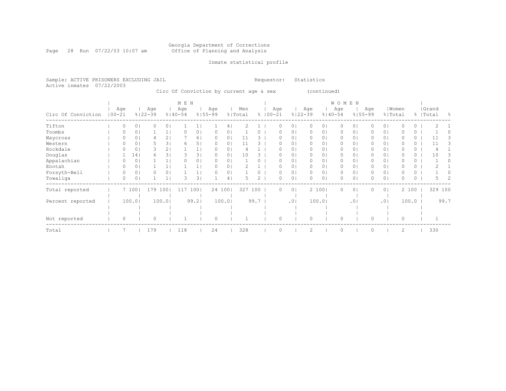#### Georgia Department of Corrections Page 28 Run 07/22/03 10:07 am Office of Planning and Analysis

## Inmate statistical profile

Sample: ACTIVE PRISONERS EXCLUDING JAIL **Requestor:** Statistics Active inmates 07/22/2003

Circ Of Conviction by current age & sex (continued)

|                    |            |     |                |                    |                | M E N              |       |                    |        |                |      |                    |                |                    |        | WOMEN              |     |                    |                |                  |       |                    |      |
|--------------------|------------|-----|----------------|--------------------|----------------|--------------------|-------|--------------------|--------|----------------|------|--------------------|----------------|--------------------|--------|--------------------|-----|--------------------|----------------|------------------|-------|--------------------|------|
| Circ Of Conviction | $100 - 21$ | Age |                | Age<br>$8122 - 39$ |                | Age<br>$8140 - 54$ |       | Age<br>$8155 - 99$ |        | Men<br>% Total |      | Age<br>$8100 - 21$ |                | Age<br>$8122 - 39$ |        | Age<br>$8140 - 54$ |     | Age<br>$8155 - 99$ |                | Women<br>% Total |       | Grand<br>%   Total | - 옹  |
| Tifton             |            |     | 0 <sub>1</sub> |                    | 0 <sub>1</sub> |                    |       |                    | 41     |                |      | 0                  | $\circ$        | 0                  | 01     | 0                  | 0   |                    | $\circ$        |                  | 0     |                    |      |
| Toombs             |            |     | 0 <sub>1</sub> |                    |                |                    | 0     |                    | 01     |                |      | O                  | 0              | $\mathbf{0}$       | 01     | 0                  | 0   |                    | $\circ$        |                  | 0     |                    |      |
| Waycross           |            |     |                |                    | 2              |                    | 61    |                    | 01     | 11             |      | O                  | $\circ$        | $\mathbf{0}$       | 01     | 0                  | 0   |                    | 0 <sup>1</sup> |                  | 0     |                    |      |
| Western            |            |     |                |                    | 31             | 6                  | 51    |                    | 01     | 11             |      | O                  | $\Omega$       | 0                  | 01     | 0                  | 0   |                    | $\circ$        |                  | 0     | 11                 | 3    |
| Rockdale           |            |     | 0              | 3                  | 2              |                    |       |                    | 01     |                |      | O                  | 0              | 0                  | 0      | 0                  | 0   | 0                  | 0              |                  | 0     |                    |      |
| Douglas            |            |     | 14             | 6                  | 3              |                    | 31    |                    | 01     | 10             |      |                    | 0              | 0                  | 0      | 0                  | 0   | 0                  | 0 <sup>1</sup> |                  | 0     | 10                 |      |
| Appalachian        |            |     | 0 <sub>1</sub> |                    |                |                    | 01    | $\Omega$           | 01     |                |      | O                  | 0              | $\Omega$           | 01     | 0                  | 0   | 0                  | $\circ$        |                  | 0     |                    |      |
| Enotah             |            |     | 0 <sub>1</sub> |                    |                |                    |       |                    | 01     |                |      | O                  | $\circ$        | $\mathbf{0}$       | 01     | $\mathbf{0}$       | 0   | 0                  | 0 <sup>1</sup> |                  | 0     |                    |      |
| Forsyth-Bell       |            |     | 0 <sub>1</sub> |                    | 0              |                    |       |                    | 01     |                |      | $\Omega$           | 0              | $\mathbf{0}$       | 01     | $\mathbf{0}$       | 0   |                    | $\circ$        |                  | 0     |                    |      |
| Towaliga           |            |     | 0              |                    |                | 3                  | 31    |                    | 4      |                | 2    | $\Omega$           | $\circ$        | 0                  | 0      | 0                  | 0   |                    | 0              |                  | 0     |                    |      |
| Total reported     |            |     | 7 1001         | 179                | 1001           | 117                | 1001  |                    | 24 100 | 327            | 100  | $\Omega$           | 0 <sub>1</sub> |                    | 2 1001 | $\circ$            | 0   | 0                  | 0 <sup>1</sup> |                  | 2 100 | 329 100            |      |
| Percent reported   |            |     | 100.01         |                    | 100.01         |                    | 99.21 |                    | 100.01 |                | 99.7 |                    | .01            |                    | 100.0  |                    | .0' |                    | $.0$           |                  | 100.0 |                    | 99.7 |
|                    |            |     |                |                    |                |                    |       |                    |        |                |      |                    |                |                    |        |                    |     |                    |                |                  |       |                    |      |
|                    |            |     |                |                    |                |                    |       |                    |        |                |      |                    |                |                    |        |                    |     |                    |                |                  |       |                    |      |
| Not reported       |            | 0   |                | 0                  |                |                    |       | $\circ$            |        |                |      | $\Omega$           |                | $\circ$            |        | $\circ$            |     | $\Omega$           |                | $\circ$          |       |                    |      |
| Total              |            |     |                | 179                |                | 118                |       | 24                 |        | 328            |      | $\Omega$           |                | $\mathcal{D}$      |        | $\Omega$           |     | $\Omega$           |                | 2                |       | 330                |      |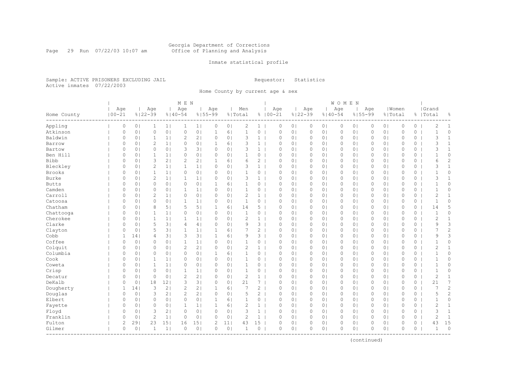#### Georgia Department of Corrections Page 29 Run 07/22/03 10:07 am Office of Planning and Analysis

## Inmate statistical profile

Sample: ACTIVE PRISONERS EXCLUDING JAIL **Requestor:** Statistics Active inmates 07/22/2003

Home County by current age & sex

|                         |                   |                |                    |                 | M E N              |                |                    |                |                |                |                    |                |                    |                | <b>WOMEN</b> |                |              |                |              |          |                    |                |
|-------------------------|-------------------|----------------|--------------------|-----------------|--------------------|----------------|--------------------|----------------|----------------|----------------|--------------------|----------------|--------------------|----------------|--------------|----------------|--------------|----------------|--------------|----------|--------------------|----------------|
| Home County<br>-------- | Age<br>$100 - 21$ |                | Age<br>$8122 - 39$ |                 | Age<br>$8140 - 54$ |                | Age<br>$8155 - 99$ |                | Men<br>% Total |                | Age<br>$8100 - 21$ |                | Age<br>$8122 - 39$ | $8140 - 54$    | Age          | $8155 - 99$    | Age          | % Total        | Women        |          | Grand<br>%   Total | 옹              |
| Appling                 | 0                 | 0 <sub>1</sub> | 1                  | 1               | 1                  | 1              | 0                  | 0 <sub>1</sub> | 2              | $1 \mid$       | $\circ$            | 0 <sub>1</sub> | $\circ$            | 0 <sub>1</sub> | $\circ$      | 0 <sub>1</sub> | 0            | 0 <sub>1</sub> | $\mathbb O$  | $\circ$  | 2                  | $\mathbf{1}$   |
| Atkinson                | 0                 | 0 <sub>1</sub> | $\circ$            | 0 <sub>1</sub>  | $\circ$            | 0 <sub>1</sub> | 1                  | 6              | $\mathbf{1}$   | $\circ$        | $\mathbb O$        | 0 <sub>1</sub> | $\circ$            | 0 <sub>1</sub> | 0            | 0 <sub>1</sub> | 0            | 0 <sub>1</sub> | $\mathbb O$  | $\circ$  | $\mathbf{1}$       | 0              |
| Baldwin                 | 0                 | 0 <sub>1</sub> | $\mathbf{1}$       | 1 <sub>1</sub>  | 2                  | 2 <sub>1</sub> | 0                  | 0 <sub>1</sub> | 3              | $\mathbf{1}$   | $\circ$            | 0 <sub>1</sub> | $\circ$            | 0 <sub>1</sub> | 0            | 0 <sub>1</sub> | 0            | 0 <sub>1</sub> | $\circ$      | 0        | 3                  | $\mathbf{1}$   |
| Barrow                  | $\Omega$          | 0 <sub>1</sub> | $\overline{2}$     | 11              | $\circ$            | 0 <sup>1</sup> | 1                  | 6 <sup>1</sup> | 3              | $\mathbf{1}$   | $\Omega$           | 0 <sup>1</sup> | $\circ$            | 0 <sup>1</sup> | $\Omega$     | 0 <sub>1</sub> | $\Omega$     | 0 <sub>1</sub> | $\Omega$     | $\circ$  | 3                  | $\mathbf{1}$   |
| Bartow                  | 0                 | 0 <sub>1</sub> | $\circ$            | 0 <sup>1</sup>  | 3                  | 3 <sup>1</sup> | $\circ$            | 0 <sub>1</sub> | 3              | $\mathbf{1}$   | $\circ$            | 0 <sub>1</sub> | $\circ$            | 0 <sup>1</sup> | $\circ$      | 0 <sub>1</sub> | $\Omega$     | 0 <sub>1</sub> | $\circ$      | 0        | 3                  | $\mathbf{1}$   |
| Ben Hill                | 0                 | 0 <sub>1</sub> | 1                  | 1 <sub>1</sub>  | 0                  | 0 <sub>1</sub> | 0                  | 0 <sub>1</sub> | 1              | 0              | 0                  | 0 <sub>1</sub> | $\circ$            | 0 <sub>1</sub> | 0            | 0 <sub>1</sub> | 0            | 0 <sub>1</sub> | $\mathbb O$  | 0        | $\mathbf 1$        | 0              |
| <b>Bibb</b>             | 0                 | 0 <sub>1</sub> | 3                  | 21              | $\mathbf{2}$       | 2 <sub>1</sub> | 1                  | 6 <sup>1</sup> | 6              | $\overline{c}$ | $\circ$            | 0 <sub>1</sub> | $\circ$            | 0 <sup>1</sup> | 0            | 0 <sub>1</sub> | 0            | 0 <sub>1</sub> | $\mathbf{0}$ | 0        | 6                  | $\overline{c}$ |
| Bleckley                | 0                 | 0 <sub>1</sub> | $\overline{2}$     | 1 <sub>1</sub>  | $\mathbf{1}$       | 1              | $\circ$            | 0 <sub>1</sub> | 3              | 1              | $\mathbf{0}$       | 0 <sub>1</sub> | $\circ$            | 0 <sub>1</sub> | $\circ$      | 0 <sub>1</sub> | 0            | 0 <sub>1</sub> | $\mathbf{0}$ | 0        | 3                  | $\mathbf{1}$   |
| <b>Brooks</b>           | 0                 | 0 <sub>1</sub> | $\mathbf{1}$       | 1               | $\circ$            | 0 <sub>1</sub> | $\circ$            | 0 <sub>1</sub> | $\mathbf{1}$   | 0              | $\circ$            | 0 <sub>1</sub> | $\circ$            | 0 <sub>1</sub> | $\circ$      | 0 <sub>1</sub> | 0            | 0 <sub>1</sub> | $\circ$      | 0        | $\mathbf 1$        | 0              |
| Burke                   | 0                 | 0 <sub>1</sub> | $\overline{2}$     | 1 <sub>1</sub>  | 1                  | 1 <sub>1</sub> | $\Omega$           | 0 <sub>1</sub> | 3              | $\mathbf{1}$   | $\Omega$           | 0 <sub>1</sub> | 0                  | 0 <sup>1</sup> | 0            | 0 <sub>1</sub> | 0            | 0 <sub>1</sub> | $\circ$      | $\circ$  | 3                  | $\mathbf{1}$   |
| <b>Butts</b>            | $\Omega$          | 0 <sub>1</sub> | $\circ$            | 0 <sup>1</sup>  | $\circ$            | 0 <sub>1</sub> | $\mathbf{1}$       | 61             | $\mathbf{1}$   | 0              | $\Omega$           | 0 <sup>1</sup> | $\circ$            | 0 <sup>1</sup> | $\circ$      | 0 <sub>1</sub> | $\Omega$     | 0 <sub>1</sub> | $\Omega$     | $\Omega$ | $\mathbf 1$        | $\Omega$       |
| Camden                  | 0                 | 0 <sub>1</sub> | $\circ$            | 0 <sub>1</sub>  | $\mathbf 1$        | 1 <sub>1</sub> | 0                  | 0 <sub>1</sub> | $\mathbf{1}$   | 0              | $\circ$            | 0 <sub>1</sub> | $\circ$            | 0 <sub>1</sub> | 0            | 0 <sub>1</sub> | 0            | 0 <sub>1</sub> | $\mathbf{0}$ | 0        | $\mathbf{1}$       | 0              |
| Carroll                 | 0                 | 0 <sub>1</sub> | $\mathbf{2}$       | 1 <sub>1</sub>  | 0                  | 0 <sub>1</sub> | 0                  | 0 <sub>1</sub> | 2              | $\mathbf{1}$   | 0                  | 0 <sub>1</sub> | $\circ$            | 0 <sub>1</sub> | 0            | 0 <sub>1</sub> | 0            | 0 <sub>1</sub> | $\mathbb O$  | 0        | $\mathbf{2}$       | $\mathbf{1}$   |
| Catoosa                 | 0                 | 0 <sub>1</sub> | $\circ$            | 0 <sub>1</sub>  | 1                  | 1 <sub>1</sub> | 0                  | 0 <sub>1</sub> | $\mathbf{1}$   | $0-1$          | $\circ$            | 0 <sub>1</sub> | $\circ$            | 01             | $\circ$      | 0 <sub>1</sub> | 0            | 0 <sub>1</sub> | $\mathbf{0}$ | 0        | $\mathbf{1}$       | 0              |
| Chatham                 | $\circ$           | 0 <sub>1</sub> | 8                  | 5 <sub>1</sub>  | 5                  | 5 <sub>1</sub> | $\mathbf{1}$       | 6              | 14             | 5.             | $\Omega$           | 0 <sub>1</sub> | $\circ$            | 0 <sub>1</sub> | 0            | 0 <sub>1</sub> | 0            | 0 <sub>1</sub> | $\mathbf{0}$ | 0        | 14                 | 5              |
| Chattooga               | $\circ$           | 0 <sub>1</sub> |                    | 1               | 0                  | 0 <sup>1</sup> | 0                  | 0 <sub>1</sub> | $\mathbf{1}$   | 0              | $\Omega$           | 0 <sub>1</sub> | $\circ$            | 0 <sub>1</sub> | 0            | 0 <sub>1</sub> | 0            | 0 <sub>1</sub> | $\mathbf{0}$ | $\circ$  | $\mathbf{1}$       | 0              |
| Cherokee                | 0                 | 0 <sub>1</sub> | $\mathbf{1}$       | 1 <sub>1</sub>  | $\mathbf{1}$       | 1 <sub>1</sub> | 0                  | 0 <sub>1</sub> | 2              | $\mathbf{1}$   | $\circ$            | 0 <sup>1</sup> | $\circ$            | 01             | 0            | 0 <sub>1</sub> | 0            | 0 <sub>1</sub> | $\circ$      | 0        | 2                  | $\mathbf{1}$   |
| Clarke                  | 0                 | 0 <sub>1</sub> | 5                  | 3               | 4                  | 4              | $\circ$            | 0 <sub>1</sub> | 9              | $3-1$          | $\circ$            | 0 <sub>1</sub> | $\circ$            | 0 <sub>1</sub> | $\circ$      | 0 <sub>1</sub> | 0            | 0 <sub>1</sub> | $\circ$      | 0        | 9                  | 3              |
| Clayton                 | $\circ$           | 0 <sub>1</sub> | 5                  | 3               | $\mathbf{1}$       | 1              | 1                  | 6              | 7              | $\overline{c}$ | $\mathbf{0}$       | 0 <sub>1</sub> | $\circ$            | 0 <sub>1</sub> | 0            | 0 <sub>1</sub> | $\Omega$     | 0 <sub>1</sub> | $\mathbf{0}$ | $\circ$  | 7                  | $\overline{c}$ |
| Cobb                    | $\mathbf 1$       | 14             | 4                  | 3               | 3                  | 3 <sub>1</sub> | $\mathbf{1}$       | 6              | 9              | 3 <sup>1</sup> | $\mathbf{0}$       | 0 <sub>1</sub> | $\circ$            | 0 <sub>1</sub> | 0            | 0 <sub>1</sub> | 0            | 0 <sub>1</sub> | $\mathbf{0}$ | 0        | 9                  | 3              |
| Coffee                  | 0                 | 0 <sub>1</sub> | $\circ$            | 0 <sub>1</sub>  | $\mathbf{1}$       | 1 <sub>1</sub> | 0                  | 0 <sub>1</sub> | $\mathbf{1}$   | 0              | $\circ$            | 0 <sub>1</sub> | $\circ$            | 0 <sup>1</sup> | $\circ$      | 0 <sub>1</sub> | 0            | 0 <sup>1</sup> | $\circ$      | 0        | $\mathbf 1$        | 0              |
| Colquit                 | $\Omega$          | 0 <sub>1</sub> | $\circ$            | 0 <sub>1</sub>  | $\mathbf{2}$       | 2 <sub>1</sub> | $\Omega$           | 0 <sub>1</sub> | $\overline{c}$ | $\mathbf{1}$   | $\circ$            | 0 <sub>1</sub> | $\circ$            | 0 <sub>1</sub> | 0            | 0 <sub>1</sub> | 0            | 0 <sub>1</sub> | $\mathbf{0}$ | 0        | 2                  | $\mathbf{1}$   |
| Columbia                | $\Omega$          | 0 <sub>1</sub> | $\circ$            | 0 <sup>1</sup>  | $\circ$            | 0 <sub>1</sub> | 1                  | 6 <sup>1</sup> | $\mathbf{1}$   | 0              | $\bigcap$          | 0 <sub>1</sub> | $\circ$            | 0 <sup>1</sup> | 0            | 0 <sub>1</sub> | $\Omega$     | 0 <sub>1</sub> | $\Omega$     | 0        | $\mathbf{1}$       | 0              |
| Cook                    | 0                 | 0 <sub>1</sub> | 1                  | $1\vert$        | 0                  | 0 <sup>1</sup> | 0                  | 0 <sub>1</sub> | $\mathbf{1}$   | 0              | $\circ$            | 0 <sub>1</sub> | $\circ$            | 0 <sub>1</sub> | 0            | 0 <sub>1</sub> | $\Omega$     | 0 <sub>1</sub> | $\circ$      | 0        | $\mathbf{1}$       | 0              |
| Coweta                  | 0                 | 0 <sub>1</sub> | 1                  | 1 <sub>1</sub>  | $\circ$            | 0 <sub>1</sub> | 0                  | 0 <sub>1</sub> | 1              | 0              | $\circ$            | 0 <sub>1</sub> | $\circ$            | 0 <sub>1</sub> | 0            | 0 <sub>1</sub> | 0            | 0 <sub>1</sub> | $\mathbf{0}$ | 0        | $\mathbf{1}$       | 0              |
| Crisp                   | $\Omega$          | 0 <sub>1</sub> | $\circ$            | 0 <sub>1</sub>  | $\mathbf{1}$       | 1              | $\Omega$           | 0 <sub>1</sub> | $\mathbf{1}$   | 0              | $\mathbf{0}$       | 0 <sub>1</sub> | $\circ$            | 0 <sup>1</sup> | 0            | 0 <sub>1</sub> | 0            | 0 <sub>1</sub> | $\mathbf{0}$ | 0        | $\mathbf{1}$       | 0              |
| Decatur                 | 0                 | 0 <sup>1</sup> | $\circ$            | 0 <sup>1</sup>  | $\overline{c}$     | 2 <sub>1</sub> | $\circ$            | 0 <sub>1</sub> | $\mathbf{2}$   | $\mathbf{1}$   | $\mathbf{0}$       | 0 <sub>1</sub> | $\circ$            | 0 <sup>1</sup> | 0            | 0 <sub>1</sub> | 0            | 0 <sub>1</sub> | $\mathbf{0}$ | 0        | $\overline{c}$     | $\mathbf{1}$   |
| DeKalb                  | 0                 | 0 <sup>1</sup> | 18                 | 12              | 3                  | 3 <sup>1</sup> | 0                  | 0 <sub>1</sub> | 21             | 7              | 0                  | 0 <sub>1</sub> | $\circ$            | 0 <sub>1</sub> | 0            | 0 <sub>1</sub> | 0            | 0 <sub>1</sub> | $\circ$      | 0        | 21                 | 7              |
| Dougherty               | 1                 | 141            | 3                  | 2 <sub>1</sub>  | $\overline{2}$     | 2 <sub>1</sub> | 1                  | 6 <sup>1</sup> | 7              | $\overline{c}$ | $\circ$            | 0 <sup>1</sup> | $\circ$            | 0 <sup>1</sup> | 0            | 0 <sub>1</sub> | 0            | 0 <sub>1</sub> | $\circ$      | $\circ$  | 7                  | $\overline{c}$ |
| Douglas                 | $\circ$           | 0 <sub>1</sub> | 3                  | 2 <sub>1</sub>  | $\overline{c}$     | 2 <sub>1</sub> | $\circ$            | 0 <sub>1</sub> | 5              | $\overline{2}$ | $\circ$            | 0 <sup>1</sup> | $\circ$            | 0 <sup>1</sup> | $\circ$      | 0 <sub>1</sub> | $\Omega$     | 0 <sub>1</sub> | $\mathbf{0}$ | 0        | 5                  | 2              |
| Elbert                  | 0                 | 0 <sub>1</sub> | 0                  | 0 <sub>1</sub>  | $\circ$            | 0 <sub>1</sub> | 1                  | 6 <sup>1</sup> | 1              | 0              | 0                  | 0 <sub>1</sub> | $\circ$            | 0 <sub>1</sub> | 0            | 0 <sub>1</sub> | 0            | 0 <sub>1</sub> | $\mathbb O$  | 0        | 1                  | 0              |
| Fayette                 | 0                 | 0 <sub>1</sub> | $\circ$            | 0 <sub>1</sub>  | 1                  | 1 <sub>1</sub> | 1                  | 6 <sup>1</sup> | $\overline{c}$ | $\mathbf{1}$   | $\circ$            | 0 <sub>1</sub> | $\circ$            | 0 <sub>1</sub> | 0            | 0 <sub>1</sub> | 0            | 0 <sub>1</sub> | $\mathbf{0}$ | 0        | 2                  | $\mathbf{1}$   |
| Floyd                   | $\circ$           | 0 <sub>1</sub> | 3                  | 2 <sub>1</sub>  | $\circ$            | 0 <sub>1</sub> | $\Omega$           | 0 <sub>1</sub> | 3              | $\mathbf{1}$   | $\mathbf{0}$       | 0 <sub>1</sub> | $\circ$            | 0 <sub>1</sub> | $\circ$      | 0 <sub>1</sub> | $\mathbf{0}$ | 0 <sub>1</sub> | $\mathbf{0}$ | $\circ$  | 3                  | $\mathbf{1}$   |
| Franklin                | $\circ$           | 0 <sub>1</sub> | $\overline{2}$     | 1               | 0                  | 0 <sub>1</sub> | 0                  | 0 <sub>1</sub> | 2              | $\mathbf{1}$   | $\circ$            | 0 <sub>1</sub> | $\circ$            | 0 <sub>1</sub> | $\circ$      | 0 <sub>1</sub> | 0            | 0 <sub>1</sub> | $\circ$      | 0        | $\overline{c}$     | 1              |
| Fulton                  | $\overline{c}$    | 291            | 23                 | 15 <sub>1</sub> | 16                 | 151            | 2                  | 11             | 43             | 15             | $\Omega$           | $\circ$        | 0                  | 0 <sub>1</sub> | $\Omega$     | $\circ$        | 0            | 0 <sub>1</sub> | $\circ$      | 0        | 43                 | 15             |
| Gilmer                  | $\circ$           | 0 <sub>1</sub> | $\mathbf{1}$       | $1\vert$        | $\circ$            | 0 <sup>1</sup> | 0                  | 0 <sub>1</sub> | $\mathbf{1}$   | $\circ$        | $\circ$            | 0 <sub>1</sub> | $\circ$            | 0 <sub>1</sub> | 0            | 0 <sub>1</sub> | $\Omega$     | 0 <sub>1</sub> | $\mathbf{0}$ | 0        | $\mathbf{1}$       | $\circ$        |
|                         |                   |                |                    |                 |                    |                |                    |                |                |                |                    |                |                    |                |              |                |              |                |              |          |                    |                |

(continued)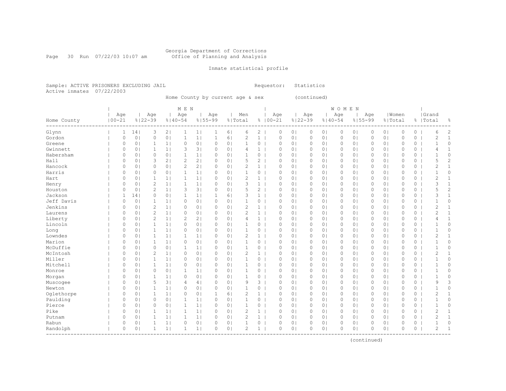## Georgia Department of Corrections<br>Page 30 Run 07/22/03 10:07 am 60ffice of Planning and Analysis Office of Planning and Analysis

## Inmate statistical profile

Sample: ACTIVE PRISONERS EXCLUDING JAIL Requestor: Statistics Active inmates 07/22/2003

Home County by current age & sex (continued)

|             | M E N             |  |                |                |                |                    |                |                    |                |                |                |                    |                |                    | <b>WOMEN</b>   |              |                |          |                |             |         |                    |                |
|-------------|-------------------|--|----------------|----------------|----------------|--------------------|----------------|--------------------|----------------|----------------|----------------|--------------------|----------------|--------------------|----------------|--------------|----------------|----------|----------------|-------------|---------|--------------------|----------------|
| Home County | Age<br>$100 - 21$ |  | $8122 - 39$    | Age            |                | Age<br>$8140 - 54$ |                | Age<br>$8155 - 99$ |                | Men<br>% Total |                | Age<br>$8100 - 21$ |                | Age<br>$8122 - 39$ | $8140 - 54$    | Age          | $8155 - 99$    | Age      | % Total        | Women       |         | Grand<br>%   Total | g.             |
| Glynn       | 1                 |  | 14             | 3              | 2 <sub>1</sub> | 1                  | 1 <sub>1</sub> | 1                  | 6              | 6              | 2              | 0                  | 0 <sub>1</sub> | 0                  | 0 <sub>1</sub> | 0            | 0 <sub>1</sub> | 0        | 0 <sub>1</sub> | 0           | $\circ$ | 6                  | 2              |
| Gordon      | $\circ$           |  | 0 <sub>1</sub> | $\circ$        | 0 <sub>1</sub> | $\mathbf{1}$       | 1              | $\mathbf{1}$       | 6              | $\overline{c}$ | $\mathbf{1}$   | $\circ$            | 0 <sub>1</sub> | 0                  | 0 <sub>1</sub> | $\mathbb O$  | 0 <sub>1</sub> | 0        | 0 <sub>1</sub> | $\circ$     | $\circ$ | $\overline{c}$     | $\mathbf{1}$   |
| Greene      | $\Omega$          |  | 0 <sub>1</sub> | $\mathbf{1}$   | 1              | $\circ$            | 0 <sub>1</sub> | $\circ$            | 0 <sub>1</sub> | $\mathbf{1}$   | 0              | $\circ$            | 0 <sub>1</sub> | 0                  | 0 <sub>1</sub> | $\circ$      | 0 <sub>1</sub> | 0        | 0 <sub>1</sub> | $\circ$     | 0       | $\mathbf{1}$       | 0              |
| Gwinnett    | $\Omega$          |  | 0 <sub>1</sub> | $\mathbf{1}$   | 1              | 3                  | 3              | $\Omega$           | 0 <sub>1</sub> | 4              | $\mathbf{1}$   | $\circ$            | 0 <sub>1</sub> | $\circ$            | 0 <sub>1</sub> | $\circ$      | 0 <sub>1</sub> | $\Omega$ | 0 <sub>1</sub> | $\circ$     | 0       | 4                  | $\mathbf{1}$   |
| Habersham   | $\Omega$          |  | 0 <sub>1</sub> | $\circ$        | 0 <sub>1</sub> | $\mathbf{1}$       | 1              | $\Omega$           | 0 <sub>1</sub> | 1              | 0              | $\circ$            | 0 <sub>1</sub> | 0                  | 0 <sub>1</sub> | $\circ$      | 0 <sub>1</sub> | 0        | 0 <sub>1</sub> | $\circ$     | 0       | $\mathbf{1}$       | 0              |
| Hall        | $\Omega$          |  | 0 <sub>1</sub> | 3              | 2              | $\overline{c}$     | 2 <sub>1</sub> | $\circ$            | 0 <sub>1</sub> | 5              | $\overline{c}$ | $\circ$            | 0 <sub>1</sub> | $\Omega$           | 0 <sub>1</sub> | $\circ$      | 0 <sub>1</sub> | $\Omega$ | 0 <sub>1</sub> | $\circ$     | 0       | 5                  | $\overline{c}$ |
| Hancock     | $\Omega$          |  | 0 <sub>1</sub> | $\circ$        | 0 <sub>1</sub> | $\mathbf{2}$       | 2 <sub>1</sub> | $\circ$            | 0 <sub>1</sub> | $\overline{2}$ | $\mathbf{1}$   | $\circ$            | 0 <sub>1</sub> | 0                  | 0 <sub>1</sub> | 0            | 0 <sub>1</sub> | 0        | 0 <sub>1</sub> | $\Omega$    | 0       | $\overline{c}$     | $\mathbf{1}$   |
| Harris      | $\Omega$          |  | 0 <sub>1</sub> | $\circ$        | 0 <sub>1</sub> | $\mathbf{1}$       | 1 <sub>1</sub> | $\circ$            | 0 <sub>1</sub> | $\mathbf{1}$   | 0              | $\circ$            | 0 <sub>1</sub> | $\circ$            | 0 <sub>1</sub> | $\circ$      | 0 <sub>1</sub> | 0        | 0 <sub>1</sub> | $\mathbf 0$ | 0       | $\mathbf{1}$       | 0              |
| Hart        | $\Omega$          |  | 0 <sub>1</sub> | $\mathbf{1}$   | 1 <sup>1</sup> | $\mathbf{1}$       | 11             | $\circ$            | 0 <sub>1</sub> | $\overline{2}$ | $\mathbf{1}$   | $\circ$            | 0 <sub>1</sub> | $\circ$            | 0 <sub>1</sub> | $\circ$      | 0 <sub>1</sub> | $\Omega$ | 0 <sub>1</sub> | $\Omega$    | 0       | $\overline{c}$     | $\mathbf{1}$   |
| Henry       | 0                 |  | 0 <sub>1</sub> | $\overline{c}$ | 1 <sub>1</sub> | $\mathbf{1}$       | 1 <sub>1</sub> | $\circ$            | 0 <sub>1</sub> | 3              | $\mathbf{1}$   | $\circ$            | 0 <sub>1</sub> | $\circ$            | 0 <sub>1</sub> | $\circ$      | 0 <sub>1</sub> | 0        | 0 <sub>1</sub> | $\mathbf 0$ | 0       | 3                  | $\mathbf{1}$   |
| Houston     | $\circ$           |  | 0 <sub>1</sub> | $\overline{c}$ | 1 <sub>1</sub> | 3                  | 3              | $\circ$            | 0 <sub>1</sub> | 5              | $\overline{c}$ | $\circ$            | 0 <sub>1</sub> | $\mathbf 0$        | 0 <sub>1</sub> | $\circ$      | 0 <sub>1</sub> | 0        | 0 <sub>1</sub> | $\mathbf 0$ | 0       | 5                  | $\overline{c}$ |
| Jackson     | $\mathbf{1}$      |  | 14             | $\circ$        | 0 <sub>1</sub> | $\mathbf{1}$       | 1 <sub>1</sub> | $\mathbf{1}$       | 6              | 3              | $\mathbf{1}$   | $\circ$            | 0 <sub>1</sub> | $\circ$            | 0 <sub>1</sub> | $\circ$      | 0 <sub>1</sub> | 0        | 0 <sub>1</sub> | $\mathbf 0$ | 0       | 3                  | $\mathbf{1}$   |
| Jeff Davis  | $\Omega$          |  | 0 <sub>1</sub> | $\mathbf{1}$   | 1              | 0                  | 0 <sub>1</sub> | $\Omega$           | 0 <sub>1</sub> | $\mathbf{1}$   | 0              | $\circ$            | 0 <sub>1</sub> | $\circ$            | 0 <sub>1</sub> | $\circ$      | 0 <sup>1</sup> | 0        | 0 <sub>1</sub> | $\Omega$    | 0       | $\mathbf{1}$       | 0              |
| Jenkins     | $\Omega$          |  | 0 <sub>1</sub> | $\overline{2}$ | 1              | 0                  | 0 <sub>1</sub> | $\circ$            | 0 <sub>1</sub> | 2              | $\mathbf{1}$   | $\circ$            | 0 <sub>1</sub> | $\circ$            | 0 <sub>1</sub> | $\circ$      | 0 <sub>1</sub> | $\Omega$ | 0 <sub>1</sub> | $\circ$     | 0       | $\overline{2}$     | $\mathbf{1}$   |
| Laurens     | $\Omega$          |  | 0 <sub>1</sub> | $\overline{c}$ | 1              | 0                  | 0 <sub>1</sub> | $\circ$            | 0 <sub>1</sub> | 2              | $\mathbf{1}$   | $\circ$            | 0 <sub>1</sub> | 0                  | 0 <sub>1</sub> | 0            | 0 <sub>1</sub> | 0        | 0 <sub>1</sub> | $\circ$     | 0       | $\overline{c}$     | 1              |
| Liberty     | $\Omega$          |  | 0 <sub>1</sub> | $\overline{2}$ | 1              | 2                  | 2              | $\circ$            | 0 <sub>1</sub> | 4              | $\mathbf{1}$   | $\circ$            | 0 <sub>1</sub> | 0                  | 0 <sub>1</sub> | $\circ$      | $\circ$        | $\Omega$ | 0 <sub>1</sub> | $\circ$     | 0       | $\overline{4}$     | 1              |
| Lincoln     | $\Omega$          |  | 0 <sub>1</sub> | $\mathbf{1}$   | 1              | $\circ$            | 0 <sub>1</sub> | $\Omega$           | 0 <sub>1</sub> | 1              | 0              | $\circ$            | 0 <sub>1</sub> | $\circ$            | 0 <sub>1</sub> | $\circ$      | 0 <sub>1</sub> | $\Omega$ | 0 <sub>1</sub> | $\mathbf 0$ | 0       | $\mathbf{1}$       | 0              |
| Long        | $\Omega$          |  | 0 <sub>1</sub> | $\mathbf{1}$   | 1              | $\circ$            | 0 <sub>1</sub> | $\circ$            | 0 <sub>1</sub> | $\mathbf{1}$   | 0              | $\circ$            | 0 <sub>1</sub> | $\circ$            | 0 <sub>1</sub> | 0            | 0 <sub>1</sub> | $\Omega$ | 0 <sub>1</sub> | $\mathbf 0$ | 0       | $\mathbf{1}$       | 0              |
| Lowndes     | 0                 |  | 0 <sub>1</sub> | 1              | 1 <sub>1</sub> | $\mathbf{1}$       | 1 <sub>1</sub> | $\circ$            | 0 <sub>1</sub> | 2              | $\mathbf{1}$   | $\circ$            | 0 <sub>1</sub> | $\circ$            | 0 <sub>1</sub> | $\circ$      | 0 <sub>1</sub> | 0        | 0 <sub>1</sub> | $\circ$     | 0       | $\overline{2}$     | 1              |
| Marion      | 0                 |  | 0 <sub>1</sub> | 1              | 1              | 0                  | 0 <sub>1</sub> | $\circ$            | 0 <sub>1</sub> | 1              | 0              | $\circ$            | 0 <sub>1</sub> | 0                  | 0 <sub>1</sub> | 0            | 0 <sub>1</sub> | 0        | 0 <sub>1</sub> | $\mathbf 0$ | 0       | $\mathbf{1}$       | 0              |
| McDuffie    | $\Omega$          |  | 0 <sub>1</sub> | $\circ$        | 0 <sub>1</sub> | $\mathbf{1}$       | 1 <sub>1</sub> | $\circ$            | 0 <sub>1</sub> | $\mathbf{1}$   | 0              | $\circ$            | 0 <sub>1</sub> | $\circ$            | 0 <sub>1</sub> | $\circ$      | 0 <sub>1</sub> | $\Omega$ | 0 <sub>1</sub> | $\mathbf 0$ | 0       | $\mathbf{1}$       | 0              |
| McIntosh    | $\Omega$          |  | 0 <sup>1</sup> | $\mathbf{2}$   | 1              | 0                  | 0 <sub>1</sub> | $\Omega$           | 0 <sub>1</sub> | $\overline{c}$ | $\mathbf{1}$   | $\circ$            | 0 <sub>1</sub> | $\circ$            | 0 <sub>1</sub> | $\circ$      | $\circ$        | $\Omega$ | 0 <sub>1</sub> | $\Omega$    | 0       | $\overline{c}$     | $\mathbf{1}$   |
| Miller      | $\Omega$          |  | 0 <sub>1</sub> | $\mathbf{1}$   | 1 <sub>1</sub> | 0                  | 0 <sub>1</sub> | $\circ$            | 0 <sub>1</sub> | 1              | 0              | $\circ$            | 0 <sub>1</sub> | $\circ$            | 0 <sub>1</sub> | $\circ$      | 0 <sub>1</sub> | $\Omega$ | 0 <sub>1</sub> | $\Omega$    | 0       | $\mathbf 1$        | 0              |
| Mitchell    | $\Omega$          |  | 0 <sub>1</sub> | $\mathbf{1}$   | 1              | 0                  | 0 <sub>1</sub> | $\Omega$           | 0 <sub>1</sub> | 1              | 0              | $\circ$            | 0 <sub>1</sub> | $\Omega$           | 0 <sub>1</sub> | 0            | 0 <sub>1</sub> | 0        | 0 <sub>1</sub> | $\circ$     | 0       | $\mathbf{1}$       | 0              |
| Monroe      | $\Omega$          |  | 0 <sub>1</sub> | $\circ$        | 0 <sub>1</sub> | $\mathbf{1}$       | 1 <sub>1</sub> | $\circ$            | 0 <sub>1</sub> | 1              | 0              | $\circ$            | 0 <sub>1</sub> | $\Omega$           | 0 <sub>1</sub> | $\circ$      | 0 <sub>1</sub> | 0        | 0 <sub>1</sub> | $\Omega$    | 0       | $\mathbf{1}$       | 0              |
| Morgan      | $\Omega$          |  | 0 <sub>1</sub> | $\mathbf{1}$   | 1 <sub>1</sub> | $\circ$            | 0 <sub>1</sub> | $\circ$            | 0 <sub>1</sub> | 1              | 0              | $\circ$            | 0 <sub>1</sub> | $\circ$            | 0 <sub>1</sub> | $\mathbf{0}$ | 0 <sub>1</sub> | $\Omega$ | 0 <sub>1</sub> | $\mathbf 0$ | 0       | $\mathbf{1}$       | 0              |
| Muscogee    | $\Omega$          |  | 0 <sub>1</sub> | 5              | 3 <sup>1</sup> | 4                  | 4              | $\circ$            | 0 <sub>1</sub> | 9              | 3              | $\circ$            | 0 <sub>1</sub> | $\circ$            | 0 <sub>1</sub> | $\circ$      | $\circ$        | $\Omega$ | 0 <sub>1</sub> | $\mathbf 0$ | 0       | 9                  | 3              |
| Newton      | $\Omega$          |  | 0 <sub>1</sub> | $\mathbf{1}$   | 1 <sub>1</sub> | 0                  | 0 <sub>1</sub> | 0                  | 0 <sub>1</sub> | $\mathbf{1}$   | 0              | $\circ$            | 0 <sub>1</sub> | 0                  | 0 <sub>1</sub> | 0            | 0 <sub>1</sub> | 0        | 0 <sub>1</sub> | $\circ$     | 0       | $\mathbf 1$        | 0              |
| Oqlethorpe  | 0                 |  | 0 <sup>1</sup> | $\mathbf{1}$   | 1 <sub>1</sub> | 0                  | 0 <sub>1</sub> | 1                  | 6              | 2              | $\mathbf{1}$   | $\circ$            | 0 <sub>1</sub> | $\circ$            | 0 <sub>1</sub> | $\circ$      | 0 <sub>1</sub> | 0        | 0 <sub>1</sub> | $\mathbf 0$ | 0       | $\mathbf{2}$       | $\mathbf{1}$   |
| Paulding    | $\Omega$          |  | 0 <sub>1</sub> | $\circ$        | 0 <sub>1</sub> | $\mathbf{1}$       | 1 <sub>1</sub> | $\circ$            | 0 <sub>1</sub> | $\mathbf{1}$   | $\circ$        | $\circ$            | 0 <sub>1</sub> | $\circ$            | 0 <sub>1</sub> | $\mathbf{0}$ | 0 <sub>1</sub> | 0        | 0 <sub>1</sub> | $\mathbf 0$ | 0       | $\mathbf{1}$       | 0              |
| Pierce      | $\Omega$          |  | 0 <sub>1</sub> | 0              | 0 <sub>1</sub> | $\mathbf{1}$       | 1 <sub>1</sub> | $\circ$            | 0 <sub>1</sub> | $\mathbf{1}$   | 0              | $\circ$            | 0 <sub>1</sub> | 0                  | 0 <sub>1</sub> | $\circ$      | 0 <sup>1</sup> | 0        | 0 <sub>1</sub> | $\circ$     | 0       | $\mathbf{1}$       | 0              |
| Pike        | $\Omega$          |  | 0 <sub>1</sub> | 1              | 1              | 1                  | 1 <sub>1</sub> | $\circ$            | 0 <sub>1</sub> | 2              | $\mathbf{1}$   | $\circ$            | 0 <sub>1</sub> | $\circ$            | 0 <sub>1</sub> | $\circ$      | 0 <sup>1</sup> | 0        | 0 <sub>1</sub> | $\circ$     | 0       | 2                  | $\mathbf{1}$   |
| Putnam      | 0                 |  | 0 <sub>1</sub> | $\mathbf{1}$   | 1              | 1                  | 1              | $\circ$            | 0 <sub>1</sub> | 2              | 1              | $\circ$            | 0 <sub>1</sub> | $\circ$            | 0 <sub>1</sub> | $\circ$      | 0 <sub>1</sub> | 0        | 0 <sub>1</sub> | $\circ$     | 0       | $\overline{2}$     | $\mathbf{1}$   |
| Rabun       | $\Omega$          |  | 0 <sub>1</sub> | 1              | 1              | $\Omega$           | 0 <sub>1</sub> | $\circ$            | 0 <sub>1</sub> | 1              | 0              | $\circ$            | 0 <sub>1</sub> | $\Omega$           | 0 <sub>1</sub> | $\circ$      | 0 <sub>1</sub> | $\Omega$ | 0 <sub>1</sub> | $\Omega$    | 0       | $\mathbf{1}$       | 0              |
| Randolph    | $\Omega$          |  | 0 <sub>1</sub> | $\mathbf{1}$   | 1              | $\mathbf{1}$       | 1 <sub>1</sub> | $\Omega$           | 0 <sub>1</sub> | $\overline{c}$ | $\mathbf{1}$   | $\circ$            | 0 <sub>1</sub> | $\Omega$           | 0 <sub>1</sub> | $\Omega$     | $\circ$        | $\Omega$ | 0 <sub>1</sub> | $\Omega$    | 0       | $\overline{c}$     | $\mathbf{1}$   |
| --------    |                   |  |                |                |                |                    |                |                    |                |                |                |                    |                |                    |                |              |                |          |                |             |         |                    |                |

(continued)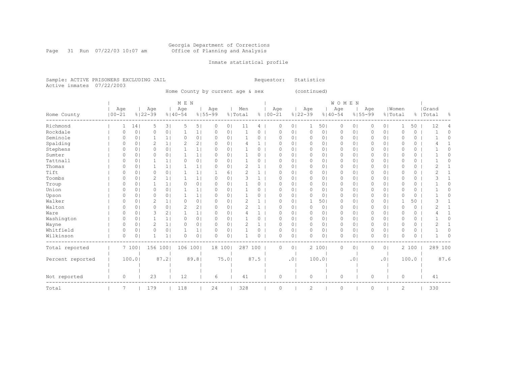#### Georgia Department of Corrections Page 31 Run 07/22/03 10:07 am Office of Planning and Analysis

## Inmate statistical profile

Sample: ACTIVE PRISONERS EXCLUDING JAIL **Requestor:** Statistics Active inmates 07/22/2003

Home County by current age & sex (continued)

|                  |            |                |             |                | M E N       |                |             |                |         |              |             |                |             |                 | <b>WOMEN</b> |                |             |                |                |          |           |          |
|------------------|------------|----------------|-------------|----------------|-------------|----------------|-------------|----------------|---------|--------------|-------------|----------------|-------------|-----------------|--------------|----------------|-------------|----------------|----------------|----------|-----------|----------|
|                  | Age        |                | Age         |                | Aqe         |                | Age         |                | Men     |              | Age         |                | Age         |                 | Age          |                | Age         |                | Women          |          | Grand     |          |
| Home County      | $100 - 21$ |                | $8122 - 39$ |                | $8140 - 54$ |                | $8155 - 99$ |                | % Total |              | $8100 - 21$ |                | $8122 - 39$ |                 | $8140 - 54$  |                | $8155 - 99$ |                | % Total        |          | %   Total | 옹        |
| Richmond         | 1          | 14             | 5           | 3              | 5           | 5              | 0           | $\circ$        | 11      | 4            | 0           | 0 <sub>1</sub> |             | 50 <sub>1</sub> | 0            | 0              | 0           | 0 <sub>1</sub> | 1              | 50       | 12        | 4        |
| Rockdale         | 0          | 0 <sup>1</sup> | $\Omega$    | 0              |             | 1              | 0           | $\circ$        |         | 0            | $\Omega$    | 0 <sub>1</sub> | $\circ$     | 0 <sub>1</sub>  | 0            | $\circ$        | 0           | 0 <sup>1</sup> | $\circ$        | 0        |           | $\Omega$ |
| Seminole         | $\Omega$   | $\circ$        |             | 1 <sub>1</sub> | 0           | 0 <sub>1</sub> | $\Omega$    | 0 <sub>1</sub> |         | 0            | $\Omega$    | 0 <sub>1</sub> | $\circ$     | 0 <sub>1</sub>  | 0            | 0 <sub>1</sub> | 0           | 0 <sub>1</sub> | $\Omega$       | 0        |           | $\Omega$ |
| Spalding         | 0          | 0 <sup>1</sup> | 2           | $1\vert$       | 2           | 2 <sub>1</sub> | 0           | 0 <sup>1</sup> |         | $\mathbf{1}$ | $\Omega$    | 0 <sub>1</sub> | 0           | 01              | 0            | $\circ$        | 0           | 0 <sup>1</sup> | 0              | 0        |           |          |
| Stephens         | 0          | 0 <sup>1</sup> | $\Omega$    | 0 <sub>1</sub> |             | 1 <sub>1</sub> | $\Omega$    | 0 <sub>1</sub> |         | 0            | $\Omega$    | 0 <sub>1</sub> | 0           | 0               | $\circ$      | 0              | 0           | 0 <sup>1</sup> | $\Omega$       | 0        |           | Ω        |
| Sumter           | O          | 0 <sup>1</sup> | 0           | 0 <sup>1</sup> | 1           | 1 <sub>1</sub> | $\Omega$    | 0 <sup>1</sup> |         | 0            | O           | 0 <sub>1</sub> | 0           | 01              | 0            | 0              | 0           | 0 <sup>1</sup> | 0              | $\Omega$ |           |          |
| Tattnall         | 0          | 0 <sup>1</sup> |             | 1 <sup>1</sup> | 0           | 0 <sub>1</sub> | 0           | 0 <sub>1</sub> |         | 0            | $\Omega$    | 0 <sub>1</sub> | $\circ$     | 01              | $\circ$      | $\circ$        | 0           | 0 <sup>1</sup> | $\circ$        | 0        |           | Ω        |
| Thomas           | $\Omega$   | 0 <sub>1</sub> |             | 1 <sub>1</sub> |             | 1              | 0           | 0              |         | $\mathbf{1}$ | $\Omega$    | 0 <sub>1</sub> | $\circ$     | 01              | $\circ$      | $\circ$        | 0           | 0 <sup>1</sup> | 0              | 0        | 2         |          |
| Tift             | 0          | 0 <sup>1</sup> | 0           | 0 <sup>1</sup> |             | 1              |             | 6              |         | $\mathbf{1}$ | O           | 0 <sub>1</sub> | 0           | 01              | 0            | 0              | $\Omega$    | 0 <sup>1</sup> | 0              | 0        |           |          |
| Toombs           | O          | 0 <sup>1</sup> | 2           | $1\vert$       |             | 1              | $\Omega$    | $\circ$        |         | $\mathbf{1}$ | $\Omega$    | 0 <sub>1</sub> | 0           | 01              | 0            | 0              | $\Omega$    | 0 <sub>1</sub> | $\Omega$       | 0        |           |          |
| Troup            | 0          | $\circ$        | 1           | $1\vert$       | 0           | 0 <sub>1</sub> | $\Omega$    | 0 <sub>1</sub> |         | 0            | O           | 0 <sub>1</sub> | 0           | 01              | 0            | $\circ$        | 0           | 0 <sub>1</sub> | $\Omega$       | 0        |           | Ω        |
| Union            |            | 0 <sub>1</sub> | 0           | 0 <sub>1</sub> |             | 1 <sub>1</sub> | 0           | 0 <sub>1</sub> |         | 0            | $\Omega$    | 0 <sub>1</sub> | 0           | 0               | 0            | 0              | $\circ$     | 0 <sub>1</sub> | 0              | 0        |           |          |
| Upson            | Ω          | $\circ$        | $\Omega$    | 0 <sup>1</sup> |             | 1 <sub>1</sub> | 0           | 0              |         | 0            | O           | 0 <sub>1</sub> | $\circ$     | 01              | 0            | 0              | 0           | 0 <sup>1</sup> | $\Omega$       | 0        |           | Ω        |
| Walker           | 0          | 0              | 2           | $1\vert$       | 0           | 0 <sub>1</sub> | $\Omega$    | 0              | 2       |              | $\Omega$    | 0 <sub>1</sub> |             | 501             | 0            | 0              | $\Omega$    | 0 <sub>1</sub> |                | 50       |           |          |
| Walton           | 0          | 0 <sub>1</sub> | $\Omega$    | 0 <sub>1</sub> | 2           | 2 <sub>1</sub> | 0           | 0 <sub>1</sub> | 2       | $\mathbf{1}$ | 0           | 0 <sub>1</sub> | $\circ$     | 0 <sub>1</sub>  | $\circ$      | $\circ$        | $\Omega$    | 0 <sub>1</sub> | $\Omega$       | 0        | 2         |          |
| Ware             | Ω          | $\circ$        | 3           | 2 <sub>1</sub> |             | 1 <sub>1</sub> | $\Omega$    | 0 <sup>1</sup> | 4       | $\mathbf{1}$ | $\Omega$    | 0 <sub>1</sub> | 0           | 01              | 0            | 0              | 0           | 0 <sup>1</sup> | $\Omega$       | 0        |           |          |
| Washington       | 0          | $\mathbf{0}$   |             | 1 <sub>1</sub> | 0           | 0 <sub>1</sub> | 0           | 0 <sub>1</sub> |         | 0            | $\Omega$    | 0 <sub>1</sub> | 0           | 01              | $\circ$      | 0              | 0           | 0 <sup>1</sup> | $\circ$        | 0        |           | 0        |
| Wayne            | 0          | 0              | 2           | $1\vert$       | 0           | 0 <sub>1</sub> | 0           | $\circ$        |         | 1            | $\Omega$    | 0 <sub>1</sub> | 0           | 0               | 0            | $\circ$        | 0           | 0 <sub>1</sub> | $\Omega$       | 0        |           |          |
| Whitfield        | 0          | $\circ$        | $\Omega$    | 0 <sub>1</sub> |             | 1              | 0           | 0 <sub>1</sub> |         | 0            | $\Omega$    | 0 <sub>1</sub> | $\circ$     | 0               | $\circ$      | $\circ$        | 0           | 0 <sup>1</sup> | $\circ$        | 0        |           | Ω        |
| Wilkinson        | 0          | 0 <sup>1</sup> | 1           | 1 <sup>1</sup> | $\circ$     | 0 <sub>1</sub> | 0           | 0              |         | 0            | $\Omega$    | 0 <sub>1</sub> | $\circ$     | 0 <sub>1</sub>  | $\circ$      | $\circ$        | 0           | 0 <sup>1</sup> | $\Omega$       | 0        |           |          |
| Total reported   |            | 7 100          | 156 100     |                | 106 100     |                | 18 100      |                | 287 100 |              | 0           | 0 <sub>1</sub> |             | 2 100           | $\circ$      | $\circ$        | 0           | 0 <sub>1</sub> |                | 2 100    | 289 100   |          |
| Percent reported |            | 100.0          |             | 87.2           |             | 89.81          |             | 75.01          |         | 87.5         |             | .01            |             | 100.01          |              | $\cdot$ 0      |             | .01            |                | 100.0    |           | 87.6     |
|                  |            |                |             |                |             |                |             |                |         |              |             |                |             |                 |              |                |             |                |                |          |           |          |
| Not reported     | 0          |                | 23          |                | 12          |                | 6           |                | 41      |              | 0           |                | 0           |                 | 0            |                | 0           |                | 0              |          | 41        |          |
| Total            | 7          |                | 179         |                | 118         |                | 24          |                | 328     |              | 0           |                | 2           |                 | $\circ$      |                | 0           |                | $\overline{c}$ |          | 330       |          |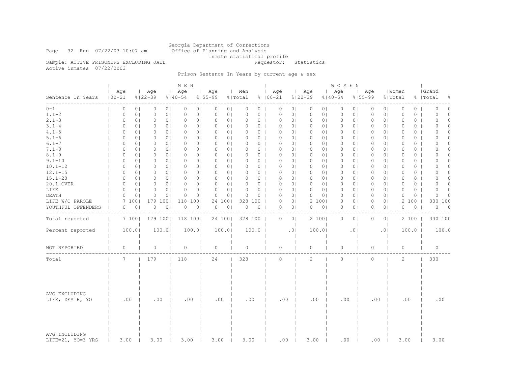Georgia Department of Corrections Page 32 Run 07/22/03 10:07 am Office of Planning and Analysis Inmate statistical profile<br>Requestor: Statistics

Sample: ACTIVE PRISONERS EXCLUDING JAIL Active inmates 07/22/2003

# Prison Sentence In Years by current age & sex

|                                    |                   |                |                    |                | M E N              |                            |                |                |                |                    |                |                    |                | <b>WOMEN</b>       |                |                    |                |                  |          |                    |                          |
|------------------------------------|-------------------|----------------|--------------------|----------------|--------------------|----------------------------|----------------|----------------|----------------|--------------------|----------------|--------------------|----------------|--------------------|----------------|--------------------|----------------|------------------|----------|--------------------|--------------------------|
| Sentence In Years                  | Age<br>$100 - 21$ |                | Age<br>$8122 - 39$ |                | Age<br>$8140 - 54$ | Age<br>$8155 - 99$         |                | Men<br>% Total |                | Age<br>$8100 - 21$ |                | Age<br>$8122 - 39$ |                | Age<br>$8140 - 54$ |                | Age<br>$8155 - 99$ |                | Women<br>% Total |          | Grand<br>%   Total | 옹                        |
| -------<br>$0 - 1$                 | 0                 | 0 <sub>1</sub> | 0                  | 0 <sub>1</sub> | $\Omega$           | 0 <sub>1</sub><br>$\circ$  | 0 <sub>1</sub> | 0              | 0              | $\circ$            | 0 <sub>1</sub> | 0                  | 01             | $\circ$            | $\circ$        | $\Omega$           | 0 <sub>1</sub> | $\circ$          | 0        | $\Omega$           | 0                        |
| $1.1 - 2$                          | 0                 | 0 <sub>1</sub> | 0                  | 0 <sub>1</sub> | 0                  | 0 <sub>1</sub><br>0        | 0 <sub>1</sub> | 0              | 0              | 0                  | 0 <sub>1</sub> | 0                  | 0 <sub>1</sub> | $\circ$            | 0 <sub>1</sub> | 0                  | 0 <sub>1</sub> | 0                | 0        | 0                  | $\circ$                  |
| $2.1 - 3$                          | 0                 | 0 <sup>1</sup> | $\circ$            | 0 <sub>1</sub> | 0                  | 0 <sup>1</sup><br>$\circ$  | 0 <sub>1</sub> | 0              | 0 <sub>1</sub> | $\mathbf 0$        | 0 <sub>1</sub> | $\circ$            | 01             | $\circ$            | 0 <sub>1</sub> | 0                  | 0 <sup>1</sup> | $\Omega$         | $\circ$  | $\Omega$           | $\circ$                  |
| $3.1 - 4$                          | 0                 | 0 <sup>1</sup> | $\circ$            | 0 <sub>1</sub> | $\Omega$           | 0 <sub>1</sub><br>$\Omega$ | 0 <sub>1</sub> | 0              | 0 <sub>1</sub> | $\circ$            | 0 <sub>1</sub> | $\circ$            | 0 <sub>1</sub> | $\circ$            | $\circ$        | 0                  | 0 <sub>1</sub> | $\Omega$         | $\circ$  | $\cap$             | $\Omega$                 |
| $4.1 - 5$                          | 0                 | 0 <sub>1</sub> | 0                  | 0 <sub>1</sub> | 0                  | 0 <sup>1</sup><br>$\Omega$ | 0 <sub>1</sub> | 0              | 0 <sub>1</sub> | 0                  | 0 <sub>1</sub> | $\mathbf{0}$       | 01             | 0                  | 0 <sup>1</sup> | 0                  | 0 <sup>1</sup> | 0                | $\Omega$ | $\Omega$           | $\Omega$                 |
| $5.1 - 6$                          | 0                 | 0 <sup>1</sup> | $\circ$            | 0 <sub>1</sub> | $\circ$            | 0 <sup>1</sup><br>$\Omega$ | 0 <sub>1</sub> | $\Omega$       | 0 <sub>1</sub> | $\Omega$           | 0 <sub>1</sub> | $\circ$            | 0 <sub>1</sub> | $\circ$            | 0 <sub>1</sub> | 0                  | 0 <sub>1</sub> | $\Omega$         | $\circ$  | $\Omega$           | $\circ$                  |
| $6.1 - 7$                          | $\Omega$          | $\Omega$       | $\circ$            | 0 <sub>1</sub> | $\Omega$           | 0 <sub>1</sub><br>$\Omega$ | 0 <sub>1</sub> | 0              | $0-1$          | $\Omega$           | 0 <sub>1</sub> | $\Omega$           | $\Omega$       | $\Omega$           | $\circ$        | 0                  | 0 <sub>1</sub> | $\Omega$         | $\Omega$ | $\Omega$           | $\Omega$                 |
| $7.1 - 8$                          | 0                 | 0 <sub>1</sub> | 0                  | 0 <sub>1</sub> | $\circ$            | 0 <sub>1</sub><br>$\circ$  | 0 <sub>1</sub> | $\Omega$       | 0 <sub>1</sub> | $\circ$            | 0 <sub>1</sub> | $\circ$            | 0 <sub>1</sub> | 0                  | 0 <sup>1</sup> | 0                  | 0 <sub>1</sub> | $\circ$          | $\circ$  | 0                  | $\Omega$                 |
| $8.1 - 9$                          | $\Omega$          | 0 <sup>1</sup> | $\circ$            | 0 <sub>1</sub> | $\Omega$           | $\Omega$<br>0 <sup>1</sup> | 0 <sup>1</sup> | 0              | 0 <sub>1</sub> | $\Omega$           | 0 <sub>1</sub> | $\Omega$           | 01             | $\Omega$           | 0 <sup>1</sup> | 0                  | 0 <sub>1</sub> | $\Omega$         | $\circ$  | $\Omega$           | $\Omega$                 |
| $9.1 - 10$                         | $\circ$           | 0 <sup>1</sup> | $\circ$            | 0 <sub>1</sub> | $\circ$            | 0 <sub>1</sub><br>$\circ$  | 0 <sub>1</sub> | 0              | 0 <sub>1</sub> | $\circ$            | 0 <sub>1</sub> | $\circ$            | 0 <sub>1</sub> | $\circ$            | $\circ$        | $\Omega$           | 0 <sub>1</sub> | $\Omega$         | 0        | $\Omega$           | $\Omega$                 |
| $10.1 - 12$                        | 0                 | 0 <sub>1</sub> | 0                  | 0 <sub>1</sub> | $\Omega$           | 0 <sup>1</sup><br>$\Omega$ | 0 <sub>1</sub> | 0              | 0 <sub>1</sub> | 0                  | 0 <sub>1</sub> | $\mathbf{0}$       | 01             | 0                  | 0 <sup>1</sup> | 0                  | 0 <sup>1</sup> | 0                | $\circ$  | $\Omega$           | $\Omega$                 |
| $12.1 - 15$                        | 0                 | 0 <sup>1</sup> | $\circ$            | 0 <sub>1</sub> | $\circ$            | 0 <sub>1</sub><br>$\Omega$ | 0 <sub>1</sub> | $\Omega$       | 0 <sub>1</sub> | $\Omega$           | 0 <sub>1</sub> | $\circ$            | 0 <sub>1</sub> | $\circ$            | 0 <sub>1</sub> | 0                  | 0 <sub>1</sub> | $\circ$          | $\circ$  | $\Omega$           | $\circ$                  |
| $15.1 - 20$                        | $\Omega$          | $\Omega$       | $\circ$            | 0 <sub>1</sub> | $\Omega$           | 0 <sup>1</sup><br>$\Omega$ | 0 <sub>1</sub> | 0              | $0-1$          | $\Omega$           | 0 <sub>1</sub> | $\Omega$           | $\Omega$       | $\Omega$           | $\circ$        | 0                  | 0 <sub>1</sub> | $\Omega$         | $\Omega$ | $\Omega$           | $\Omega$                 |
| 20.1-OVER                          | 0                 | 0 <sub>1</sub> | 0                  | 0 <sub>1</sub> | 0                  | 0 <sub>1</sub><br>$\circ$  | 0 <sub>1</sub> | 0              | 0 <sub>1</sub> | $\circ$            | 0 <sub>1</sub> | $\circ$            | 0 <sub>1</sub> | 0                  | 0 <sub>1</sub> | 0                  | 0 <sub>1</sub> | $\circ$          | 0        | $\Omega$           | $\Omega$                 |
| LIFE                               | $\Omega$          | 0 <sup>1</sup> | $\circ$            | 0 <sub>1</sub> | $\Omega$           | 0 <sup>1</sup><br>$\Omega$ | 0 <sub>1</sub> | 0              | 0 <sub>1</sub> | $\Omega$           | 0 <sub>1</sub> | $\Omega$           | 0 <sub>1</sub> | $\circ$            | 0 <sub>1</sub> | 0                  | 0 <sub>1</sub> | $\Omega$         | $\Omega$ | $\Omega$           | $\Omega$                 |
| DEATH                              | 0                 | 0              | $\circ$            | 0 <sub>1</sub> | $\Omega$           | 0 <sub>1</sub><br>$\circ$  | 0 <sup>1</sup> | $\Omega$       | 0              | $\Omega$           | 0 <sub>1</sub> | 0                  | 0 <sub>1</sub> | $\circ$            | $\circ$        | $\Omega$           | 0 <sub>1</sub> | $\mathbf 0$      | 0        | $\Omega$           | $\Omega$                 |
| LIFE W/O PAROLE                    |                   | 7 100          | 179 100            |                | 118<br>1001        | 24                         | 1001           | 328            | 100            | 0                  | 0 <sub>1</sub> |                    | 2 100          | 0                  | 0 <sup>1</sup> | 0                  | 0 <sub>1</sub> | 2                | 100      | 330                | 100                      |
| YOUTHFUL OFFENDERS                 | 0                 | 0 <sub>1</sub> | 0                  | 0 <sub>1</sub> | 0                  | 0 <sub>1</sub><br>0        | 0 <sub>1</sub> | 0              | $0-1$          | $\circ$            | 0 <sub>1</sub> | $\circ$            | 0 <sub>1</sub> | 0                  | $\circ$        | 0                  | 0 <sub>1</sub> | $\circ$          | 0        | 0                  | $\overline{\phantom{0}}$ |
|                                    |                   |                |                    |                |                    |                            |                |                |                |                    |                |                    |                |                    |                |                    |                |                  |          |                    |                          |
| Total reported                     |                   | 7 100          | 179 100            |                | 118 100            | 24 100                     |                | 328 100        |                | 0                  | 0 <sub>1</sub> |                    | 2 100          | 0                  | 0 <sub>1</sub> | 0                  | 0 <sub>1</sub> |                  | 2 100    | 330 100            |                          |
| Percent reported                   |                   | 100.0          |                    | 100.0          | 100.0              |                            | 100.0          |                | 100.0          |                    | .0             |                    | 100.0          |                    | .01            |                    | .0             |                  | 100.0    | 100.0              |                          |
| NOT REPORTED                       | 0                 |                | $\circ$            |                | 0                  | 0                          |                | 0              |                | 0                  |                | $\circ$            |                | $\circ$            |                | 0                  |                | 0                |          | $\circ$            |                          |
| Total                              | 7                 |                | 179                |                | 118                | 24                         |                | 328            |                | $\circ$            |                | 2                  |                | $\Omega$           |                | $\circ$            |                | $\overline{c}$   |          | 330                |                          |
| AVG EXCLUDING<br>LIFE, DEATH, YO   | .00               |                | .00                |                | .00                | .00                        |                | .00            |                | .00                |                | .00                |                | .00                |                | .00                |                | .00              |          | .00                |                          |
| AVG INCLUDING<br>LIFE=21, YO=3 YRS | 3.00              |                | 3.00               |                | 3.00               | 3.00                       |                | 3.00           |                | .00                |                | 3.00               |                | .00                |                | .00                |                | 3.00             |          | 3.00               |                          |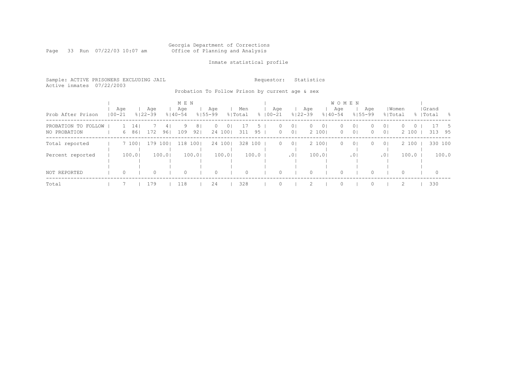#### Georgia Department of Corrections Page 33 Run 07/22/03 10:07 am Office of Planning and Analysis

## Inmate statistical profile

Sample: ACTIVE PRISONERS EXCLUDING JAIL **Requestor:** Statistics Active inmates 07/22/2003

Probation To Follow Prison by current age & sex

| Prob After Prison                   | Age<br>$100 - 21$ |         |           | Aqe<br>$8122 - 39$ |          | M E N<br>Age<br>$8140 - 54$ |                       | Aqe<br>$8155 - 99$ |                           | Men<br>% Total |                     | Age<br>$8100 - 21$ |                                  | Age<br>$8122 - 39$ |                         | <b>WOMEN</b><br>Age<br>$8140 - 54$ |                                  | Age<br>$8155 - 99$   | % Total                          | Women             |         | Grand<br>%   Total | - 옹       |
|-------------------------------------|-------------------|---------|-----------|--------------------|----------|-----------------------------|-----------------------|--------------------|---------------------------|----------------|---------------------|--------------------|----------------------------------|--------------------|-------------------------|------------------------------------|----------------------------------|----------------------|----------------------------------|-------------------|---------|--------------------|-----------|
| PROBATION TO FOLLOW<br>NO PROBATION |                   | 6       | 14<br>861 | 172                | 4<br>961 | 9<br>109                    | 8 <sub>1</sub><br>921 | 0                  | 0 <sub>1</sub><br>24 1001 | 311            | $\mathcal{D}$<br>95 | 0<br>$\circ$       | 0 <sub>1</sub><br>0 <sub>1</sub> | $\Omega$           | 0 <sup>1</sup><br>2 100 | $\circ$<br>$\circ$                 | 0 <sup>1</sup><br>0 <sup>1</sup> | $\Omega$<br>$\Omega$ | 0 <sup>1</sup><br>0 <sup>1</sup> | $\Omega$<br>2 100 | $\circ$ | 313                | - 5<br>95 |
| Total reported                      |                   |         | 7 1001    | 179 100            |          |                             | 118 1001              |                    | 24 1001                   | 328 100        |                     | $\Omega$           | 0 <sup>1</sup>                   |                    | 2 1001                  | $\Omega$                           | 0 <sup>1</sup>                   | $\Omega$             | 0 <sup>1</sup>                   | 2 100             |         | 330 100            |           |
| Percent reported                    |                   |         | 100.0     |                    | 100.0    |                             | 100.0                 |                    | 100.01                    |                | 100.0               |                    | .0 <sub>1</sub>                  |                    | 100.01                  |                                    | .01                              |                      | .01                              | 100.0             |         |                    | 100.0     |
| NOT REPORTED                        |                   | $\circ$ |           | $\Omega$           |          | 0                           |                       | $\Omega$           |                           | $\Omega$       |                     |                    |                                  |                    |                         | $\Omega$                           |                                  |                      |                                  | $\Omega$          |         | $\circ$            |           |
| Total                               |                   |         |           | 179                |          | 118                         |                       | 24                 |                           | 328            |                     |                    |                                  |                    |                         | $\Omega$                           |                                  |                      |                                  |                   |         | 330                |           |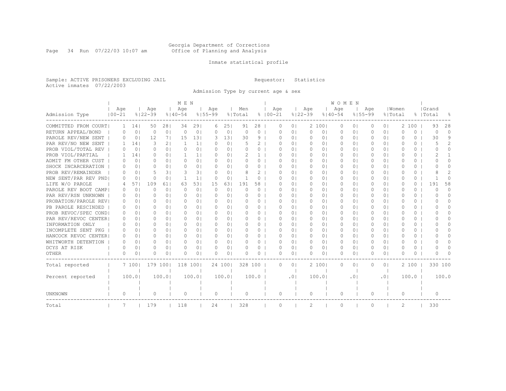#### Georgia Department of Corrections Page 34 Run 07/22/03 10:07 am Office of Planning and Analysis

## Inmate statistical profile

Sample: ACTIVE PRISONERS EXCLUDING JAIL **Requestor:** Statistics Active inmates 07/22/2003

Admission Type by current age & sex

|                       |            |                |             |                | M E N       |                |              |                |          |              |             |                            |             |                | <b>WOMEN</b> |                |             |                |           |          |           |               |
|-----------------------|------------|----------------|-------------|----------------|-------------|----------------|--------------|----------------|----------|--------------|-------------|----------------------------|-------------|----------------|--------------|----------------|-------------|----------------|-----------|----------|-----------|---------------|
|                       | Age        |                | Age         |                | Age         |                | Age          |                | Men      |              | Age         |                            | Age         |                | Age          |                | Age         |                | Women     |          | Grand     |               |
| Admission Type        | $100 - 21$ |                | $8122 - 39$ |                | $8140 - 54$ |                | $8155 - 99$  |                | % Total  |              | $8100 - 21$ |                            | $8122 - 39$ |                | $8140 - 54$  |                | $8155 - 99$ | % Total        |           |          | %   Total | ႜႂ            |
| COMMITTED FROM COURT  | 1          | 14             | 50          | 281            | 34          | 291            | 6            | 251            | 91       | 28           | 0           | 0 <sub>1</sub>             |             | 2 100          | 0            | 0 <sub>1</sub> | 0           | 01             | 2         | 100      | 93        | 28            |
| RETURN APPEAL/BOND    | 0          | 0              | $\circ$     | 0 <sup>1</sup> | $\circ$     | 0 <sup>1</sup> | $\Omega$     | 0 <sup>1</sup> | $\circ$  | 0            | U           | 0 <sub>1</sub>             | $\circ$     | 0 <sub>1</sub> | 0            | 0 <sub>1</sub> | $\Omega$    | 0 <sup>1</sup> | $\Omega$  | 0        | $\Omega$  | $\Omega$      |
| PAROLE REV/NEW SENT   | 0          | 0 <sup>1</sup> | 12          | 71             | 1.5         | 131            | 3            | 131            | 30       | 9            | U           | 0 <sub>1</sub>             | $\Omega$    | 0 <sub>1</sub> | $\Omega$     | 0 <sub>1</sub> | $\Omega$    | $\bigcirc$     | O         | $\Omega$ | 30        | 9             |
| PAR REV/NO NEW SENT   | 1.         | 141            | 3           | 21             | 1           | 1 <sub>1</sub> | $\Omega$     | 0 <sub>1</sub> |          | 2            | U           | 0 <sup>1</sup>             | $\Omega$    | 0 <sub>1</sub> | $\Omega$     | 0 <sub>1</sub> | ∩           | 0 <sub>1</sub> | U         | $\Omega$ | 5         | $\mathcal{L}$ |
| PROB VIOL/TOTAL REV   | 0          | $\circ$        | $\Omega$    | $\Omega$       | $\Omega$    | 0 <sub>1</sub> | $\Omega$     | 0 <sub>1</sub> | $\Omega$ | $\Omega$     | U           | 0 <sup>1</sup>             | $\Omega$    | 0 <sup>1</sup> | $\Omega$     | 0 <sub>1</sub> | $\Omega$    | 0 <sub>1</sub> | $\Omega$  | $\Omega$ | $\bigcap$ | $\Omega$      |
| PROB VIOL/PARTIAL     | 1.         | 141            | 0           | 0 <sub>1</sub> | 1.          | 1 <sub>1</sub> | $\Omega$     | 0 <sub>1</sub> |          | $\mathbf{1}$ | n           | 0 <sub>1</sub>             | $\Omega$    | 0 <sup>1</sup> | $\Omega$     | 0 <sub>1</sub> | $\Omega$    | 0 <sub>1</sub> | $\Omega$  | $\Omega$ | 2         |               |
| ADMIT FM OTHER CUST   | 0          | 0 <sub>1</sub> | 0           | 0 <sub>1</sub> | $\Omega$    | 0 <sub>1</sub> | O.           | 0 <sub>1</sub> | Ω        | 0            | n           | 0 <sup>1</sup>             | $\Omega$    | 0 <sub>1</sub> | $\Omega$     | 0 <sub>1</sub> |             | 0 <sub>1</sub> | O         | 0        |           | O             |
| SHOCK INCARCERATION   | 0          | 0 <sup>1</sup> | O           | 0 <sup>1</sup> | $\Omega$    | 0 <sub>1</sub> | $\Box$       | 0 <sub>1</sub> | $\Omega$ | 0            | 0           | 0 <sup>1</sup>             | $\Omega$    | 0 <sub>1</sub> | $\Omega$     | 0 <sub>1</sub> | O           | 0 <sub>1</sub> | $\bigcap$ | $\circ$  | n         | 0             |
| PROB REV/REMAINDER    | 0          | $\Omega$       | 5           | 31             | 3           | 31             | $\Omega$     | 0 <sub>1</sub> | 8        | 2            | O.          | 0 <sup>1</sup>             | $\Omega$    | 0 <sup>1</sup> | $\Omega$     | 0 <sub>1</sub> | 0           | 0 <sub>1</sub> | $\Omega$  | $\Omega$ |           | 2             |
| NEW SENT/PAR REV PND  | $\Omega$   | $\Omega$       | $\Omega$    | 0 <sup>1</sup> | 1           | 1 <sub>1</sub> | $\Omega$     | 0 <sub>1</sub> | 1        | 0            | U           | 0 <sup>1</sup>             | $\Omega$    | 0 <sup>1</sup> | $\Omega$     | 0 <sub>1</sub> | $\Omega$    | 0 <sup>1</sup> | O         | $\Omega$ |           | $\Omega$      |
| LIFE W/O PAROLE       | 4          | 571            | 109         | 611            | 63          | 531            | 15           | 631            | 191      | 58           | 0           | 0 <sup>1</sup>             | $\Omega$    | 0 <sub>1</sub> | $\Omega$     | 0 <sub>1</sub> | $\Omega$    | 0 <sup>1</sup> | 0         | $\Omega$ | 191       | 58            |
| PAROLE REV BOOT CAMP  | 0          | 0 <sup>1</sup> | $\Omega$    | 0 <sub>1</sub> | $\Omega$    | 0 <sub>1</sub> | $\circ$      | 0 <sub>1</sub> | $\Omega$ | $\Omega$     | 0           | 0 <sup>1</sup>             | $\circ$     | 0 <sub>1</sub> | $\Omega$     | 0 <sub>1</sub> | 0           | 0 <sup>1</sup> | $\Omega$  | 0        | $\Omega$  | $\Omega$      |
| PAR REV/RSN UNKNOWN   | 0          | 0 <sub>1</sub> | O           | 0 <sup>1</sup> | $\Omega$    | 01             | $\Omega$     | 0 <sub>1</sub> | $\Omega$ | $\Omega$     | n           | 0 <sup>1</sup>             | 0           | 01             | 0            | 0 <sup>1</sup> |             | 01             | O         | $\Omega$ | O         | $\Omega$      |
| PROBATION/PAROLE REVI | 0          | 0 <sub>1</sub> | O           | 0 <sup>1</sup> | $\Omega$    | 0 <sub>1</sub> | $\Omega$     | 0 <sub>1</sub> | $\Omega$ | 0            | U           | 0 <sup>1</sup>             | $\Omega$    | 0 <sub>1</sub> | $\Omega$     | 0 <sub>1</sub> | $\Omega$    | 0 <sub>1</sub> | O         | 0        | O         | 0             |
| PB PAROLE RESCINDED   | 0          | $\Omega$       | n           | $\Omega$       | $\Omega$    | $\Omega$       | <sup>o</sup> | 0 <sub>1</sub> | $\Omega$ | 0            | n           | 0 <sup>1</sup>             | $\Omega$    | 0 <sub>1</sub> | $\Omega$     | 0 <sub>1</sub> | ∩           | 0 <sub>1</sub> | U         | $\Omega$ | U         | <sup>n</sup>  |
| PROB REVOC/SPEC COND  | 0          | $\Omega$       | U           | 0 <sub>1</sub> | $\Omega$    | $\Omega$       | $\Omega$     | 0 <sub>1</sub> | ∩        | 0            | U           | 0 <sup>1</sup>             | $\bigcap$   | 0 <sub>1</sub> | $\Omega$     | 0 <sub>1</sub> | ∩           | 0 <sub>1</sub> | U         | 0        |           | <sup>n</sup>  |
| PAR REV/REVOC CENTER  | 0          | $\Omega$       | O           | 0 <sub>1</sub> | $\Omega$    | 0 <sub>1</sub> | $\Omega$     | 0 <sub>1</sub> | $\Omega$ | 0            | U           | 0 <sup>1</sup>             | $\Omega$    | 0 <sub>1</sub> | $\Omega$     | 0 <sub>1</sub> | $\Omega$    | 0 <sub>1</sub> | U         | 0        |           | <sup>n</sup>  |
| INFORMATION ONLY      | $\Omega$   | 0 <sup>1</sup> | 0           | 0 <sub>1</sub> | $\Omega$    | 0 <sub>1</sub> | $\Omega$     | 0 <sub>1</sub> | 0        | 0            | U           | 0 <sub>1</sub>             | $\Omega$    | 0 <sub>1</sub> | $\Omega$     | 0 <sub>1</sub> | O           | 0 <sub>1</sub> | O         | $\Omega$ |           | U             |
| INCOMPLETE SENT PKG   | 0          | $\Omega$       | 0           | 0 <sub>1</sub> | 0           | 0 <sub>1</sub> | <sup>o</sup> | 0 <sub>1</sub> |          | 0            | Ω           | 0 <sup>1</sup>             | n           | 01             | $\Omega$     | 0 <sub>1</sub> |             | 0 <sub>1</sub> | O         | 0        |           | O             |
| HANCOCK REVOC CENTER  | 0          | 0 <sub>1</sub> | $\Omega$    | 0 <sup>1</sup> | $\Omega$    | 0 <sub>1</sub> | $\Omega$     | 0 <sub>1</sub> | $\Omega$ | 0            | U           | 0 <sup>1</sup>             | $\Omega$    | 0 <sub>1</sub> | $\Omega$     | 0 <sub>1</sub> | 0           | 0 <sub>1</sub> | $\bigcap$ | $\circ$  | $^{(1)}$  | 0             |
| WHITWORTH DETENTION   | 0          | $\Omega$       | $\Omega$    | 0 <sub>1</sub> | $\Omega$    | 0 <sub>1</sub> | $\Omega$     | 0 <sub>1</sub> | $\Omega$ | 0            | $\bigcap$   | 0 <sup>1</sup>             | $\Omega$    | 0 <sub>1</sub> | $\Omega$     | 0 <sup>1</sup> | $\Omega$    | 0 <sub>1</sub> | $\bigcap$ | $\Omega$ | U         | 0             |
| DCYS AT RISK          | $\Omega$   | $\Omega$       | $\Omega$    | 0 <sub>1</sub> | O           | 0 <sub>1</sub> | $\Omega$     | 0 <sub>1</sub> | $\Omega$ | 0            | $\Omega$    | 0 <sup>1</sup>             | $\Omega$    | 0 <sub>1</sub> | $\Omega$     | 0 <sub>1</sub> | $\Omega$    | 0 <sup>1</sup> | O         | $\Omega$ |           | 0             |
| OTHER                 | 0          | 0              | U           | 0 <sup>1</sup> | O           | 0 <sup>1</sup> | $\Omega$     | 0 <sub>1</sub> | O        | 0            | U           | 0 <sub>1</sub>             | $\Omega$    | 0 <sub>1</sub> | $\Omega$     | 0 <sub>1</sub> | $\Omega$    | 0 <sup>1</sup> | O         | $\Omega$ |           | $\cap$        |
| Total reported        |            | 7 100          | 179 1001    |                | 118 100     |                |              | 24 1001        | 328 100  |              |             | $\Omega$<br>0 <sub>1</sub> |             | 2 100          | 0            | 0 <sub>1</sub> | $\Omega$    | 0 <sup>1</sup> |           | 2 100    |           | 330 100       |
|                       |            |                |             |                |             |                |              |                |          |              |             |                            |             |                |              |                |             |                |           |          |           |               |
| Percent reported      |            | 100.0          |             | 100.01         |             | 100.0          |              | 100.0          |          | 100.0        |             | .01                        |             | 100.01         |              | .01            |             | . 0 1          |           | 100.0    |           | 100.0         |
|                       |            |                |             |                |             |                |              |                |          |              |             |                            |             |                |              |                |             |                |           |          |           |               |
| UNKNOWN               | 0          |                | 0           |                | $\circ$     |                | 0            |                | $\circ$  |              | 0           |                            | 0           |                | 0            |                | $\Omega$    |                | 0         |          | 0         |               |
| Total                 | 7          |                | 179         |                | 118         |                | 24           |                | 328      |              | 0           |                            | 2           |                | $\circ$      |                | 0           |                | 2         |          | 330       |               |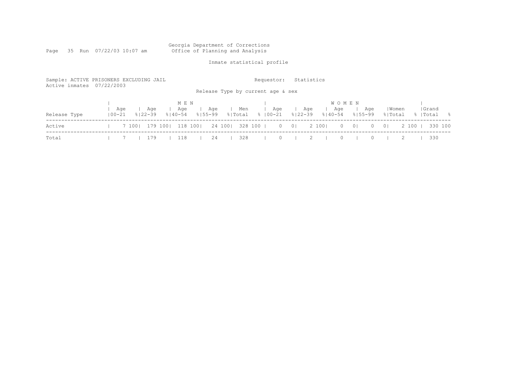#### Georgia Department of Corrections Page 35 Run 07/22/03 10:07 am Office of Planning and Analysis

# Inmate statistical profile

| Sample: ACTIVE PRISONERS EXCLUDING JAIL<br>Active inmates 07/22/2003 |                   |                           |                             |                    |                  | Requestor:<br>Release Type by current age & sex | Statistics                               |                                    |                                                        |                           |                     |
|----------------------------------------------------------------------|-------------------|---------------------------|-----------------------------|--------------------|------------------|-------------------------------------------------|------------------------------------------|------------------------------------|--------------------------------------------------------|---------------------------|---------------------|
| Release Type                                                         | Age<br>$100 - 21$ | Age<br>$8122 - 39$        | M E N<br>Aqe<br>$8140 - 54$ | Age<br>$8155 - 99$ | Men<br>응 Total   | Aqe<br>%   00−21                                | Aqe<br>$8122 - 39$                       | <b>WOMEN</b><br>Age<br>$8140 - 54$ | Aqe<br>$8155 - 99$                                     | Women<br>% Total          | Grand<br>%  Total % |
| Active                                                               |                   | 7 100   179 100   118 100 |                             |                    | 24 100   328 100 |                                                 | $\begin{array}{ccc} 0 & 0 & \end{array}$ | 2 100  <br>$\circ$                 | $\begin{array}{c c} 0 & \end{array}$<br>$\overline{0}$ | 2 100 1<br>0 <sup>1</sup> | 330 100             |
| Total                                                                |                   | 179                       | 118                         | 24                 | 328              | $\Omega$                                        |                                          | $\Omega$                           |                                                        |                           | 330                 |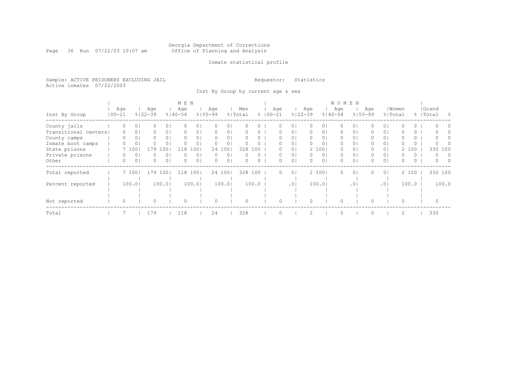#### Georgia Department of Corrections Page 36 Run 07/22/03 10:07 am Office of Planning and Analysis

## Inmate statistical profile

Sample: ACTIVE PRISONERS EXCLUDING JAIL **Requestor:** Statistics Active inmates 07/22/2003

Inst By Group by current age & sex

|                      |            |          |                |             |                  | M E N       |                |                  |                |          |          |              |                |             |                | W O M E N   |                 |             |                |          |          |           |               |
|----------------------|------------|----------|----------------|-------------|------------------|-------------|----------------|------------------|----------------|----------|----------|--------------|----------------|-------------|----------------|-------------|-----------------|-------------|----------------|----------|----------|-----------|---------------|
|                      |            | Age      |                | Age         |                  | Age         |                | Age              |                | Men      |          | Age          |                | Age         |                | Age         |                 | Age         |                | Women    |          | Grand     |               |
| Inst By Group        | $100 - 21$ |          |                | $8122 - 39$ |                  | $8140 - 54$ |                | $8155 - 99$      |                | % Total  |          | $% 100 - 21$ |                | $8122 - 39$ |                | $8140 - 54$ |                 | $8155 - 99$ | % Total        |          |          | %   Total | $\frac{9}{2}$ |
| County jails         |            | 0        | 0 <sup>1</sup> | 0           | $\overline{0}$ l | $\Omega$    | 0 <sub>1</sub> | 0                | 0              |          |          | O            | 0 <sup>1</sup> | 0           | 01             | 0           | $\circ$         | 0           | 0 <sup>1</sup> | O        | 0        | $\Omega$  |               |
| Transitional centers |            | 0        | $\circ$        | 0           | 0 <sup>1</sup>   | $\Omega$    | 0 <sub>1</sub> | $\Omega$         | 0              | 0        | 0        | 0            | 0 <sub>1</sub> | 0           | 01             | 0           | 0               | 0           | 0 <sub>1</sub> | 0        | 0        |           |               |
| County camps         |            | 0        | 0              | 0           | $\overline{0}$   | $\Omega$    | 0 <sub>1</sub> | $\Omega$         | 0 <sub>1</sub> |          | $\Omega$ | 0            | 0 <sub>1</sub> | 0           | 01             | 0           | 0               | 0.          | 0 <sub>1</sub> | O        | $\circ$  | $\Omega$  |               |
| Inmate boot camps    |            | Ω        | 0              |             | $\circ$          | O           | 01             | 0                | 0              |          | 0        |              | 01             | $\Omega$    | 0 <sub>1</sub> | 0           | $\Omega$        | 0           | 0 <sub>1</sub> | 0        | $\circ$  |           |               |
| State prisons        |            |          | 100            | 179         | L O O .          | 118         | 1001           |                  | 24 100         | 328      | 100      |              | 0 <sub>1</sub> |             | 2 100          | 0           | 0               |             | 0 <sub>1</sub> |          | 2 100    | 330       | 100           |
| Private prisons      |            |          | 0              |             | $\circ$          |             | 0 <sub>1</sub> | $\left( \right)$ | $\circ$        |          |          |              | 0 <sup>1</sup> | 0           | 0 <sub>1</sub> | 0           | 0               |             | $\circ$        | 0        | 0        | $\Omega$  | $\Omega$      |
| Other                |            | $\Omega$ | 0              | 0           | 0 <sup>1</sup>   | $\bigcap$   | 0 <sub>1</sub> | $\Omega$         | 0              | $\Omega$ | $\Omega$ | 0            | 0 <sub>1</sub> | $\Omega$    | 0 <sub>1</sub> | 0           | 0               |             | 0 <sub>1</sub> | 0        | $\Omega$ | $\Omega$  | $\cap$        |
| Total reported       |            |          | 7 100          | 179         | 1001             | 118         | 100            |                  | 24 100         | 328      | 100      | 0            | $\overline{0}$ |             | 2 1001         | $\Omega$    | $\circ$         | 0           | 0 <sup>1</sup> |          | 2 100    | 330 100   |               |
|                      |            |          |                |             |                  |             |                |                  |                |          |          |              |                |             |                |             |                 |             |                |          |          |           |               |
| Percent reported     |            |          | 100.0          |             | 100.01           |             | 100.01         |                  | 100.01         |          | 100.0    |              | .01            |             | 100.01         |             | .0 <sup>1</sup> |             | .01            |          | 100.0    |           | 100.0         |
|                      |            |          |                |             |                  |             |                |                  |                |          |          |              |                |             |                |             |                 |             |                |          |          |           |               |
|                      |            |          |                |             |                  |             |                |                  |                |          |          |              |                |             |                |             |                 |             |                |          |          |           |               |
| Not reported         |            | $\Omega$ |                |             |                  | $\Omega$    |                |                  |                |          |          |              |                |             |                | $\Omega$    |                 |             |                | $\Omega$ |          |           |               |
| Total                |            |          |                | 179         |                  | 118         |                | 24               |                | 328      |          |              |                | 2           |                | $\Omega$    |                 |             |                | 2        |          | 330       |               |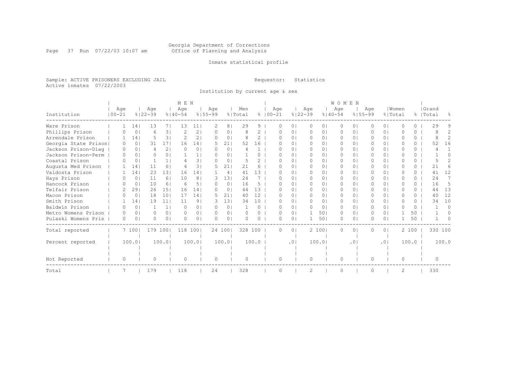#### Georgia Department of Corrections Page 37 Run 07/22/03 10:07 am Office of Planning and Analysis

# Inmate statistical profile

Sample: ACTIVE PRISONERS EXCLUDING JAIL **Requestor:** Statistics Active inmates 07/22/2003

Institution by current age & sex

|                      |            |          |                 |         |                 | M E N       |                |             |                |          |               |             |                |               |                | WOMEN       |          |             |                |          |          |           |                |
|----------------------|------------|----------|-----------------|---------|-----------------|-------------|----------------|-------------|----------------|----------|---------------|-------------|----------------|---------------|----------------|-------------|----------|-------------|----------------|----------|----------|-----------|----------------|
|                      | Age        |          |                 | Age     |                 | Age         |                | Age         |                | Men      |               | Age         |                | Age           |                | Age         |          | Aqe         |                | Women    |          | Grand     |                |
| Institution          | $100 - 21$ |          | $8122 - 39$     |         |                 | $8140 - 54$ |                | $8155 - 99$ |                | % Total  |               | $8100 - 21$ |                | $8122 - 39$   |                | $8140 - 54$ |          | $8155 - 99$ | % Total        |          |          | %   Total | ⊱              |
| Ware Prison          |            |          | 14              | 13      | 71              | 13          | 11             | 2           | 8              | 29       | 9             | O           | $\Omega$       | $\circ$       | 01             | $\Omega$    | $\Omega$ |             | 0 <sup>1</sup> | $\Omega$ | 0        | 29        |                |
| Phillips Prison      |            |          | 0               | 6       | 31              |             | 2 <sub>1</sub> | 0           | 0              | 8        | 2             | O           | $\circ$        | 0             | 01             | 0           | 0        | O           | 0 <sup>1</sup> | O        | 0        |           | 2              |
| Arrendale Prison     |            |          | 14 <sub>1</sub> | 5       | 31              |             | 2 <sub>1</sub> |             | $\Omega$       | 8        | $\mathcal{D}$ |             | $\Omega$       | $\Omega$      | $\Omega$ I     | $\Omega$    | $\Omega$ |             | $\Omega$       | U        | 0        |           | $\overline{c}$ |
| Georgia State Prison |            |          | 0 <sup>1</sup>  | 31      | 17 <sup>1</sup> | 16          | 141            | 5.          | 211            | 52       | 16            | U           | $\Omega$       | 0             | $\Omega$ I     | $\Omega$    | $\Omega$ |             | 0 <sup>1</sup> | O        | 0        | 52        | 16             |
| Jackson Prison-Diag  |            |          | 0 <sub>1</sub>  | 4       | 2 <sub>1</sub>  | ∩           | 0 <sub>1</sub> |             | $\Omega$       |          |               |             | $\Omega$       | $\Omega$      | $\Omega$ I     | $\Omega$    | $\Omega$ |             | $\Omega$       | U        | $\Omega$ |           |                |
| Jackson Prison-Perm  |            | $\Omega$ | 0 <sub>1</sub>  | 0       | $\Omega$        |             |                | $\Omega$    | 0 <sub>1</sub> |          | 0             | O           | $\circ$        | $\circ$       | $\Omega$       | $\Omega$    | $\circ$  | 0           | 0 <sup>1</sup> | U        | 0        |           | 0              |
| Coastal Prison       |            | U        | 0 <sup>1</sup>  |         | 1 <sup>1</sup>  |             | 3 <sub>1</sub> | $\Omega$    | 0              |          | 2             |             | $\Omega$       | $\Omega$      | 01             | $\Omega$    | $\Omega$ | 0           | $\Omega$       | U        | $\Omega$ |           | $\mathcal{L}$  |
| Augusta Med Prison   |            |          | 14              | 11      | 6               |             | 31             | 5.          | 21             | 21       | 6             | n           | $\Omega$       | $\Omega$      | $\Omega$ I     | $\Omega$    | $\Omega$ |             | 0 <sup>1</sup> | O        | 0        | 21        | 6              |
| Valdosta Prison      |            |          | 14              | 23      | 131             | 16          | 141            |             | 4              | 41       | 13            |             | 01             | 0             | 01             | $\Omega$    | $\Omega$ |             | 0 <sub>1</sub> | O        | 0        | 41        | 12             |
| Hays Prison          |            |          | 0 <sub>1</sub>  | 11      | 61              | 10          | 8 <sup>1</sup> | 3           | 131            | 24       |               | n           | $\Omega$       | $\Omega$      | $\Omega$       | $\Omega$    | $\Omega$ | 0           | $\Omega$       | U        | $\Omega$ | 24        | 7              |
| Hancock Prison       |            |          | $\Omega$        | 10      | 61              | 6           | 51             | $\Omega$    | $\Omega$       | 16       | 5             |             | $\Omega$       | $\Omega$      | $\Omega$       | $\Omega$    | $\Omega$ | 0           | $\Omega$       | O        | $\Omega$ | 16        | .5             |
| Telfair Prison       |            |          | 291             | 26      | 151             | 16          | 141            | n.          | 0 <sup>1</sup> | 44       | 13            |             | $\Omega$       | $\Omega$      | $\Omega$       | $\Omega$    | $\Omega$ | 0           | $\Omega$       | $\cap$   | $\Omega$ | 44        | 13             |
| Macon Prison         |            |          | $\Omega$        | 18      | 101             | 17          | 14             | 5           | 21             | 40       | 12            |             | $\Omega$       | $\Omega$      | $\Omega$ I     | $\Omega$    | $\Omega$ | 0           | $\Omega$       | O        | 0        | 40        | 12             |
| Smith Prison         |            |          | 141             | 19      | 11              | 11          | 9 <sub>1</sub> | 3           | 131            | 34       | 10            | 0           | $\Omega$       | $\Omega$      | $\Omega$       | $\Omega$    | $\Omega$ | $\Omega$    | $\Omega$       | $\Omega$ | $\Omega$ | 34        | 10             |
| Baldwin Prison       |            | n        | 0 <sub>1</sub>  |         | 1 <sup>1</sup>  | $\Omega$    | 0 <sub>1</sub> | $\Omega$    | 0 <sup>1</sup> |          | $\Omega$      | O           | 0 <sub>1</sub> | $\Omega$      | 0 <sub>1</sub> | $\Omega$    | $\circ$  | $\Omega$    | 0 <sup>1</sup> | $\cap$   | $\Omega$ |           | $\Omega$       |
| Metro Womens Prison  |            | $\Omega$ | 0 <sub>1</sub>  | 0       | $\Omega$        | $\Omega$    | 0 <sub>1</sub> | $\Omega$    | 0 <sub>1</sub> | $\Omega$ | $\Omega$      | O           | 0 <sub>1</sub> |               | 501            | $\Omega$    | $\Omega$ | $\Omega$    | $\Omega$       |          | 50       |           | 0              |
| Pulaski Womens Pris  |            | $\Omega$ | $\Omega$        | 0       | $\Omega$        | ∩           | 0 <sub>1</sub> | $\Omega$    | 0 <sup>1</sup> |          | $\Omega$      | U           | $\circ$        |               | 501            | $\circ$     | 0        | 0           | 0 <sup>1</sup> |          | 50       |           |                |
| Total reported       |            | 7 1001   |                 | 179 100 |                 | 118         | 1001           |             | 24 100         | 328 100  |               | 0           | 0 <sup>1</sup> |               | 2 100          | $\circ$     | 0        | 0           | 0 <sub>1</sub> |          | 2 100    |           | 330 100        |
| Percent reported     |            | 100.01   |                 |         | 100.01          |             | 100.01         |             | 100.01         |          | 100.0         |             | .01            |               | 100.01         |             | .01      |             | .01            |          | 100.0    |           | 100.0          |
|                      |            |          |                 |         |                 |             |                |             |                |          |               |             |                |               |                |             |          |             |                |          |          |           |                |
|                      |            |          |                 |         |                 |             |                |             |                |          |               |             |                |               |                |             |          |             |                |          |          |           |                |
| Not Reported         |            | 0        |                 | 0       |                 | $\Omega$    |                | $\Omega$    |                | $\Omega$ |               | 0           |                | $\Omega$      |                | $\circ$     |          | $\bigcap$   |                | $\Omega$ |          | $\bigcap$ |                |
| Total                |            |          |                 | 179     |                 | 118         |                | 24          |                | 328      |               | U           |                | $\mathcal{D}$ |                | $\Omega$    |          | O           |                | 2        |          | 330       |                |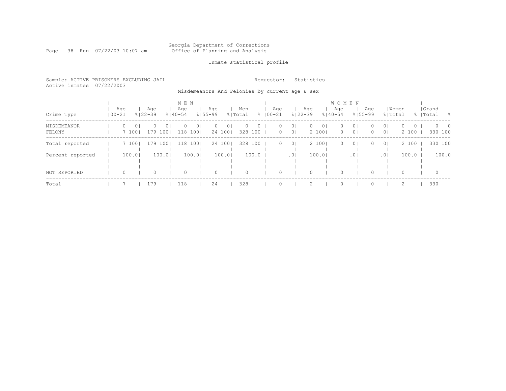#### Georgia Department of Corrections Page 38 Run 07/22/03 10:07 am Office of Planning and Analysis

# Inmate statistical profile

|  |                           | Sample: ACTIVE PRISONERS EXCLUDING JAIL |  | Requestor: Statistics |  |
|--|---------------------------|-----------------------------------------|--|-----------------------|--|
|  | Active inmates 07/22/2003 |                                         |  |                       |  |

Misdemeanors And Felonies by current age & sex

|                       |            |         |                   |                    |                              | M E N              |                            |                    |                          |                |                    |                     |                                  |                    |                         | <b>WOMEN</b>       |                                  |                     |                                  |                              |                           |  |
|-----------------------|------------|---------|-------------------|--------------------|------------------------------|--------------------|----------------------------|--------------------|--------------------------|----------------|--------------------|---------------------|----------------------------------|--------------------|-------------------------|--------------------|----------------------------------|---------------------|----------------------------------|------------------------------|---------------------------|--|
| Crime Type            | $100 - 21$ | Age     |                   | Aqe<br>$8122 - 39$ |                              | Age<br>$8140 - 54$ |                            | Aqe<br>$8155 - 99$ |                          | Men<br>% Total |                    | Age<br>$8100 - 21$  |                                  | Aqe<br>$8122 - 39$ |                         | Age<br>$8140 - 54$ |                                  | Aqe<br>$8155 - 99$  | % Total                          | Women                        | Grand<br>%   Total<br>- 옹 |  |
| MISDEMEANOR<br>FELONY |            | $\circ$ | $\circ$<br>7 1001 | $\Omega$           | $\overline{0}$ 1<br>179 1001 | $\Omega$           | 0 <sub>1</sub><br>118 1001 | $\Omega$           | 0 <sub>1</sub><br>24 100 | $\Omega$       | $\circ$<br>328 100 | $\Omega$<br>$\circ$ | 0 <sup>1</sup><br>0 <sub>1</sub> | $\Omega$           | 0 <sup>1</sup><br>2 100 | $\circ$<br>$\circ$ | 0 <sup>1</sup><br>0 <sup>1</sup> | $\Omega$<br>$\circ$ | 0 <sup>1</sup><br>0 <sup>1</sup> | $\Omega$<br>$\circ$<br>2 100 | $0\qquad 0$<br>330 100    |  |
| Total reported        |            |         | 7 100             | 179 1001           |                              |                    | 118 1001                   |                    | 24 1001                  |                | 328 100            | $\circ$             | 0 <sup>1</sup>                   |                    | 2 1001                  | $\circ$            | 0 <sup>1</sup>                   | $\Omega$            | 0 <sup>1</sup>                   | 2 100                        | 330 100                   |  |
| Percent reported      |            |         | 100.01            |                    | 100.01                       |                    | 100.0                      |                    | 100.01                   |                | $100.0$            |                     | .0 <sub>1</sub>                  |                    | 100.01                  |                    | .01                              |                     | .01                              | 100.0                        | 100.0                     |  |
| NOT REPORTED          |            | $\circ$ |                   | 0                  |                              | 0                  |                            | 0                  |                          | 0              |                    | $\Omega$            |                                  | $\Omega$           |                         | $\circ$            |                                  |                     |                                  | 0                            | $\circ$                   |  |
| Total                 |            |         |                   | 179                |                              | 118                |                            | 24                 |                          | 328            |                    |                     |                                  |                    |                         | $\Omega$           |                                  |                     |                                  |                              | 330                       |  |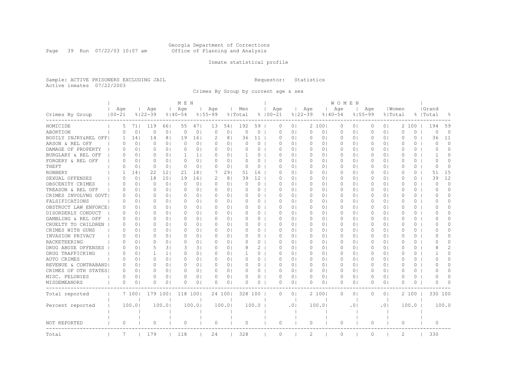#### Georgia Department of Corrections Page 39 Run 07/22/03 10:07 am Office of Planning and Analysis

# Inmate statistical profile

Sample: ACTIVE PRISONERS EXCLUDING JAIL **Requestor:** Statistics Active inmates 07/22/2003

Crimes By Group by current age & sex

|                      |                   |                 |                    |                | M E N              |                |                    |                |                |          |                    |                |                    |                | W O M E N          |                |                    |                |                |          |                    |                |
|----------------------|-------------------|-----------------|--------------------|----------------|--------------------|----------------|--------------------|----------------|----------------|----------|--------------------|----------------|--------------------|----------------|--------------------|----------------|--------------------|----------------|----------------|----------|--------------------|----------------|
| Crimes By Group      | Aqe<br>$100 - 21$ |                 | Age<br>$8122 - 39$ |                | Age<br>$8140 - 54$ |                | Age<br>$8155 - 99$ |                | Men<br>% Total |          | Age<br>$8100 - 21$ |                | Age<br>$8122 - 39$ |                | Age<br>$8140 - 54$ |                | Age<br>$8155 - 99$ | % Total        | Women          |          | Grand<br>%   Total | 욲              |
| HOMICIDE             | 5                 | 711             | 119                | 661            | 55                 | 471            | 13                 | 54             | 192            | 59       | 0                  | 0 <sup>1</sup> |                    | 2 1001         | 0                  | 0 <sub>1</sub> | $\circ$            | 0 <sup>1</sup> |                | 2 100    | 194                | 59             |
| ABORTION             | $\Omega$          | 0 <sup>1</sup>  | 0                  | 0 <sub>1</sub> | $\circ$            | 0 <sub>1</sub> | 0                  | 0 <sub>1</sub> | $\Omega$       | 0        | $\Omega$           | $\Omega$       | $\circ$            | 0 <sub>1</sub> | $\circ$            | 0 <sub>1</sub> | $\circ$            | 0 <sub>1</sub> | $\Omega$       | $\Omega$ | $\circ$            | $\Omega$       |
| BODILY INJRY&REL OFF | 1.                | 14              | 14                 | 8 <sup>1</sup> | 19                 | 161            | 2                  | 8              | 36             | 11       | 0                  | 0 <sub>1</sub> | 0                  | 0 <sub>1</sub> | 0                  | 0              | 0                  | 0 <sup>1</sup> | 0              | 0        | 36                 | 11             |
| ARSON & REL OFF      | $\Omega$          | 0 <sub>1</sub>  | 0                  | 0 <sub>1</sub> | $\Omega$           | 0 <sub>1</sub> | $\Omega$           | 0 <sub>1</sub> | $\Omega$       | 0        | O                  | $\Omega$       | 0                  | 0 <sub>1</sub> | 0                  | $\circ$        | $\Omega$           | 0 <sup>1</sup> | $\Omega$       | $\Omega$ | $\Omega$           | $\Omega$       |
| DAMAGE OF PROPERTY   | 0                 | 0 <sub>1</sub>  | 0                  | 0 <sub>1</sub> | 0                  | 0 <sub>1</sub> | 0                  | 0 <sub>1</sub> | 0              | 0        | $\Omega$           | 0 <sub>1</sub> | 0                  | 0 <sub>1</sub> | 0                  | 0 <sub>1</sub> | 0                  | 0 <sup>1</sup> | $\circ$        | $\circ$  | $\Omega$           | $\Omega$       |
| BURGLARY & REL OFF   | 0                 | 0 <sub>1</sub>  | 0                  | 0 <sub>1</sub> | 1                  | 1 <sub>1</sub> | $\Omega$           | 0 <sub>1</sub> |                | $\Omega$ | 0                  | 0 <sub>1</sub> | 0                  | 0 <sub>1</sub> | 0                  | 0 <sub>1</sub> | $\Omega$           | 0 <sub>1</sub> | $\circ$        | 0        | -1                 | $\Omega$       |
| FORGERY & REL OFF    | $\Omega$          | 0 <sub>1</sub>  | 0                  | 0 <sub>1</sub> | $\Omega$           | 0 <sub>1</sub> | $\Omega$           | 0 <sub>1</sub> | $\Omega$       | 0        | $\Omega$           | $\Omega$       | 0                  | 0 <sub>1</sub> | $\Omega$           | 0 <sub>1</sub> | $\Omega$           | 0 <sup>1</sup> | $\Omega$       | 0        | $\bigcap$          | $\Omega$       |
| THEFT                | ∩                 | 0 <sup>1</sup>  | 0                  | 0 <sup>1</sup> | $\Omega$           | 0 <sub>1</sub> | $\Omega$           | 0 <sub>1</sub> | $\Omega$       | 0        | $\Omega$           | 0 <sub>1</sub> | $\circ$            | 0 <sub>1</sub> | 0                  | 0 <sub>1</sub> | 0                  | 0 <sub>1</sub> | $\Omega$       | 0        | $\Omega$           | 0              |
| <b>ROBBERY</b>       |                   | 14 <sub>1</sub> | 22                 | 121            | 21                 | 181            | 7                  | 291            | 51             | 16       | 0                  | $\Omega$       | 0                  | 0 <sub>1</sub> | $\Omega$           | 0 <sub>1</sub> | $\Omega$           | 0 <sup>1</sup> | $\Omega$       | 0        | 51                 | 15             |
| SEXUAL OFFENSES      | $\Omega$          | 0               | 18                 | 101            | 19                 | 161            | 2                  | 8              | 39             | 12       | O                  | $\Omega$       | $\Omega$           | $\Omega$       | $\Omega$           | $\Omega$       | $\Omega$           | $\Omega$       | $\bigcap$      | $\Omega$ | 39                 | 12             |
| OBSCENITY CRIMES     | 0                 | 0 <sub>1</sub>  | 0                  | 0 <sup>1</sup> | $\Omega$           | 0 <sub>1</sub> | 0                  | 0 <sub>1</sub> | $\Omega$       | 0        | 0                  | 0 <sub>1</sub> | 0                  | 0 <sub>1</sub> | 0                  | 0 <sub>1</sub> | 0                  | 0 <sup>1</sup> | 0              | 0        | $\Omega$           | $\Omega$       |
| TREASON & REL OFF    | 0                 | 0 <sub>1</sub>  | $\Omega$           | 0 <sub>1</sub> | $\circ$            | 0 <sub>1</sub> | 0                  | 0 <sub>1</sub> | 0              | 0        | 0                  | 0 <sub>1</sub> | 0                  | 0 <sub>1</sub> | 0                  | 0 <sub>1</sub> | 0                  | 0 <sub>1</sub> | $\circ$        | 0        | $\Omega$           | 0              |
| CRIMES INVOLVNG GOVT | $\Omega$          | 0 <sub>1</sub>  | 0                  | 0 <sub>1</sub> | $\Omega$           | 0 <sub>1</sub> | $\Omega$           | $\Omega$       | $\Omega$       | $\Omega$ | $\Omega$           | $\Omega$       | $\Omega$           | $\Omega$       | $\Omega$           | $\Omega$       | $\Omega$           | 0 <sup>1</sup> | $\Omega$       | $\Omega$ | O                  | $\Omega$       |
| FALSIFICATIONS       | $\Omega$          | 0 <sub>1</sub>  | 0                  | 0 <sub>1</sub> | $\Omega$           | 0 <sub>1</sub> | $\Omega$           | 0 <sub>1</sub> | 0              | $\circ$  | $\Omega$           | 0 <sup>1</sup> | 0                  | 0 <sub>1</sub> | $\Omega$           | 0 <sub>1</sub> | $\Omega$           | 0 <sub>1</sub> | $\Omega$       | 0        | O                  | $\Omega$       |
| OBSTRUCT LAW ENFORCE | 0                 | 0 <sub>1</sub>  | 0                  | 0 <sub>1</sub> | $\Omega$           | 0 <sub>1</sub> | 0                  | 0 <sub>1</sub> |                | 0        | O                  | 0 <sub>1</sub> | 0                  | 0 <sub>1</sub> | 0                  | 0 <sub>1</sub> | 0                  | 0 <sup>1</sup> | 0              | 0        | O                  | $\Omega$       |
| DISORDERLY CONDUCT   | $\Omega$          | $\Omega$        | $\Omega$           | $\Omega$       | $\Omega$           | $\Omega$       | $\Omega$           | $\Omega$       | $\Omega$       | $\Omega$ | $\Omega$           | $\Omega$       | $\Omega$           | $\Omega$       | $\Omega$           | $\Omega$       | $\Omega$           | $\Omega$       | $\Omega$       | $\Omega$ | ∩                  | $\Omega$       |
| GAMBLING & REL OFF   | $\Omega$          | 0 <sub>1</sub>  | 0                  | 0 <sub>1</sub> | $\Omega$           | 0 <sub>1</sub> | $\Omega$           | 0 <sub>1</sub> | $\Omega$       | $\Omega$ | O                  | $\Omega$       | 0                  | 0 <sub>1</sub> | 0                  | 0 <sub>1</sub> | $\Omega$           | 0 <sup>1</sup> | $\Omega$       | 0        | O                  | $\Omega$       |
| CRUELTY TO CHILDREN  | 0                 | 0 <sub>1</sub>  | 0                  | 0 <sub>1</sub> | 0                  | 0 <sub>1</sub> | 0                  | 0 <sub>1</sub> | 0              | 0        | 0                  | 0 <sub>1</sub> | 0                  | 0 <sub>1</sub> | 0                  | 0 <sub>1</sub> | 0                  | 0 <sup>1</sup> | 0              | 0        | O                  | $\Omega$       |
| CRIMES WITH GUNS     | $\Omega$          | 0 <sub>1</sub>  | 0                  | 0 <sub>1</sub> | $\Omega$           | 0 <sub>1</sub> | $\Omega$           | 0 <sub>1</sub> | O              | 0        | O                  | $\Omega$       | 0                  | 0 <sub>1</sub> | 0                  | 0 <sub>1</sub> | 0                  | 0 <sup>1</sup> | $\Omega$       | 0        | O                  | $\Omega$       |
| INVASION PRIVACY     | $\Omega$          | 0 <sub>1</sub>  | 0                  | 0 <sub>1</sub> | $\Omega$           | 0 <sub>1</sub> | $\Omega$           | 0 <sub>1</sub> | $\Omega$       | $\Omega$ | $\Omega$           | 0 <sub>1</sub> | $\Omega$           | $\Omega$       | $\Omega$           | 0 <sub>1</sub> | $\Omega$           | 0 <sub>1</sub> | $\Omega$       | $\Omega$ | O                  | $\Omega$       |
| RACKETEERING         | O                 | 0 <sub>1</sub>  | 0                  | 0 <sub>1</sub> | $\Omega$           | 0 <sub>1</sub> | $\Omega$           | 0 <sub>1</sub> | O              | 0        | O                  | $\Omega$       | 0                  | 0 <sub>1</sub> | $\Omega$           | 0 <sub>1</sub> | 0                  | 0 <sup>1</sup> | $\Omega$       | 0        | O                  | $\Omega$       |
| DRUG ABUSE OFFENSES  | $\Omega$          | 0 <sup>1</sup>  | 5                  | 3 <sup>1</sup> | 3                  | 31             | $\Omega$           | 0              |                | 2        | O                  | $\Omega$       | 0                  | 0 <sub>1</sub> | 0                  | $\circ$        | $\Omega$           | 0 <sup>1</sup> | $\Omega$       | 0        |                    | $\overline{2}$ |
| DRUG TRAFFICKING     | $\Omega$          | 0 <sub>1</sub>  | 1                  | 1 <sub>1</sub> | $\Omega$           | 0 <sub>1</sub> | $\Omega$           | 0 <sub>1</sub> |                | 0        | 0                  | $\circ$        | 0                  | 0 <sub>1</sub> | 0                  | $\circ$        | 0                  | 0 <sup>1</sup> | 0              | 0        |                    | $\Omega$       |
| AUTO CRIMES          | $\Omega$          | 0 <sub>1</sub>  | 0                  | 0 <sub>1</sub> | $\Omega$           | 0 <sub>1</sub> | $\Omega$           | 0 <sub>1</sub> | $\Omega$       | 0        | 0                  | $\Omega$       | 0                  | 0 <sub>1</sub> | 0                  | 0 <sub>1</sub> | 0                  | 0 <sup>1</sup> | $\Omega$       | $\Omega$ | $\Omega$           | $\Omega$       |
| REVENUE & CONTRABAND | 0                 | 0 <sub>1</sub>  | O                  | $\Omega$       | $\Omega$           | 0 <sub>1</sub> | $\Omega$           | 0 <sub>1</sub> | O              | 0        | $\Omega$           | $\Omega$       | $\circ$            | 0 <sub>1</sub> | $\circ$            | 0 <sub>1</sub> | $\Omega$           | 0 <sub>1</sub> | $\Omega$       | 0        | $\Omega$           | $\Omega$       |
| CRIMES OF OTH STATES | $\Omega$          | 0 <sub>1</sub>  | $\Omega$           | 0 <sub>1</sub> | $\Omega$           | 0 <sub>1</sub> | $\Omega$           | 0 <sub>1</sub> | $\Omega$       | 0        | $\Omega$           | $\Omega$       | $\circ$            | 0 <sub>1</sub> | $\circ$            | 0 <sub>1</sub> | $\circ$            | 0 <sub>1</sub> | $\Omega$       | 0        | $\Omega$           | $\Omega$       |
| MISC. FELONIES       | $\Omega$          | 0 <sub>1</sub>  | 0                  | 0 <sub>1</sub> | $\Omega$           | 0 <sub>1</sub> | O                  | 0 <sub>1</sub> | $\Omega$       | $\Omega$ | $\Omega$           | $\Omega$       | $\Omega$           | 0 <sub>1</sub> | $\Omega$           | $\circ$        | $\Omega$           | 0 <sup>1</sup> | $\Omega$       | $\Omega$ | O                  | $\Omega$       |
| MISDEMEANORS         | 0                 | 0               | U                  | 0              | O                  | 0 <sub>1</sub> | 0                  | 0              |                | 0        | 0                  | 0              | 0                  | 0 <sub>1</sub> | 0                  | 0              | 0                  | 0 <sub>1</sub> | 0              | 0        | O                  | O              |
| Total reported       |                   | 7 1001          | 179 1001           |                | 118 1001           |                |                    | 24 1001        | 328 100        |          | $\Omega$           | 0 <sup>1</sup> |                    | 2 1001         | 0                  | $\circ$        | $\Omega$           | 0 <sup>1</sup> |                | 2100     | 330 100            |                |
| Percent reported     |                   | 100.0           |                    | 100.0          |                    | 100.0          |                    | 100.0          |                | 100.0    |                    | .01            |                    | 100.0          |                    | $\cdot$ 0      |                    | .01            |                | 100.0    |                    | 100.0          |
| <b>NOT REPORTED</b>  | $\circ$           |                 | $\Omega$           |                | $\Omega$           |                | $\Omega$           |                | $\Omega$       |          | $\Omega$           |                | $\Omega$           |                | $\circ$            |                | $\Omega$           |                | $\Omega$       |          | $\Omega$           |                |
| Total                | 7                 |                 | 179                |                | 118                |                | 24                 |                | 328            |          | $\circ$            |                | 2                  |                | $\circ$            |                | $\Omega$           |                | $\overline{c}$ |          | 330                |                |
|                      |                   |                 |                    |                |                    |                |                    |                |                |          |                    |                |                    |                |                    |                |                    |                |                |          |                    |                |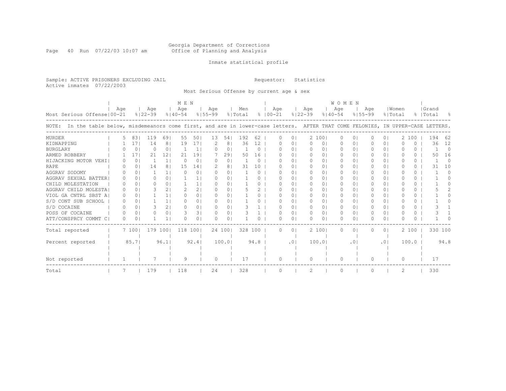#### Georgia Department of Corrections Page 40 Run 07/22/03 10:07 am Office of Planning and Analysis

## Inmate statistical profile

Sample: ACTIVE PRISONERS EXCLUDING JAIL **Requestor:** Statistics Active inmates 07/22/2003

Most Serious Offense by current age & sex

|                                                                                                                                       |                  |          |             |                 | M E N       |                |              |          |         |          |             |          |             |          | <b>WOMEN</b> |             |           |                |           |          |       |          |
|---------------------------------------------------------------------------------------------------------------------------------------|------------------|----------|-------------|-----------------|-------------|----------------|--------------|----------|---------|----------|-------------|----------|-------------|----------|--------------|-------------|-----------|----------------|-----------|----------|-------|----------|
|                                                                                                                                       | Aqe              |          | Age         |                 | Age         |                | Age          |          | Men     |          | Age         |          | Age         |          | Age          |             | Age       |                | Women     |          | Grand |          |
| Most Serious Offense   00-21                                                                                                          |                  |          | $8122 - 39$ |                 | $8140 - 54$ |                | $8155 - 99$  |          | % Total |          | $8100 - 21$ |          | $8122 - 39$ |          | $8140 - 54$  | $8155 - 99$ |           |                | % Total   |          | Total |          |
| In the table below, misdemeanors come first, and are in lower-case letters. AFTER THAT COME FELONIES, IN UPPER-CASE LETTERS.<br>NOTE: |                  |          |             |                 |             |                |              |          |         |          |             |          |             |          |              |             |           |                |           |          |       |          |
| MURDER                                                                                                                                | 5.               | 831      | 119         | 69              | 55          | 501            | 13           | 54       | 192     | 62       | 0           | $\circ$  | 2 1001      |          | $\Omega$     | 0           | $\Omega$  | 0 <sub>1</sub> |           | 2 100    | 194   | 62       |
| KIDNAPPING                                                                                                                            |                  | 17       | 14          | 8               | 19          | 171            |              | 8        | 36      | 12       |             | $\Omega$ | 0           | 01       | 0            | $\circ$     |           | 0 <sup>1</sup> |           | 0        | 36    | 12       |
| <b>BURGLARY</b>                                                                                                                       |                  | $\Omega$ | 0           | $\Omega$        |             | $\mathbf{1}$   | $\Omega$     | $\Omega$ |         | $\Omega$ | O           | $\Omega$ | $\Omega$    | 01       | $\Omega$     | $\Omega$    | $\Omega$  | 0 I            | O         | 0        |       | $\Omega$ |
| ARMED ROBBERY                                                                                                                         |                  | 17       | 21          | 12 <sup>°</sup> | 21          | 191            |              | 291      | 50      | 16       | O           | $\Omega$ | $\Omega$    | $\circ$  | $\Omega$     | $\Omega$    | $\Omega$  | $\Omega$       | O         | $\Omega$ | 50    | 16       |
| HIJACKING MOTOR VEHI                                                                                                                  |                  | $\Omega$ |             | 1 <sup>1</sup>  | $\Omega$    | $\Omega$       | $\Omega$     | $\Omega$ |         | $\Omega$ | O           | $\Omega$ | $\bigcap$   | $\Omega$ | $\Box$       | 0           | $\Box$    | $\Omega$       | O         | $\Omega$ |       | $\Omega$ |
| RAPE                                                                                                                                  |                  | $\Omega$ | 14          | 8               | 15          | 141            | 2            | 8        | 31      | 10       | O           | $\Omega$ | $\Omega$    | 01       | $\Omega$     | $\Omega$    | $\Omega$  | $\Omega$       | O         | 0        | 31    | 10       |
| AGGRAV SODOMY                                                                                                                         |                  | 0        |             |                 | $\Omega$    | $\Omega$       | $\Omega$     | $\Omega$ |         | $\Omega$ | U           | $\Omega$ | $\Box$      | 01       | $\Omega$     | 0           | $\Omega$  | 0 I            | U         | 0        |       | 0        |
| AGGRAV SEXUAL BATTER                                                                                                                  |                  | $\Omega$ | 0           | $\Omega$        |             | 1              | $\Omega$     | $\Omega$ |         | 0        | U           | $\Omega$ | $\Omega$    | 01       | $\Omega$     | 0           | $\Omega$  | $\Omega$       | U         | 0        |       | n        |
| CHILD MOLESTATION                                                                                                                     | <sup>o</sup>     | $\Omega$ | 0           | $\cap$          |             | 1              | <sup>o</sup> | $\Omega$ |         | 0        | U           | $\Omega$ | $\bigcap$   | 01       | $\bigcap$    | 0           | 0         | $\Omega$       | U         | $\Omega$ |       |          |
| AGGRAV CHILD MOLESTA                                                                                                                  | $\Omega$         | 0        |             | $\overline{2}$  |             | 21             | $\Omega$     | $\Omega$ |         |          | U           | $\Omega$ | $\Omega$    | 01       | $\Omega$     | 0           | $\Omega$  | 0 I            | U         | $\Omega$ |       |          |
| VIOL GA CNTRL SBST A                                                                                                                  | $\left( \right)$ | $\Omega$ |             |                 | ∩           | 0 <sub>1</sub> | <sup>o</sup> | $\Omega$ |         | 0        | U           | $\Omega$ | $\Box$      | 01       | $\Omega$     | 0           | 0         | 0 I            | U         | $\Omega$ |       |          |
| S/D CONT SUB SCHOOL                                                                                                                   | $\left( \right)$ | $\Omega$ |             | 11              | ∩           | 01             | $\Omega$     | $\Omega$ |         | 0        | U           | $\Omega$ | $\Omega$    | 01       | $\Omega$     | 0           | 0         | 0 I            | ∩         | 0        |       |          |
| S/D COCAINE                                                                                                                           |                  | $\Omega$ | 3           | $\overline{2}$  | ∩           | 0 <sub>1</sub> | <sup>n</sup> | $\Omega$ |         |          | U           | $\Omega$ | $\Omega$    | 01       | $\Omega$     | 0           | 0         | 0 I            | U         | $\Omega$ |       |          |
| POSS OF COCAINE                                                                                                                       |                  | $\Omega$ | 0           | $\Omega$        |             | 31             | $\Omega$     | $\Omega$ |         |          | U           | $\Omega$ | $\Omega$    | $\Omega$ | $\Omega$     | $\Omega$    | 0         | $\Omega$       | $\bigcap$ | $\Omega$ |       |          |
| ATT/CONSPRCY COMMT C                                                                                                                  | $\Omega$         | $\Omega$ |             |                 |             | 0 <sub>1</sub> | n            | $\Omega$ |         | O.       | U           | 01       | $\Omega$    | 01       | $\Omega$     | 0           | n.        | 0 I            | U         | 0        |       |          |
| Total reported                                                                                                                        |                  | 7 1001   | 179         | 1001            | 118         | 1001           |              | 24 1001  | 328 100 |          | $\Omega$    | $\circ$  | 2 1001      |          | 0            | 0           | 0         | 0 I            |           | 2 100    |       | 330 100  |
| Percent reported                                                                                                                      |                  | 85.71    |             | 96.1            |             | 92.4           |              | 100.01   |         | 94.8     |             | .01      | 100.01      |          |              | $\cdot$ 0   |           | .01            |           | 100.0    |       | 94.8     |
|                                                                                                                                       |                  |          |             |                 |             |                |              |          |         |          |             |          |             |          |              |             |           |                |           |          |       |          |
| Not reported                                                                                                                          |                  |          |             |                 | 9           |                | $\Omega$     |          | 17      |          | O           |          | $\Omega$    |          | $\Omega$     |             | $\bigcap$ |                | $\Omega$  |          | 17    |          |
| Total                                                                                                                                 |                  |          | 179         |                 | 118         |                | 24           |          | 328     |          | 0           |          | 2           |          | 0            |             |           |                | 2         |          | 330   |          |